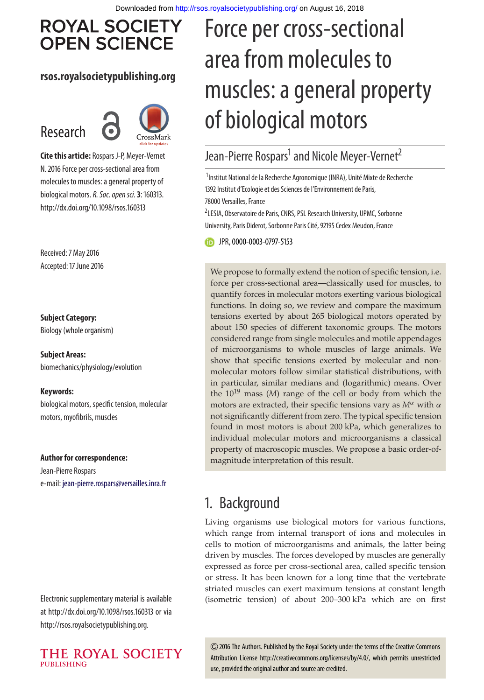# **ROYAL SOCIETY OPEN SCIENCE**

## **rsos.royalsocietypublishing.org**

# Research



**Cite this article:** Rospars J-P, Meyer-Vernet N. 2016 Force per cross-sectional area from molecules to muscles: a general property of biological motors.R. Soc. open sci.**3**: 160313. http://dx.doi.org/10.1098/rsos.160313

Received: 7 May 2016 Accepted: 17 June 2016

#### **Subject Category:**

Biology (whole organism)

**Subject Areas:** biomechanics/physiology/evolution

#### **Keywords:**

biological motors, specific tension, molecular motors, myofibrils, muscles

#### **Author for correspondence:**

Jean-Pierre Rospars e-mail: [jean-pierre.rospars@versailles.inra.fr](mailto:jean-pierre.rospars@versailles.inra.fr)

Electronic supplementary material is available at http://dx.doi.org/10.1098/rsos.160313 or via http://rsos.royalsocietypublishing.org.



# Force per cross-sectional area from molecules to muscles: a general property of biological motors

# Jean-Pierre Rospars<sup>1</sup> and Nicole Meyer-Vernet<sup>2</sup>

<sup>1</sup>Institut National de la Recherche Agronomique (INRA), Unité Mixte de Recherche 1392 Institut d'Ecologie et des Sciences de l'Environnement de Paris, 78000 Versailles, France

2 LESIA, Observatoire de Paris, CNRS, PSL Research University, UPMC, Sorbonne University, Paris Diderot, Sorbonne Paris Cité, 92195 Cedex Meudon, France

**JPR,[0000-0003-0797-5153](http://orcid.org/0000-0003-0797-5153)** 

We propose to formally extend the notion of specific tension, i.e. force per cross-sectional area—classically used for muscles, to quantify forces in molecular motors exerting various biological functions. In doing so, we review and compare the maximum tensions exerted by about 265 biological motors operated by about 150 species of different taxonomic groups. The motors considered range from single molecules and motile appendages of microorganisms to whole muscles of large animals. We show that specific tensions exerted by molecular and nonmolecular motors follow similar statistical distributions, with in particular, similar medians and (logarithmic) means. Over the  $10^{19}$  mass (*M*) range of the cell or body from which the motors are extracted, their specific tensions vary as  $M^α$  with α not significantly different from zero. The typical specific tension found in most motors is about 200 kPa, which generalizes to individual molecular motors and microorganisms a classical property of macroscopic muscles. We propose a basic order-ofmagnitude interpretation of this result.

# 1. Background

Living organisms use biological motors for various functions, which range from internal transport of ions and molecules in cells to motion of microorganisms and animals, the latter being driven by muscles. The forces developed by muscles are generally expressed as force per cross-sectional area, called specific tension or stress. It has been known for a long time that the vertebrate striated muscles can exert maximum tensions at constant length (isometric tension) of about 200–300 kPa which are on first

2016 The Authors. Published by the Royal Society under the terms of the Creative Commons Attribution License http://creativecommons.org/licenses/by/4.0/, which permits unrestricted use, provided the original author and source are credited.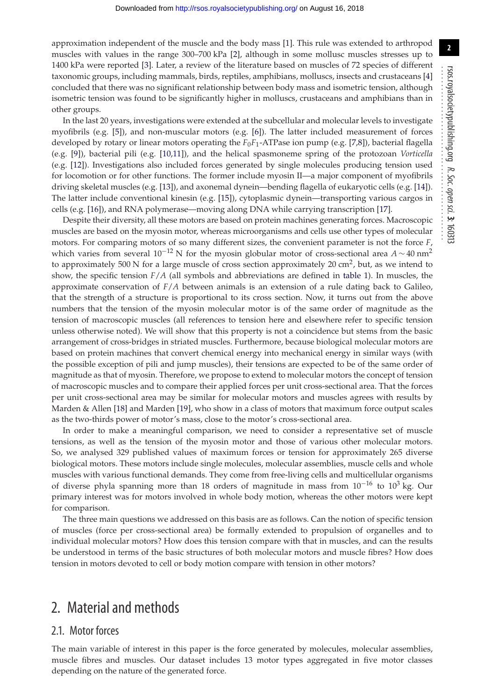approximation independent of the muscle and the body mass [\[1\]](#page-38-0). This rule was extended to arthropod muscles with values in the range 300–700 kPa [\[2\]](#page-38-1), although in some mollusc muscles stresses up to 1400 kPa were reported [\[3\]](#page-38-2). Later, a review of the literature based on muscles of 72 species of different taxonomic groups, including mammals, birds, reptiles, amphibians, molluscs, insects and crustaceans [\[4\]](#page-38-3) concluded that there was no significant relationship between body mass and isometric tension, although isometric tension was found to be significantly higher in molluscs, crustaceans and amphibians than in other groups.

In the last 20 years, investigations were extended at the subcellular and molecular levels to investigate myofibrils (e.g. [\[5\]](#page-38-4)), and non-muscular motors (e.g. [\[6\]](#page-38-5)). The latter included measurement of forces developed by rotary or linear motors operating the *F*0*F*1-ATPase ion pump (e.g. [\[7](#page-38-6)[,8\]](#page-38-7)), bacterial flagella (e.g. [\[9\]](#page-38-8)), bacterial pili (e.g. [\[10,](#page-38-9)[11\]](#page-38-10)), and the helical spasmoneme spring of the protozoan *Vorticella* (e.g. [\[12\]](#page-38-11)). Investigations also included forces generated by single molecules producing tension used for locomotion or for other functions. The former include myosin II—a major component of myofibrils driving skeletal muscles (e.g. [\[13\]](#page-38-12)), and axonemal dynein—bending flagella of eukaryotic cells (e.g. [\[14\]](#page-38-13)). The latter include conventional kinesin (e.g. [\[15\]](#page-38-14)), cytoplasmic dynein—transporting various cargos in cells (e.g. [\[16\]](#page-38-15)), and RNA polymerase—moving along DNA while carrying transcription [\[17\]](#page-38-16).

Despite their diversity, all these motors are based on protein machines generating forces. Macroscopic muscles are based on the myosin motor, whereas microorganisms and cells use other types of molecular motors. For comparing motors of so many different sizes, the convenient parameter is not the force *F*, which varies from several  $10^{-12}$  N for the myosin globular motor of cross-sectional area  $A \sim 40$  nm<sup>2</sup> to approximately 500 N for a large muscle of cross section approximately 20 cm<sup>2</sup>, but, as we intend to show, the specific tension *F*/*A* (all symbols and abbreviations are defined in [table 1\)](#page-2-0). In muscles, the approximate conservation of *F*/*A* between animals is an extension of a rule dating back to Galileo, that the strength of a structure is proportional to its cross section. Now, it turns out from the above numbers that the tension of the myosin molecular motor is of the same order of magnitude as the tension of macroscopic muscles (all references to tension here and elsewhere refer to specific tension unless otherwise noted). We will show that this property is not a coincidence but stems from the basic arrangement of cross-bridges in striated muscles. Furthermore, because biological molecular motors are based on protein machines that convert chemical energy into mechanical energy in similar ways (with the possible exception of pili and jump muscles), their tensions are expected to be of the same order of magnitude as that of myosin. Therefore, we propose to extend to molecular motors the concept of tension of macroscopic muscles and to compare their applied forces per unit cross-sectional area. That the forces per unit cross-sectional area may be similar for molecular motors and muscles agrees with results by Marden & Allen [\[18\]](#page-38-17) and Marden [\[19\]](#page-38-18), who show in a class of motors that maximum force output scales as the two-thirds power of motor's mass, close to the motor's cross-sectional area.

In order to make a meaningful comparison, we need to consider a representative set of muscle tensions, as well as the tension of the myosin motor and those of various other molecular motors. So, we analysed 329 published values of maximum forces or tension for approximately 265 diverse biological motors. These motors include single molecules, molecular assemblies, muscle cells and whole muscles with various functional demands. They come from free-living cells and multicellular organisms of diverse phyla spanning more than 18 orders of magnitude in mass from 10−<sup>16</sup> to 103 kg. Our primary interest was for motors involved in whole body motion, whereas the other motors were kept for comparison.

The three main questions we addressed on this basis are as follows. Can the notion of specific tension of muscles (force per cross-sectional area) be formally extended to propulsion of organelles and to individual molecular motors? How does this tension compare with that in muscles, and can the results be understood in terms of the basic structures of both molecular motors and muscle fibres? How does tension in motors devoted to cell or body motion compare with tension in other motors?

# 2. Material and methods

#### 2.1. Motor forces

The main variable of interest in this paper is the force generated by molecules, molecular assemblies, muscle fibres and muscles. Our dataset includes 13 motor types aggregated in five motor classes depending on the nature of the generated force.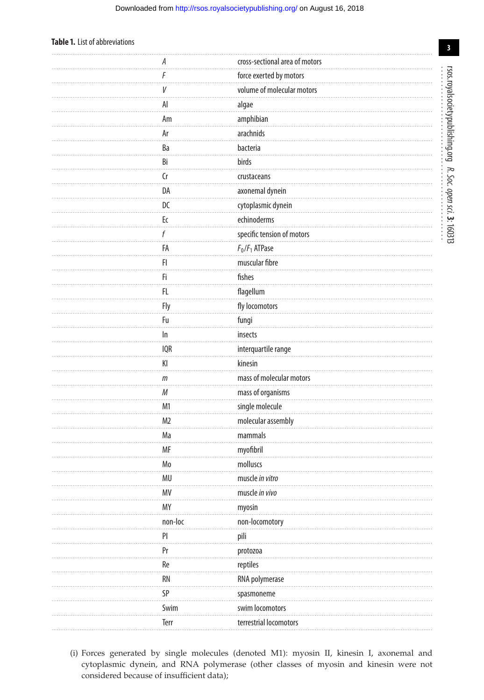$\overline{\mathbf{3}}$ 

#### <span id="page-2-0"></span>Table 1. List of abbreviations

| Α              | cross-sectional area of motors            |
|----------------|-------------------------------------------|
| F              | force exerted by motors                   |
| V              | volume of molecular motors                |
| Al             | algae                                     |
| Am             | amphibian                                 |
| Ar             | arachnids                                 |
| Ba             | bacteria                                  |
| Bi             | birds                                     |
| Cr             | crustaceans                               |
| DA             | axonemal dynein                           |
| DC             | cytoplasmic dynein                        |
| Ec             | echinoderms                               |
| f              | specific tension of motors                |
| FA             | $F_0/F_1$ ATPase                          |
| F <sub>1</sub> | muscular fibre                            |
| Fi             | fishes                                    |
| FL             | $\operatorname{\sf flagellum}$            |
| Fly            | fly locomotors                            |
| Fu             | fungi                                     |
| In             | insects                                   |
| <b>IQR</b>     | interquartile range                       |
| KI             | kinesin                                   |
| т              | mass of molecular motors                  |
| М              | mass of organisms                         |
| M1             | single molecule                           |
| M <sub>2</sub> | molecular assembly                        |
| Ma             | mammals                                   |
| МF             | myofibril                                 |
| Mo             | molluscs                                  |
| MU             | muscle in vitro                           |
| MV             | muscle in vivo                            |
| MY             | myosin                                    |
| non-loc        | non-locomotory                            |
| PI             | pili                                      |
| Pr             | protozoa                                  |
| Re             | reptiles                                  |
| <b>RN</b>      | RNA polymerase                            |
| SP             | spasmoneme                                |
| Swim           |                                           |
| lerr           | swim locomotors<br>terrestrial locomotors |

(i) Forces generated by single molecules (denoted M1): myosin II, kinesin I, axonemal and cytoplasmic dynein, and RNA polymerase (other classes of myosin and kinesin were not considered because of insufficient data);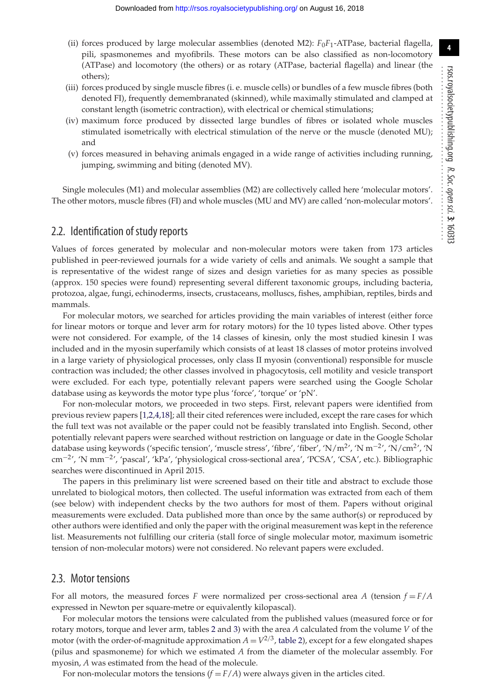- (ii) forces produced by large molecular assemblies (denoted M2): *F*0*F*1-ATPase, bacterial flagella, pili, spasmonemes and myofibrils. These motors can be also classified as non-locomotory (ATPase) and locomotory (the others) or as rotary (ATPase, bacterial flagella) and linear (the others);
- (iii) forces produced by single muscle fibres (i. e. muscle cells) or bundles of a few muscle fibres (both denoted FI), frequently demembranated (skinned), while maximally stimulated and clamped at constant length (isometric contraction), with electrical or chemical stimulations;
- (iv) maximum force produced by dissected large bundles of fibres or isolated whole muscles stimulated isometrically with electrical stimulation of the nerve or the muscle (denoted MU); and
- (v) forces measured in behaving animals engaged in a wide range of activities including running, jumping, swimming and biting (denoted MV).

Single molecules (M1) and molecular assemblies (M2) are collectively called here 'molecular motors'. The other motors, muscle fibres (FI) and whole muscles (MU and MV) are called 'non-molecular motors'.

#### 2.2. Identification of study reports

Values of forces generated by molecular and non-molecular motors were taken from 173 articles published in peer-reviewed journals for a wide variety of cells and animals. We sought a sample that is representative of the widest range of sizes and design varieties for as many species as possible (approx. 150 species were found) representing several different taxonomic groups, including bacteria, protozoa, algae, fungi, echinoderms, insects, crustaceans, molluscs, fishes, amphibian, reptiles, birds and mammals.

For molecular motors, we searched for articles providing the main variables of interest (either force for linear motors or torque and lever arm for rotary motors) for the 10 types listed above. Other types were not considered. For example, of the 14 classes of kinesin, only the most studied kinesin I was included and in the myosin superfamily which consists of at least 18 classes of motor proteins involved in a large variety of physiological processes, only class II myosin (conventional) responsible for muscle contraction was included; the other classes involved in phagocytosis, cell motility and vesicle transport were excluded. For each type, potentially relevant papers were searched using the Google Scholar database using as keywords the motor type plus 'force', 'torque' or 'pN'.

For non-molecular motors, we proceeded in two steps. First, relevant papers were identified from previous review papers [\[1,](#page-38-0)[2](#page-38-1)[,4,](#page-38-3)[18\]](#page-38-17); all their cited references were included, except the rare cases for which the full text was not available or the paper could not be feasibly translated into English. Second, other potentially relevant papers were searched without restriction on language or date in the Google Scholar database using keywords ('specific tension', 'muscle stress', 'fibre', 'fiber', 'N/m<sup>2'</sup>, 'N m<sup>−2'</sup>, 'N/cm<sup>2'</sup>, 'N cm−2', 'N mm−2', 'pascal', 'kPa', 'physiological cross-sectional area', 'PCSA', 'CSA', etc.). Bibliographic searches were discontinued in April 2015.

The papers in this preliminary list were screened based on their title and abstract to exclude those unrelated to biological motors, then collected. The useful information was extracted from each of them (see below) with independent checks by the two authors for most of them. Papers without original measurements were excluded. Data published more than once by the same author(s) or reproduced by other authors were identified and only the paper with the original measurement was kept in the reference list. Measurements not fulfilling our criteria (stall force of single molecular motor, maximum isometric tension of non-molecular motors) were not considered. No relevant papers were excluded.

#### 2.3. Motor tensions

For all motors, the measured forces *F* were normalized per cross-sectional area *A* (tension *f* = *F*/*A* expressed in Newton per square-metre or equivalently kilopascal).

For molecular motors the tensions were calculated from the published values (measured force or for rotary motors, torque and lever arm, tables [2](#page-4-0) and [3\)](#page-5-0) with the area *A* calculated from the volume *V* of the motor (with the order-of-magnitude approximation  $A = V^{2/3}$ , [table 2\)](#page-4-0), except for a few elongated shapes (pilus and spasmoneme) for which we estimated *A* from the diameter of the molecular assembly. For myosin, *A* was estimated from the head of the molecule.

For non-molecular motors the tensions  $(f = F/A)$  were always given in the articles cited.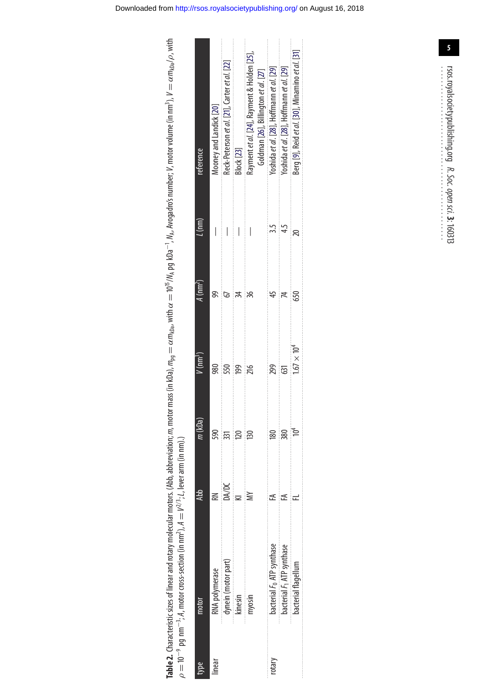<span id="page-4-0"></span>

| reference              |       | Mooney and Landick [20]<br>Reck-Peterson <i>et al.</i> [21], Carter <i>et al.</i> [22] | Block [23]     | Rayment et al. [24], Rayment & Holden [25],                                                       | Goldman [26], Billington <i>et al</i> . [27]<br>Yoshida <i>et al</i> . [28], Hoffmann <i>et al.</i> [29] |                                                                    | Yoshida et al. [28], Hoffmann et al. [29] | Berg [9], Reid et al. [30], Minamino et al. [31]                |
|------------------------|-------|----------------------------------------------------------------------------------------|----------------|---------------------------------------------------------------------------------------------------|----------------------------------------------------------------------------------------------------------|--------------------------------------------------------------------|-------------------------------------------|-----------------------------------------------------------------|
| 1(nm)                  |       |                                                                                        |                |                                                                                                   |                                                                                                          |                                                                    | 45                                        |                                                                 |
| $A$ (nm <sup>2</sup> ) | 99    |                                                                                        | $\frac{1}{34}$ |                                                                                                   |                                                                                                          |                                                                    |                                           | 650                                                             |
| $V$ (nm <sup>3</sup> ) | 980   |                                                                                        |                | 216                                                                                               |                                                                                                          | 299                                                                | .<br>59                                   | $1.67\times10^4$                                                |
| $m$ (kDa)              | 590   | $\overline{33}$                                                                        |                | 130                                                                                               |                                                                                                          | 80                                                                 | 380                                       |                                                                 |
|                        |       | DA/DC                                                                                  |                |                                                                                                   |                                                                                                          |                                                                    |                                           |                                                                 |
| motor                  |       |                                                                                        |                | $\overline{\text{myosh}}$ . The contract of the contract of the contract of $\overline{\text{m}}$ |                                                                                                          | $\mathsf{bacterial}\,F_0$ ATP synthase $\qquad \qquad \mathsf{FA}$ |                                           | bacterial F <sub>1</sub> ATP synthase FA<br>bacterial flagellum |
|                        | inear |                                                                                        |                |                                                                                                   |                                                                                                          | vtary                                                              |                                           |                                                                 |

**Table 2.** Characteristic sizes of linear and rotary molecular motors. (Abb, abbreviation;  $m$ , motor mass (in kDa),  $m_{\rm pg} = \alpha m_{\rm k0a}$ , with  $\alpha = 10^{5}M_{\rm A}$  pg kDa $^{-1}$ ,  $N_{\rm A}$ , Avogadro's number; V, motor volume (i  $\rho = 10^{-9}$  pg nm<sup>-3</sup>; A, motor cross-section (in nm<sup>2</sup>),  $A = V^{2/3}$ ; L, lever arm (in nm).)

 $\overline{\mathbf{5}}$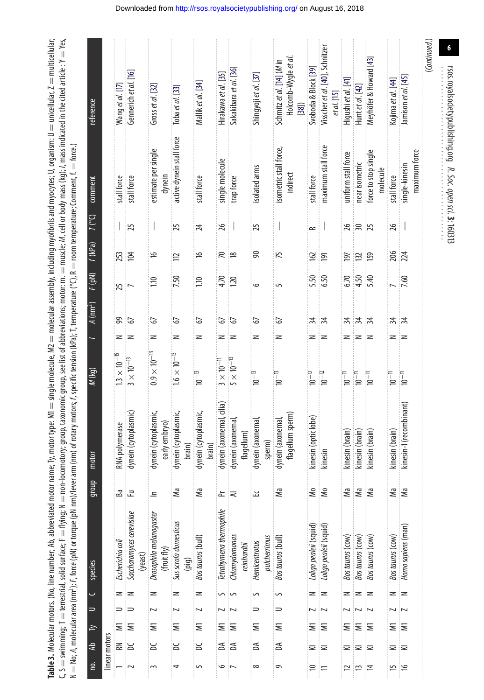Table 3. Molecular motors. (No, line number; Ab, abbreviated motor name; Ty, motor type: M1 = single molecule, M2 = molecular assembly, including myofibrils and myocytes; U, organism: U = unicellular, Z = multicellular; C, S = swimming; T = terrestrial, solid surface; F = flying; N = non-locomotory; group, taxonomic group, see list of abbreviations; motor: m. = muscle; M, cell or body mass (kg); /, mass indicated in the cited article: Y =  $N = No$ ; A, molecular area (nm<sup>2</sup>); F, force (pN) or torque (pN nm)/lever arm (nm) of rotary motors; f, specific tension (kPa); T, temperature (°C), R = room temperature; Comment, f. = force.)

| $\tilde{e}$   | ₹  | 心  | ⋍             |   | species                                | dronb    | motor                                 | M (kg)              |   | $\overline{A}$ (nm <sup>2</sup> ) | F(pN)          | f(kPa)           | $1^{\circ}$ C | comment                            | reference                                                           |
|---------------|----|----|---------------|---|----------------------------------------|----------|---------------------------------------|---------------------|---|-----------------------------------|----------------|------------------|---------------|------------------------------------|---------------------------------------------------------------------|
| linear motors |    |    |               |   |                                        |          |                                       |                     |   |                                   |                |                  |               |                                    |                                                                     |
|               | RN | Ξ  |               | z | Escherichia coli                       | Ba       | RNA polymerase                        | $1.3\times10^{-15}$ | z | 99                                | 25             | 253              |               | stall force                        | Nang et al. [17]                                                    |
|               | ුප | ĬΞ |               | z | Saccharomyces cerevisiae<br>(yeast)    | 군        | dynein (cytoplasmic)                  | $3 \times 10^{-13}$ | z | 67                                | $\overline{L}$ | ਼ੋਂਬੂ            | ੱਠ            | stall force                        | Gennerich et al. [16]                                               |
| ξ             | ă  | Ξ  | Z             | z | Drosophila melanogaster<br>(fruit fly) | $\equiv$ | dynein (cytoplasmic,<br>early embryo) | $0.9\times10^{-13}$ | z | S                                 | 1.10           | 91,              |               | estimate per single<br>dynein      | Gross et $al.$ [32]                                                 |
| 4             | ່≥ | Ξ  | Z             | z | Sus scrofa domesticus<br>(pig)         | ÑД       | dynein (cytoplasmic,<br>brain)        | $1.6\times10^{-13}$ | z | 2                                 | 7.50           | 112              | Σ             | active dynein stall force          | Toba et al. [33]                                                    |
| 5             | ă  | Σ  | Z             | z | <b>Bostaurus (bull)</b>                | S        | dynein (cytoplasmic,<br>brain)        | $10^{-13}$          | z | Ø                                 | 1.10           | 91,              | Z4            | stall force                        | Mallik et al. [34]                                                  |
| $\circ$       | Z  | Σ  |               |   | Tetrahymena thermophile                | ځ        | dynein (axonemal, cilia)              | $3 \times 10^{-11}$ | z | 2                                 | 4.70           | ≳ ∶≌             | $\%$          | single molecule                    | Hirakawa et al. [35]                                                |
|               | ίÃ | M  |               |   | Chlamydomonas<br>reinhardtii           | ਂਵ       | dynein (axonemal,<br>flagellum)       | $5\times10^{-13}$   | z | 5                                 | 120            |                  | ŧ.            | trap force                         | Sakakibara et al. [36]                                              |
| $\infty$      | Z  | ₹  | $\Rightarrow$ | S | pulcherrimus<br>Hemicentrotus          | 岀        | dynein (axonemal,<br>sperm)           | $10^{-13}$          | z | S                                 | ص              | 90               | Я             | isolated arms                      | Shingyoji et al. [37]                                               |
| െ             | Z  | ₹  | $\Rightarrow$ | S | Bos taurus (bull)                      | la       | flagellum sperm)<br>dynein (axonemal, | $10^{-13}$          | z | 6                                 | 5              | 75               |               | isometric stall force,<br>indirect | Holcomb-Wygle <i>et al</i> .<br>Schmitz et al. [14] (M in<br>$[38]$ |
| $=$ $=$       | ⊽  | Ξ  |               | z | Loligo pealeii (squid)                 | $\geq$   | kinesin (optic lobe)<br>kinesin       | $10^{-12}$          | z | 34                                | 5.50           | 162              | $\approx$     | stall force                        | Svoboda & Block [39]                                                |
|               | ₹  | і₹ |               | z | Loligo pealeii (squid)                 | i≷       |                                       | $10^{-12}$          | ≔ | 34                                | 6.50           | $\overline{9}$   | i<br>i        | maximum stall force                | Visscher et al. [40], Schnitzer<br>et al. [15]                      |
| 12            | ⊽  | ₹  |               | z | Bostaurus (cow)                        | Ŵа       | sin (brain)<br>kinesi                 | $10^{-11}$          | z | 34                                | 6.70           | L6L              |               | uniform stall force                | Higushi et al. [41]                                                 |
| ုံ့ည          | ≅  | ιΞ |               | z | Bos taurus (cow                        | i<br>∕a  | kinesin (brain)                       | $10^{-11}$          | z | ∶ऋ                                | 4.50           | $\overline{2}$   | ង ន ង         | near isometric                     | Hunt et al. [42]                                                    |
| ∶≖            | ₹  | ΪΞ |               | z | <b>Bostaurus (cow)</b>                 | i€       | kinesin (brain)                       | $10 - 11$           | z | ়ুস                               | 5.40           | $\overline{159}$ |               | force to stop single<br>molecule   | Meyhöfer & Howard [43]                                              |
| ی ٰ ط         | ⊽  | ₹  |               | z | Bostaurus (cow)                        | Мa       | kinesin (brain)                       | $10^{-11}$          | z | 34                                |                | 206              | $\frac{5}{2}$ | stall force                        | Kojima et al. [44]                                                  |
|               | ਂ≅ | i≤ |               | z | Homo sapiens (man)                     | i<br>Ma  | kinesin-1 (recombinant)               | $10 - 11$           | z | 34                                | 7.60           | 24               | Ħ             | maximum force<br>single-kinesin    | Jamison et al. [45]                                                 |
|               |    |    |               |   |                                        |          |                                       |                     |   |                                   |                |                  |               |                                    | (Continued.)                                                        |

#### Downloaded from http://rsos.royalsocietypublishing.org/ on August 16, 2018

<span id="page-5-0"></span> $\boldsymbol{6}$ rsos.royalsocietypublishing.org R. Soc. open sci. 3: 160313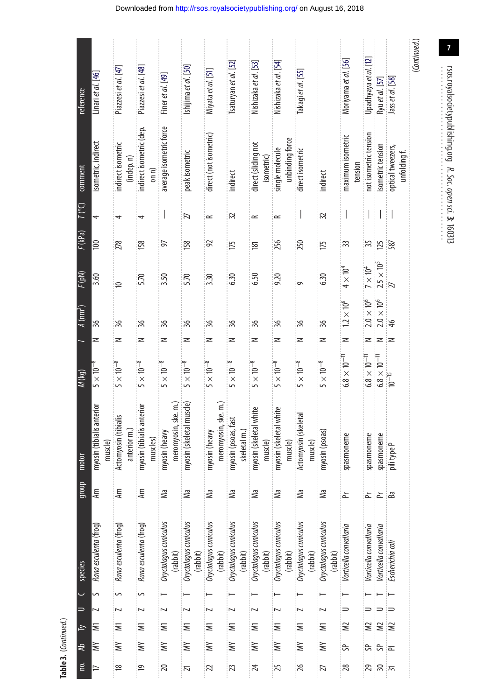|                     |                                      |                                      |                                            |                                       |                                   |                                      |                                     |                                   |                                    |                                   |                                   |                              |                              |                        |                                   | (Continued.) |
|---------------------|--------------------------------------|--------------------------------------|--------------------------------------------|---------------------------------------|-----------------------------------|--------------------------------------|-------------------------------------|-----------------------------------|------------------------------------|-----------------------------------|-----------------------------------|------------------------------|------------------------------|------------------------|-----------------------------------|--------------|
| reference           | Linari <i>et al.</i> [46]            | Piazzesi et al. [47]                 | Piazzesi et al. [48]                       | Finer et al. [49]                     | Ishijima et al. [50]              | Miyata et al. [51]                   | Tsaturyan et al. [52]               | Nishizaka et al. [53]             | Nishizaka et al. [54]              | Takagi et al. [55]                |                                   | Moriyama et al. [56]         | Jpadhyaya <i>et al.</i> [12] | Ryu <i>et al.</i> [57] | lass et al. [58]                  |              |
| comment             | isometric, indirect                  | ndirect isometric<br>(indep.n)       | indirect isometric (dep.<br>$\binom{m}{k}$ | average isometric force               | peak isometric                    | direct (not isometric)               | indirect                            | direct (sliding not<br>isometric) | unbinding force<br>single molecule | direct isometric                  | indirect                          | maximum isometric<br>tension | not isometric tension        | isometric tension      | optical tweezers,<br>unfolding f. |              |
| $\overline{I}$ (°C) | 4                                    | 4                                    | 4                                          |                                       | Ζ                                 | $\approx$                            | 52                                  | $\approx$                         | $\approx$                          |                                   | R                                 |                              |                              | İ                      | Ħ                                 |              |
| $F$ (kPa)           | $\approx$                            | 278                                  | 158                                        | 57                                    | 158                               | 92                                   | 175                                 | <b>isl</b>                        | 256                                | 250                               | 175                               | 33                           | 35                           | ig                     | 587                               |              |
| $F$ (pN)            | 3.60                                 | $\approx$                            | 5.70                                       | 3.50                                  | 5.70                              | 3.30                                 | 6.30                                | 6.50                              | 9.20                               | $\sigma$                          | 6.30                              | $4 \times 10^4$              | $7 \times 10^4$              | $2.5 \times 10^5$      | 27                                |              |
| A(nm <sup>2</sup> ) | 96                                   | 96                                   | 36                                         | 36                                    | 36                                | 36                                   | 96                                  | 36                                | 96                                 | 36                                | 36                                | $12\times10^6$               | $2.0 \times 10^6$            | ï٤<br>$2.0 \times$     | ి శ్రీ                            |              |
|                     | z                                    | z                                    | z                                          | z                                     | z                                 | z                                    | z                                   | z                                 | z                                  | z                                 | z                                 | z                            | z                            | z                      | z                                 |              |
| M(kq)               | $5 \times 10^{-8}$                   | $5\times10^{-8}$                     | $5\times10^{-8}$                           | $5\times10^{-8}$                      | $5 \times 10^{-8}$                | $5\times10^{-8}$                     | $5\times10^{-8}$                    | $5\times10^{-8}$                  | $5\times10^{-8}$                   | $5\times10^{-8}$                  | $5\times10^{-8}$                  | $6.8\times10^{-11}$          | $6.8\times10^{-11}$          | $6.8 \times 10^{-11}$  | $10^{-15}$                        |              |
| motor               | myosin (tibialis anterior<br>muscle) | Actomyosin (tibialis<br>anterior m.) | myosin (tibialis anterior<br>muscles)      | meromyosin, ske. m.)<br>myosin (heavy | myosin (skeletal muscle)          | meromyosin, ske. m.<br>myosin (heavy | myosin (psoas, fast<br>skeletal m.) | myosin (skeletal white<br>muscle) | myosin (skeletal white<br>muscle)  | Actomyosin (skeletal<br>muscle)   | myosin (psoas)                    | spasmoneme                   | spasmoneme                   | spasmoneme             | pili type P                       |              |
| dionb               | ÆΜ                                   | $\overline{4}$                       | Αm                                         | уа                                    | Ñа                                | Ñа                                   | S                                   | Ñа                                | Ñа                                 | la                                | la                                | ᇰ                            | ᇰ                            | $\frac{1}{\sqrt{2}}$   | ්ඨි                               |              |
| species             | Rana esculenta (frog)                | Rana esculenta (frog)                | Rana esculenta (froq)                      | Oryctolagus cuniculus<br>(rabbit)     | Oryctolagus cuniculus<br>(rabbit) | Oryctolagus cuniculus<br>(rabbit)    | Oryctolagus cuniculus<br>(rabbit)   | Oryctolagus cuniculus<br>(rabbit) | Oryctolagus cuniculus<br>(rabbit)  | Oryctolagus cuniculus<br>(rabbit) | Oryctolagus cuniculus<br>(rabbit) | Vorticella convallaria       | Vorticella convallaria       | Vorticella convallaria | Escherichia col.                  |              |
|                     | ∽                                    | S                                    | S                                          |                                       | ≔                                 |                                      |                                     |                                   |                                    |                                   | ⊢                                 |                              |                              |                        |                                   |              |
|                     | ∼                                    | Z                                    | Z                                          | Z                                     | Z                                 | Z                                    |                                     |                                   |                                    |                                   | Z                                 |                              |                              |                        |                                   |              |
| ∣≥                  | ₹                                    | Σ                                    | Σ                                          | Σ                                     | Σ                                 | ₹                                    | Ξ                                   | ₹                                 | Σ                                  | ₹                                 | Σ                                 | N2                           | ≌                            | i≳                     | ั≳                                |              |
| 4 <sup>b</sup>      | š                                    | $\geq$                               | $\geq$                                     | $\geq$                                | $\geq$                            | š                                    | ≧                                   | $\geq$                            | $\geq$                             | ⋚                                 | $\geq$                            | ᠳ                            | ᠳ                            | ႜ႕                     | ਼ੋਨ                               |              |
| Ξ.                  | 11                                   | $\approx$                            | 61                                         | $\overline{20}$                       | 21                                | 22                                   | 23                                  | 24                                | 25                                 | 92                                | 27                                | $^{28}$                      | 29                           | ്റ്റ്                  | ਂਨ੍ਹ                              |              |

 $\overline{7}$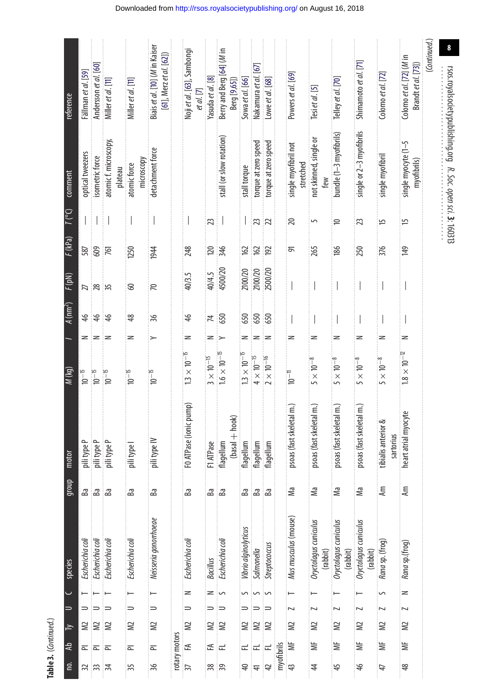| S.             | 4b                                                                                                      | ≧         |                          |        | species                           | dionb        | motor                                                                    | M (kg)               |   | $A$ (nm <sup>2</sup> ) | F(pN)     | F (kPa)         | $T^{\rm (°)}$ | comment                                                     | reference                                                 |
|----------------|---------------------------------------------------------------------------------------------------------|-----------|--------------------------|--------|-----------------------------------|--------------|--------------------------------------------------------------------------|----------------------|---|------------------------|-----------|-----------------|---------------|-------------------------------------------------------------|-----------------------------------------------------------|
| 32             | ᇎ                                                                                                       | ≋         |                          |        | Escherichia coli                  | <u>ದಿ ನಿ</u> |                                                                          | $10^{-15}$           | z | 4.8                    | 27        | 587             |               | optical tweezers                                            | Fällman et al. [59]                                       |
| $\frac{3}{2}$  | ≔                                                                                                       | <b>SP</b> |                          |        | Escherichia coli                  |              | pilitype P<br>pilitype P<br>pilitype P                                   | $10^{-15}$           | z |                        | :28       | 609             |               | isometric force                                             | Andersson et al. [60]                                     |
| ়ুশ্           | ≔                                                                                                       | ່≷        |                          |        | Escherichia coli                  | ිකි          |                                                                          | $10^{-15}$           | z | ୍କୁ                    | ္ခ်က္က    | ্বি             | Ħ             | atomic f. microscopy,<br>plateau                            | Miller et al. [11]                                        |
| 35             | ᆮ                                                                                                       | N)        | ⋍                        |        | Escherichia coli                  | Ba           | pili type I                                                              | $10^{-15}$           | z | 48                     | 8         | 1250            |               | microscopy<br>atomic force                                  | Miller et al. [11]                                        |
| 36             | ᆮ                                                                                                       | <b>N2</b> | $\Rightarrow$            |        | Neisseria gonorthoeae             | Ba           | pili type IV                                                             | $10^{-15}$           |   | 36                     | $\approx$ | 1944            |               | detachment force                                            | Biais et al. [10] (M in Kaiser<br>[61], Merz et al. [62]) |
|                | rotary motors                                                                                           |           |                          |        |                                   |              |                                                                          |                      |   |                        |           |                 |               |                                                             |                                                           |
| $\frac{1}{2}$  | $\mathbb{E}% _{a}^{X^{\prime}}(\mathbb{R}_{a},a_{a})=\mathbb{E}_{a}^{X^{\prime}}(\mathbb{R}_{a},a_{a})$ | N         | $\Rightarrow$            | $\geq$ | Escherichia coli                  | Ba           | Pase (ionic pump)<br>FO AT                                               | $13 \times 10^{-15}$ | z | $\frac{4}{6}$          | 40/3.5    | 248             |               |                                                             | Noji <i>et al.</i> [63], Sambongi<br>et al. [7]           |
| 38             | ₹                                                                                                       | N)        |                          |        | <b>Bacillus</b>                   | Ba           | Pase<br>FIAT                                                             | $3 \times 10^{-15}$  | z | И                      | 40/4.5    | $\overline{20}$ | 23            |                                                             | Yasuda et al. [8]                                         |
| ွဲတွ           | ≔                                                                                                       | iSi       |                          |        | Escherichia coli                  | ್ಷ           | flagellum                                                                | $1.6\times10^{-15}$  |   | 650                    | 4500/20   | 346             | Ħ             | stall (or slow rotation)                                    | Berry and Berg [64] (M in<br>Berg [9,65])                 |
| $\overline{4}$ | 군                                                                                                       | N)        |                          |        | Vibrio alginolyticus              | Ba           | $\begin{array}{c} \text{(basal + hook)} \\ \text{flagellum} \end{array}$ | $13\times10^{-15}$   | z | 650                    | 2100/20   | 162             |               | stall torque                                                | Sowa et al. [66]                                          |
| ंच             | 屋                                                                                                       | iS.       |                          |        | Salmonella                        | Ba           | illen<br>III<br>flagel                                                   | $4 \times 10^{-15}$  | z | 650                    | 2100/20   | 162             | ្ងង           | torque at zero speed                                        | Nakamura et al. [67]                                      |
| i<br>4         | [로                                                                                                      | ି≅        |                          |        | Streptococcus                     | ്ഷ           | llum<br>flagel                                                           | $2\times10^{-16}$    | z | 650                    | 2500/20   | $\frac{1}{92}$  |               | torque at zero speed                                        | Lowe et $al.$ [68]                                        |
|                | myofibrils                                                                                              |           |                          |        |                                   |              |                                                                          |                      |   |                        |           |                 |               |                                                             |                                                           |
| i¥             | ₩                                                                                                       | N)        | Z                        |        | Mus musculus (mouse)              | ŊД           | psoas (fast skeletal m.)                                                 | $10^{-11}$           | z |                        |           | 5               | 20            | single myofibril not<br>stretched                           | Powers et al. [69]                                        |
| \$             | ξË                                                                                                      | N)        | $\overline{\phantom{1}}$ |        | Oryctolagus cuniculus<br>(rabbit) | S            | psoas (fast skeletal m.)                                                 | $5 \times 10^{-8}$   | z |                        |           | 265             | 5             | not skinned, single or<br>few                               | Tesi et al. [5]                                           |
| 45             | ₹                                                                                                       | N)        | Z                        |        | Oryctolagus cuniculus<br>(rabbit) | Ñа           | s (fast skeletal m.)<br>psoas                                            | $5\times10^{-8}$     | z |                        |           | 981             | $\approx$     | bundle (1-3 myofibrils)                                     | Telley et al. [70]                                        |
| \$             | ₩                                                                                                       | N)        | Z                        |        | Oryctolagus cuniculus<br>(rabbit) | S            | psoas (fast skeletal m.)                                                 | $5\times10^{-8}$     | z |                        |           | 250             | Σ             | single or 2-3 myofibrils                                    | Shimamoto et al. [71]                                     |
| A)             | ξĖ                                                                                                      | N)        | Z                        | S      | Rana sp. (frog)                   | Æ            | lis anterior &<br>sartorius<br>tibiali                                   | $5 \times 10^{-8}$   | z |                        |           | 376             | 5             | single myofibril                                            | Colomo et al. [72]                                        |
| $\frac{8}{3}$  | 妛                                                                                                       | N)        | Z                        | z      | Rana sp.(frog)                    | ξ            | atrial myocyte<br>heart                                                  | $1.8\times10^{-12}$  | z |                        |           | 149             | 15            | single myocyte (1-5<br>myofibrils)                          | Colomo et al. [72] (M in<br>Brandt et $a$ l. $[73]$       |
|                |                                                                                                         |           |                          |        |                                   |              |                                                                          |                      |   |                        |           |                 |               |                                                             | (Continued.)                                              |
|                |                                                                                                         |           |                          |        |                                   |              |                                                                          |                      |   |                        |           |                 |               | rsos.royalsocietypublishing.org R. Soc. open sci. 3: 160313 | 8                                                         |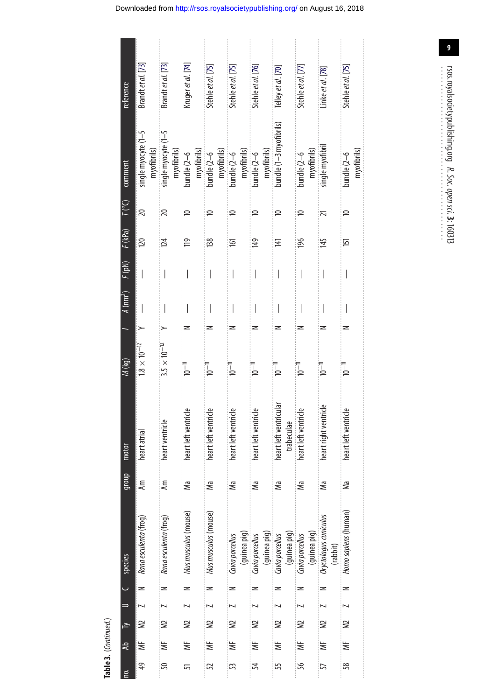|   |           |  | Ab Ty U C species                 | dhoub            | ē<br>$\overline{e}$                  | $M$ (kg)              |   | $A(nm^2)$ $F(pN)$ | F(kPa)          | $T$ (°C)  | comment                            | reference          |
|---|-----------|--|-----------------------------------|------------------|--------------------------------------|-----------------------|---|-------------------|-----------------|-----------|------------------------------------|--------------------|
| ₩ | $\approx$ |  | Rana esculenta (frog)             | ξ                | heart atrial                         | $1.8 \times 10^{-12}$ | ≻ |                   | $\overline{20}$ | 20        | single myocyte (1-5<br>myofibrils) | Brandt et al. [73] |
| ₩ | $\approx$ |  | Rana esculenta (frog)             | <b>Am</b>        | rt ventricle<br>hea                  | $3.5\times10^{-12}$   |   |                   | 124             | 20        | single myocyte (1-5<br>myofibrils) | Brandt et al. [73] |
| ⋚ | $\approx$ |  | Mus musculus (mouse)              | Ñа               | rt left ventricle<br>hea             | $10 - 11$             |   |                   | $\overline{=}$  | ≘         | myofibrils)<br>bundle $(2-6)$      | (ruger et al. [74] |
| ₩ | $\approx$ |  | Mus musculus (mouse)              | Ñа               | heart left ventricle                 | $10 - 01$             |   |                   | $\frac{8}{2}$   | $\approx$ | myofibrils)<br>bundle $(2-6)$      | Stehle et al. [75] |
| ₹ | $\approx$ |  | (guinea pig)<br>Cavia porcellus   | Ñа               | rt left ventricle<br>hea             | $10 - 11$             |   |                   | 运               | ≘         | myofibrils)<br>bundle $(2-6)$      | Stehle et al. [75] |
| ₩ | $\approx$ |  | (guinea pig)<br>Cavia porcellus   | уа               | irt left ventricle<br>hea            | $10 - 11$             |   |                   | 49              | ≘         | myofibrils)<br>bundle $(2-6)$      | Stehle et al. [76] |
| ₹ | $\approx$ |  | (guinea pig)<br>Cavia porcellus   | уа               | heart left ventricular<br>trabeculae | $10^{-11}$            |   |                   | 臣               | ≘         | bundle (1–3 myofibrils)            | Telley et al. [70] |
| ₹ | $\approx$ |  | (guinea pig)<br>Cavia porcellus   | la               | heart left ventricle                 | $\frac{1}{10}$        |   |                   | 96              | $\approx$ | myofibrils)<br>bundle $(2-6)$      | Stehle et al. [77] |
| ₩ | $\approx$ |  | Oryctolagus cuniculus<br>(rabbit) | Ñа               | rt right ventricle<br>hea            | דו≔<br>10             |   |                   | 145             | 21        | single myofibril                   | inke et al. [78]   |
| ₹ | $\approx$ |  | Homo sapiens (human)              | $\sum_{i=1}^{n}$ | rt left ventricle<br>hea             | $10^{-11}$            |   |                   | 151             | $\approx$ | myofibrils)<br>bundle $(2-6)$      | Stehle et al. [75] |

### Downloaded from http://rsos.royalsocietypublishing.org/ on August 16, 2018

 $\overline{9}$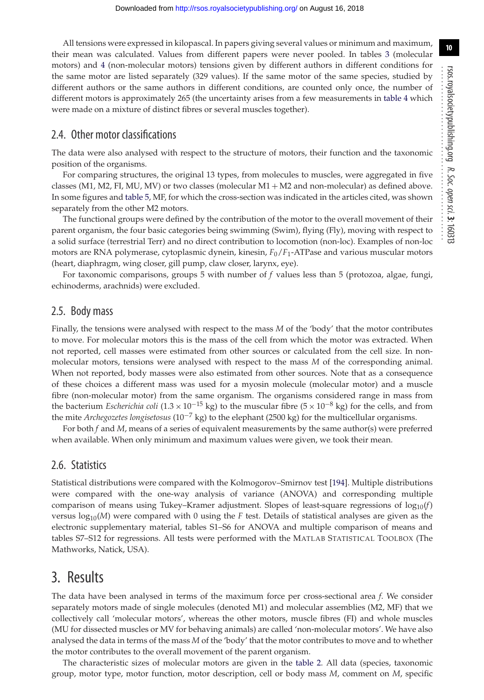All tensions were expressed in kilopascal. In papers giving several values or minimum and maximum, their mean was calculated. Values from different papers were never pooled. In tables [3](#page-5-0) (molecular motors) and [4](#page-10-0) (non-molecular motors) tensions given by different authors in different conditions for the same motor are listed separately (329 values). If the same motor of the same species, studied by different authors or the same authors in different conditions, are counted only once, the number of different motors is approximately 265 (the uncertainty arises from a few measurements in [table 4](#page-10-0) which were made on a mixture of distinct fibres or several muscles together).

# 2.4. Other motor classifications

The data were also analysed with respect to the structure of motors, their function and the taxonomic position of the organisms.

For comparing structures, the original 13 types, from molecules to muscles, were aggregated in five classes (M1, M2, FI, MU, MV) or two classes (molecular  $M1 + M2$  and non-molecular) as defined above. In some figures and [table 5,](#page-29-0) MF, for which the cross-section was indicated in the articles cited, was shown separately from the other M2 motors.

The functional groups were defined by the contribution of the motor to the overall movement of their parent organism, the four basic categories being swimming (Swim), flying (Fly), moving with respect to a solid surface (terrestrial Terr) and no direct contribution to locomotion (non-loc). Examples of non-loc motors are RNA polymerase, cytoplasmic dynein, kinesin, *F*0/*F*1-ATPase and various muscular motors (heart, diaphragm, wing closer, gill pump, claw closer, larynx, eye).

For taxonomic comparisons, groups 5 with number of *f* values less than 5 (protozoa, algae, fungi, echinoderms, arachnids) were excluded.

#### 2.5. Body mass

Finally, the tensions were analysed with respect to the mass *M* of the 'body' that the motor contributes to move. For molecular motors this is the mass of the cell from which the motor was extracted. When not reported, cell masses were estimated from other sources or calculated from the cell size. In nonmolecular motors, tensions were analysed with respect to the mass *M* of the corresponding animal. When not reported, body masses were also estimated from other sources. Note that as a consequence of these choices a different mass was used for a myosin molecule (molecular motor) and a muscle fibre (non-molecular motor) from the same organism. The organisms considered range in mass from the bacterium *Escherichia coli* (1.3 × 10<sup>-15</sup> kg) to the muscular fibre (5 × 10<sup>-8</sup> kg) for the cells, and from the mite *Archegozetes longisetosus* (10−<sup>7</sup> kg) to the elephant (2500 kg) for the multicellular organisms.

For both *f* and *M*, means of a series of equivalent measurements by the same author(s) were preferred when available. When only minimum and maximum values were given, we took their mean.

#### 2.6. Statistics

Statistical distributions were compared with the Kolmogorov–Smirnov test [\[194\]](#page-42-0). Multiple distributions were compared with the one-way analysis of variance (ANOVA) and corresponding multiple comparison of means using Tukey–Kramer adjustment. Slopes of least-square regressions of  $log_{10}(f)$ versus log10(*M*) were compared with 0 using the *F* test. Details of statistical analyses are given as the electronic supplementary material, tables S1–S6 for ANOVA and multiple comparison of means and tables S7–S12 for regressions. All tests were performed with the MATLAB STATISTICAL TOOLBOX (The Mathworks, Natick, USA).

# 3. Results

The data have been analysed in terms of the maximum force per cross-sectional area *f*. We consider separately motors made of single molecules (denoted M1) and molecular assemblies (M2, MF) that we collectively call 'molecular motors', whereas the other motors, muscle fibres (FI) and whole muscles (MU for dissected muscles or MV for behaving animals) are called 'non-molecular motors'. We have also analysed the data in terms of the mass *M* of the 'body' that the motor contributes to move and to whether the motor contributes to the overall movement of the parent organism.

The characteristic sizes of molecular motors are given in the [table 2.](#page-4-0) All data (species, taxonomic group, motor type, motor function, motor description, cell or body mass *M*, comment on *M*, specific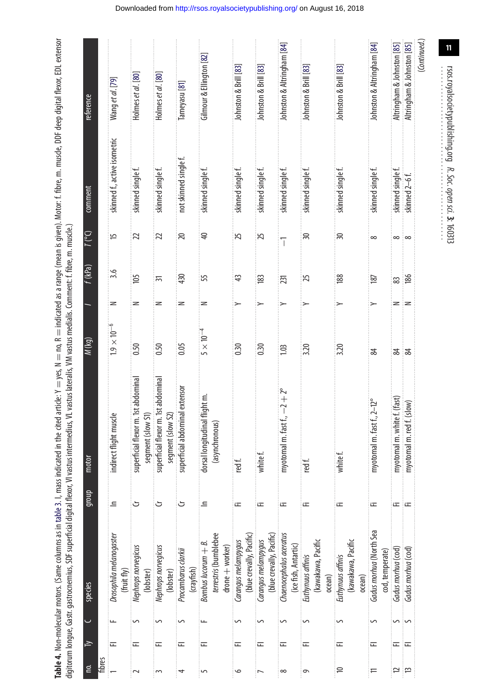Table 4. Non-molecular motors. (Same columns as in table 3.1, mass indicated in the cited article: Y = yes, N = no, R = indicated as a range (mean is given). Motor: f. fibre, m. muscle, DDF deep digital flexor, EDL extens digitorum longue, Gastr, gastrocnemius, SDF superficial digital flexor. VI vastus intermedius, VL vastus Heralis, VM vastus medialis, Comment: f. fibre, m. muscle.)

| S<br>S<br>S<br>ᄄ<br>ᇎ<br>ᄒ<br>ᄄ<br>fibres<br>$\sim$<br>$\sim$<br>4 | Drosophila melanogaster<br>Nephrops norvegicus<br>(fruit fly)<br>(lobster)                 |          |                                                               |                    |   |               |                 |                              |                            |
|--------------------------------------------------------------------|--------------------------------------------------------------------------------------------|----------|---------------------------------------------------------------|--------------------|---|---------------|-----------------|------------------------------|----------------------------|
|                                                                    |                                                                                            |          |                                                               |                    |   |               |                 |                              |                            |
|                                                                    |                                                                                            | ≘        | indirect flight muscle                                        | $1.9\times10^{-6}$ | z | 3.6           | 15              | skinned f., active isometric | Wang et al. [79]           |
|                                                                    |                                                                                            | ت        | superficial flexor m. 1st abdominal<br>segment (slow S1)      | 0.50               | z | 105           | 22              | skinned single f.            | Holmes et al. [80]         |
|                                                                    | Nephrops norvegicus<br>(lobster)                                                           | ت        | icial flexor m. 1st abdominal<br>segment (slow S2)<br>superfi | 0.50               | z | 31            | 22              | skinned single f.            | Holmes et al. [80]         |
|                                                                    | Procambarus clarkii<br>(crayfish)                                                          | ت        | superficial abdominal extensor                                | 0.05               | z | 430           | $\overline{20}$ | not skinned single f.        | Tameyasu [81]              |
| щ<br>ᄄ<br>5                                                        | terrestris (bumblebee<br>$\mathit{Bombus}$ lucorum $+ \mathit{B}.$<br>$d$ rone $+$ worker) | $\equiv$ | longitudinal flight m<br>(asynchronous)<br>$d$ orsal $\vert$  | $5\times10^{-4}$   | z | 55            | $\overline{4}$  | skinned single f.            | Gilmour & Ellington [82]   |
| S<br>ᇎ<br>ص                                                        | (blue crevally, Pacific)<br>Carangus melampygus                                            | 匞        | red f.                                                        | 0.30               | ≻ | \$            | Я               | skinned single f.            | Johnston & Brill [83]      |
| S<br>ᄄ                                                             | (blue crevally, Pacific)<br>Carangus melampygus                                            | 匞        | white 1                                                       | 0.30               |   | $\frac{8}{3}$ | Я               | skinned single f.            | Johnston & Brill [83]      |
| S<br>ᄄ<br>$\infty$                                                 | Chaenocephalus aceratus<br>(ice fish, Antartic)                                            | 匞        | myotomal m. fast f., $-2 + 2^{\circ}$                         | 1.03               |   | 231           | $\overline{1}$  | skinned single f.            | Johnston & Altringham [84] |
| S<br>ᄄ<br>$\sigma$                                                 | (kawakawa, Pacific<br>Euthynuus affinis<br>ocean)                                          | 江        | red f.                                                        | 3.20               |   | Я             | వె              | skinned single f.            | Johnston & Brill [83]      |
| S<br>ᄄ<br>≘                                                        | (kawakawa, Pacific<br>Euthynuus affinis<br>ocean)                                          | 匞        | white 1                                                       | 3.20               | ≻ | 188           | $\approx$       | skinned single f.            | Johnston & Brill [83]      |
| S<br>ᆮ<br>$\equiv$                                                 | Gadus morhua (North Sea<br>cod, temperate)                                                 | 匸        | mal m. fast f., 2-12°<br>myotor                               | 84                 |   | 187           | ∞               | skinned single f.            | Johnston & Altringham [84] |
| S<br>ᇎ<br>≌ ≔                                                      | Gadus morhua (cod)                                                                         | 匞        | myotomal m. white f. (fast)                                   | S4                 | z | 83            | $\infty$        | skinned single f.            | Altringham & Johnston [85] |
| 江                                                                  | Gadus morhua (cod)                                                                         | 江        | myotomal m. red f. (slow)                                     | ंद्र               | ≔ | 186           | ்∞              | skinned 2-6f.                | Altringham & Johnston [85] |

#### Downloaded from http://rsos.royalsocietypublishing.org/ on August 16, 2018

 $11$ 

<span id="page-10-0"></span>rsos.royalsocietypublishing.org R. Soc. open sci. 3: 160313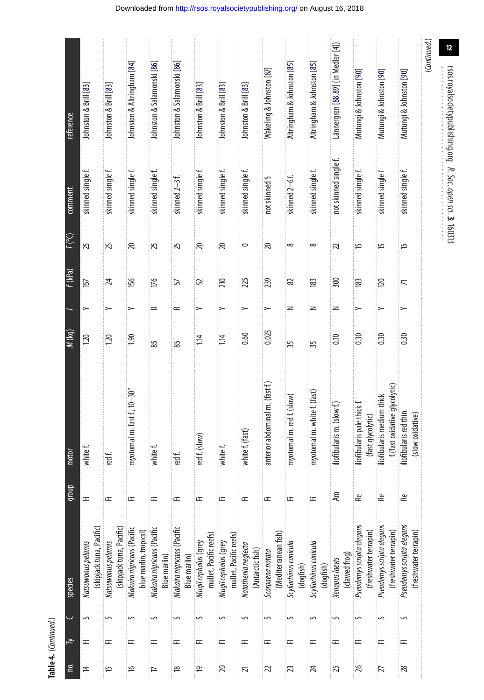| 12<br>rsos.royalsocietypublishing.org | R. Soc. open sci. 3: 160313 |                 |                |           |          |                                                              |                |                                                      |        |   |                |
|---------------------------------------|-----------------------------|-----------------|----------------|-----------|----------|--------------------------------------------------------------|----------------|------------------------------------------------------|--------|---|----------------|
| (Continued.)                          |                             |                 |                |           |          |                                                              |                |                                                      |        |   |                |
| Mutungi & Johnston [90]               | skinned single f.           | 15              | $\overline{r}$ | >         | 0.30     | fibularis red thin<br>(slow oxidative)<br>ilio               | Re             | Pseudemys scripta elegans<br>(freshwater terrapin)   | ం      | ᆮ | $\frac{28}{2}$ |
| Mutungi & Johnston [90]               | skinned single f            | 15              | 120            | >         | 0.30     | f.(fast oxidative glycolytic)<br>fibularis medium thick<br>≣ | ٩è             | Pseudemys scripta elegans<br>(freshwater terrapin)   | S      | ᆮ | 27             |
| Mutungi & Johnston [90]               | skinned single f.           | 15              | $\approx$      | ≻         | 0.30     | fibularis pale thick f.<br>(fast glycolytic)<br>≝            | ٩è             | Pseudemys scripta elegans<br>(freshwater terrapin)   | S      | ᇎ | 92             |
| Lännergren [88,89] (in Medler [4])    | not skinned single f.       | $\mathcal{Z}$   | 300            | z         | 0.10     | fibularis m. (slow f.)<br>言                                  | $\overline{4}$ | (clawed frog)<br>Xenopus laevis                      | $\sim$ | ᆮ | Z5             |
| Altringham & Johnston [85]            | skinned single f.           | $\infty$        | 183            | z         | 35       | myotomal m. white f. (fast)                                  | 匞              | Scyliorhinus canicula<br>(dogfish)                   | S      | ᄄ | 24             |
| Altringham & Johnston [85]            | skinned 2-6 f.              | ∞               | 82             | z         | 35       | myotomal m. red f. (slow)                                    | ᇆ              | Scyliorhinus canicula<br>(dogfish)                   | S      | ᆮ | Σ              |
| Wakeling & Johnston [87]              | not skinned \$              | $\overline{20}$ | 239            | >         | 0.023    | anterior abdominal m. (fast f.)                              | 匞              | (Mediterranean fish)<br>Scorpaena notata             | S      | ᆮ | 22             |
| Johnston & Brill [83]                 | skinned single f.           | $\circ$         | 25             | >         | 0.60     | lite f. (fast)<br>Ϊ                                          | 匞              | Notothenia neglecta<br>(Antarctic fish)              | S      | ᆮ | π              |
| Johnston & Brill [83]                 | skinned single f.           | $\approx$       | 210            | ≻         | 1.14     | ite f.<br>Ϊ                                                  | ᇆ              | mullet, Pacific reefs)<br>Mugil cephalus (grey       | S      | ᆮ | $\approx$      |
| Johnston & Brill [83]                 | skinned single f.           | $\overline{20}$ | 52             |           | 1.14     | If. (slow)<br>red                                            | 匞              | mullet, Pacific reefs)<br>Mugil cephalus (grey       | S      | ᆮ | $\overline{9}$ |
| Johnston & Salamonski [86]            | skinned 2-3f.               | 25              | ら              | $\approx$ | 85       | ىپ:<br>red                                                   | 匞              | Makaira nigricans (Pacific<br>Blue marlin)           | S      | ᆮ | $\approx$      |
| Johnston & Salamonski [86]            | skinned single f.           | Σ               | 176            | $\approx$ | 85       | white f.                                                     | 匞              | Makaira nigricans (Pacific<br>Blue marlin)           | $\sim$ | ᆮ | ₽              |
| Johnston & Altringham [84]            | skinned single f.           | 20              | 156            | >         | 1.90     | myotomal m. fast f., 10-30°                                  | 匞              | Makaira nigricans (Pacific<br>blue marlin, tropical) | S      | ᆮ | $\approx$      |
| Johnston & Brill [83]                 | skinned single f.           | 25              | 24             | ≻         | 1.20     | red                                                          | 匞              | (skipjack tuna, Pacific)<br>Katsuwonus pelamis       | S      | ᆮ | 5              |
| Johnston & Brill [83]                 | skinned single f.           | R               | 157            | >         | 1.20     | ite f.<br>Ϊ                                                  | 匞              | (skipjack tuna, Pacific)<br>Katsuwonus pelamis       |        |   | 与              |
| reference                             | comment                     | $1^{\circ}$     | f(kPa)         |           | $M$ (kg) | motor                                                        | dholb          | species                                              |        | ≧ | ΓÖ.            |

Downloaded from http://rsos.royalsocietypublishing.org/ on August 16, 2018

 $\begin{array}{c}\n\hline\n\end{array}$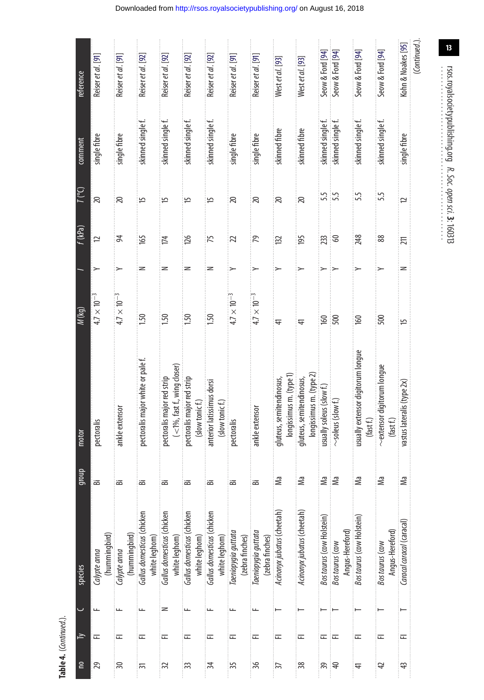| $\approx$      | ≧ |   | species                                                     | dioub | motor                                                         | M(kq)                |   | f(kPa)   | $T^{\circ}$ C   | comment           | reference          |
|----------------|---|---|-------------------------------------------------------------|-------|---------------------------------------------------------------|----------------------|---|----------|-----------------|-------------------|--------------------|
| 29             | ᆮ |   | Calypte anna                                                | ≌     | pectoralis                                                    | $4.7 \times 10^{-3}$ | > | 12       | $\overline{20}$ | single fibre      | Reiser et al. [91] |
|                |   |   | (hummingbird)                                               |       |                                                               |                      |   |          |                 |                   |                    |
| న్             | ᆮ |   | (hummingbird)<br>Gallus domesticus (chicken<br>Calypte anna | ≌     | ankle extensor                                                | $4.7\times10^{-3}$   | ≻ | 54       | 20              | single fibre      | Reiser et al. [91] |
| 55             | ᆮ |   | white leghorn)                                              | ≌     | pectoralis major white or pale f.                             | 1.50                 | z | 165      | 15              | skinned single f. | Reiser et al. [92] |
| 52             | ᆮ | z | Gallus domesticus (chicken<br>white leghorn)                | ≌     | $(<1\%$ , fast f., wing closer)<br>pectoralis major red strip | <b>1.50</b>          | z | 174      | 15              | skinned single f. | Reiser et al. [92] |
| ೫              | ᆮ |   | Gallus domesticus (chicken<br>white leghorn)                | ≌     | pectoralis major red strip<br>(slow tonic f.)                 | 1.50                 | z | 126      | 15              | skinned single f. | Reiser et al. [92] |
| ≭              | ᄄ |   | Gallus domesticus (chicken<br>white leghorn)                | ≔     | anterior latissimus dorsi<br>(slow tonic f.)                  | 1.50                 | z | 75       | 15              | skinned single f. | Reiser et al. [92] |
| 35             | ᆮ |   | Taeniopygia guttata<br>(zebra finches)                      | ≌     | pectoralis                                                    | $4.7\times10^{-3}$   | ≻ | 22       | 20              | single fibre      | Reiser et al. [91] |
| 96             | ᆮ |   | Taeniopygia guttata<br>(zebra finches)                      | ≌     | ankle extensor                                                | $4.7\times10^{-3}$   |   | 79       | 20              | single fibre      | Reiser et al. [91] |
| 57             | ᆮ |   | Acinonyx jubatus (cheetah)                                  | ÑД    | longissimus m. (type 1)<br>gluteus, semitendinosus,           | 与                    |   | 32       | 20              | skinned fibre     | West et al. [93]   |
| 38             | ᆮ |   | Acinonyx jubatus (cheetah)                                  | уа    | longissimus m. (type 2)<br>gluteus, semitendinosus,           | 与                    |   | 195      | 20              | skinned fibre     | West et al. [93]   |
| 39             | ᆮ |   | Bos taurus (cow Holstein)                                   | Ñа    | usually soleus (slow f.)                                      | <b>SO</b>            |   | 23       | 55              | skinned single f. | Seow & Ford [94]   |
| $\overline{4}$ | 江 |   | Angus-Hereford)<br>Bos taurus (cow                          | Ŋа    | $\sim$ soleus (slow f.)                                       | 500                  | ⋗ | $\infty$ | $\frac{1}{5}$   | skinned single f. | Seow & Ford [94]   |
| ユ              | ᄄ |   | Bos taurus (cow Holstein)                                   | ŠМ    | usually extensor digitorum longue<br>(fast f.)                | 160                  |   | 248      | 55              | skinned single f. | Seow & Ford [94]   |
| 42             | ᆮ |   | Angus-Hereford)<br><b>Bos taurus</b> (cow                   | Ŵа    | ~extensor digitorum longue<br>(fast f.)                       | 500                  | > | 88       | 5.5             | skinned single f. | Seow & Ford [94]   |
| 43             | ᄄ |   | Caracal caracal (caracal)                                   | Ñа    | vastus lateralis (type 2x)                                    | 15                   | z | 211      | 12              | single fibre      | Kohn & Noakes [95] |
|                |   |   |                                                             |       |                                                               |                      |   |          |                 |                   | (Continued.)       |

B

rsos.royalsocietypublishing.org  $R$ . Soc. *open sci*. 3: 160313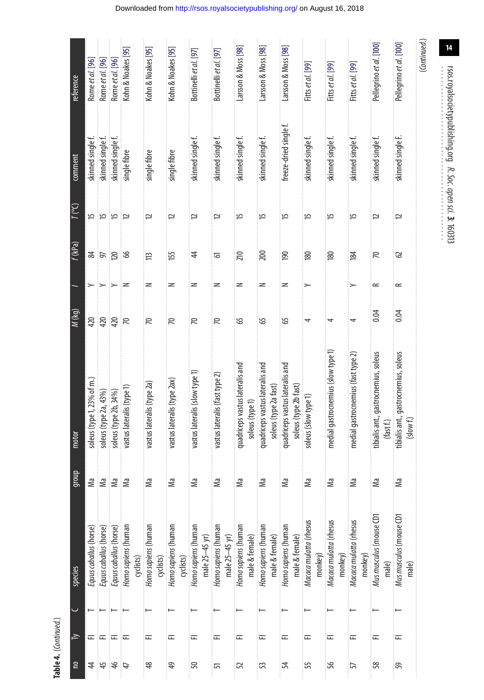| ۰ |
|---|
|   |
| í |
|   |
|   |
|   |

| S                |   | species                               | dioub | motor                                                    | M (kg)    |           | $f$ (kPa)      | $T^{\circ}$ C               | comment                         | reference               |
|------------------|---|---------------------------------------|-------|----------------------------------------------------------|-----------|-----------|----------------|-----------------------------|---------------------------------|-------------------------|
| $\ddot{a}$       | ᆮ | Equus caballus (horse)                | ≳็∶≋ิ | soleus (type 1, 23% of m.                                | 420       |           | S4             | 51                          | skinned single f.               | Rome et al. [96]        |
| $\frac{1}{4}$    | ≔ | Equus caballus (horse)                |       | soleus (type 2a, 43%)                                    | 420       |           | $\overline{5}$ | ்த                          | skinned single f.               | Rome et al. [96]        |
| ್<br>ಕ           | ட | Equus caballus (horse)                | i≌    | soleus (type 2b, 34%)                                    | 420       |           | $\frac{1}{20}$ | ்ட                          | skinned single f.               | Rome et al. [96]        |
| $\ddot{\vec{r}}$ |   | Homo sapiens (human<br>cyclists)      | ່≳ື   | vastus lateralis (type 1)                                | ່ຂ        | ≔         | ిక             | ≔                           | single fibre                    | Kohn & Noakes [95]      |
| $\frac{8}{3}$    | ᄄ | Homo sapiens (human<br>cyclists)      | ÑД    | vastus lateralis (type 2a)                               | R         | z         | 13             | 12                          | single fibre                    | Kohn & Noakes [95]      |
| $\overline{6}$   | ᆮ | Homo sapiens (human<br>cyclists)      | ŠЯ    | vastus lateralis (type 2ax)                              | $\approx$ | z         | 155            | 12                          | single fibre                    | Kohn & Noakes [95]      |
| 50               | ᄄ | Homo sapiens (human<br>male 25–45 yr) | la    | vastus lateralis (slow type 1)                           | 70        | z         | \$             | 12                          | skinned single f.               | Bottinelli et al. [97]  |
| 55               | ᆮ | Homo sapiens (human<br>male 25-45 yr) | ∕≌    | vastus lateralis (fast type 2)                           | 70        | z         | ভ              | 12                          | skinned single f.               | Bottinelli et al. [97]  |
| 52               | ᄄ | Homo sapiens (human<br>male & female) | ౾     | quadriceps vastus lateralis and<br>soleus (type 1)       | 9         | z         | 210            | 5t                          | skinned single f.               | arsson & Moss [98]      |
| S                | ᆮ | Homo sapiens (human<br>male & female) | δÑ    | quadriceps vastus lateralis and<br>soleus (type 2a fast) | 59        | z         | $\approx$      | 15                          | skinned single f                | Larsson & Moss [98]     |
| 겇                | ᄄ | Homo sapiens (human<br>male & female) | ŠЯ    | quadriceps vastus lateralis and<br>soleus (type 2b fast) | 65        | z         | <b>SGL</b>     | İ5                          | freeze-dried single f.          | Larsson & Moss [98]     |
| 55               | ᄄ | Macaca mulatta (rhesus<br>monkey)     | ₩     | soleus (slow type 1)                                     | 4         | >         | 180            | 15                          | skinned single f.               | Fitts et al. [99]       |
| 56               | ᆮ | Macaca mulatta (rhesus<br>monkey)     | La    | medial gastrocnemius (slow type 1)                       | 4         |           | 180            | 15                          | skinned single f.               | Fitts et al. [99]       |
| 5                | ᆮ | Macaca mulatta (rhesus<br>monkey)     | la    | medial gastrocnemius (fast type 2)                       | 4         |           | $\frac{1}{84}$ | 15                          | skinned single f.               | Fitts et al. [99]       |
| 58               | ᄄ | Mus musculus (mouse CD1<br>male)      | Ŵа    | tibialis ant., gastrocnemius, soleus<br>(fast f.)        | 0.04      | $\approx$ | $\approx$      | 12                          | skinned single f.               | Pellegrino et al. [100] |
| 59               | ᄄ | Mus musculus (mouse CD1<br>male)      | ιŠ    | tibialis ant., gastrocnemius, soleus<br>(slow f.)        | 0.04      | $\approx$ | Q              | 12                          | skinned single F.               | Pellegrino et al. [100] |
|                  |   |                                       |       |                                                          |           |           |                | R. Soc. open sci. 3: 160313 | rsos.royalsocietypublishing.org | (Continued.)<br>14      |

 $\overline{14}$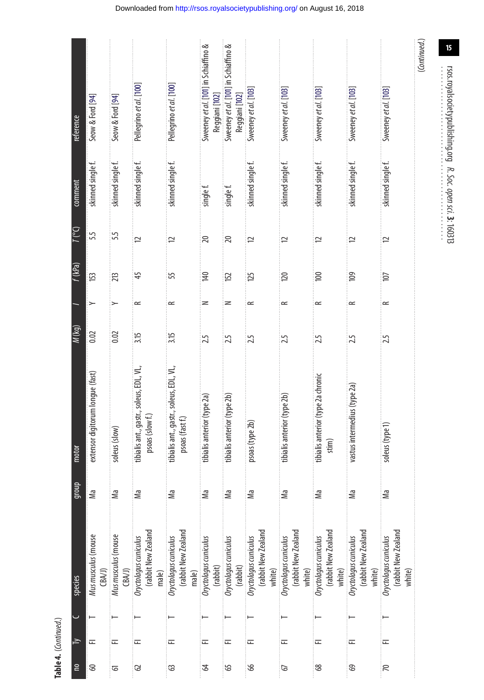| S |   |   | species                                                | dhoib | motor                                                      | M (kg)        |           | f(kPa)         | $\bigcirc$      | comment           | reference                                              |
|---|---|---|--------------------------------------------------------|-------|------------------------------------------------------------|---------------|-----------|----------------|-----------------|-------------------|--------------------------------------------------------|
|   | ᄄ |   | Mus musculus (mouse<br>(BA/J)                          | Ñа    | extensor digitorum longue (fast)                           | 0.02          | >         | 53             | 5.5             | skinned single f. | Seow & Ford [94]                                       |
|   | ᄄ |   | Mus musculus (mouse<br>(BA/J)                          | la    | ileus (slow)<br>ड़                                         | 0.02          | >         | 213            | 5.5             | skinned single f. | Seow & Ford [94]                                       |
|   | ᆮ |   | (rabbit New Zealand<br>Oryctolagus cuniculus<br>male)  | la    | tibialis ant., gastr., soleus, EDL, VL,<br>psoas (slow f.) | 3.15          | $\approx$ | 45             | 12              | skinned single f. | Pellegrino et al. [100]                                |
|   | ᆮ |   | (rabbit New Zealand<br>Oryctolagus cuniculus<br>male)  | Ñа    | tibialis ant., gastr., soleus, EDL, VL,<br>psoas (fast f.) | 3.15          | $\approx$ | 55             | 12              | skinned single f. | Pellegrino et al. [100]                                |
|   | ᆮ |   | Oryctolagus cuniculus<br>(rabbit)                      | la    | ialis anterior (type 2a)<br>€                              | 2.5           | z         | $\frac{40}{5}$ | $\overline{20}$ | single f.         | Sweeney et al. [101] in Schiaffino &<br>Reggiani [102] |
|   | ᆮ |   | Oryctolagus cuniculus<br>(rabbit)                      | ÑД    | vialis anterior (type 2b)<br>€                             | $\frac{5}{2}$ | z         | 152            | $\overline{20}$ | single f.         | Sweeney et al. [101] in Schiaffino &<br>Reggiani [102] |
|   | ᄄ | ⊢ | (rabbit New Zealand<br>Oryctolagus cuniculus<br>white) | Ñа    | psoas (type 2b)                                            | 2.5           | $\approx$ | 125            | 12              | skinned single f. | Sweeney et al. [103]                                   |
|   | ᄄ |   | (rabbit New Zealand<br>Oryctolagus cuniculus<br>white) | Ñа    | tibialis anterior (type 2b)                                | 2.5           | $\approx$ | 120            | 12              | skinned single f. | Sweeney et al. [103]                                   |
|   | ᄄ |   | (rabbit New Zealand<br>Oryctolagus cuniculus<br>white) | ιŠ    | tibialis anterior (type 2a chronic<br>stim)                | 2.5           | $\approx$ | 100            | 12              | skinned single f. | Sweeney et al. [103]                                   |
|   | ᆮ |   | (rabbit New Zealand<br>Oryctolagus cuniculus<br>white) | S     | vastus intermedius (type 2a)                               | 2.5           | $\approx$ | 109            | 12              | skinned single f. | Sweeney et al. [103]                                   |
|   | ᄄ | ⊢ | (rabbit New Zealand<br>Oryctolagus cuniculus<br>white) | Ńа    | soleus (type 1)                                            | 2.5           | $\approx$ | 107            | 12              | skinned single f. | Sweeney et al. [103]                                   |
|   |   |   |                                                        |       |                                                            |               |           |                |                 |                   | (Continued.)                                           |

rsos.royalsocietypublishing.org  $R$ . Soc. *open sci*. 3: 160313

 $\overline{15}$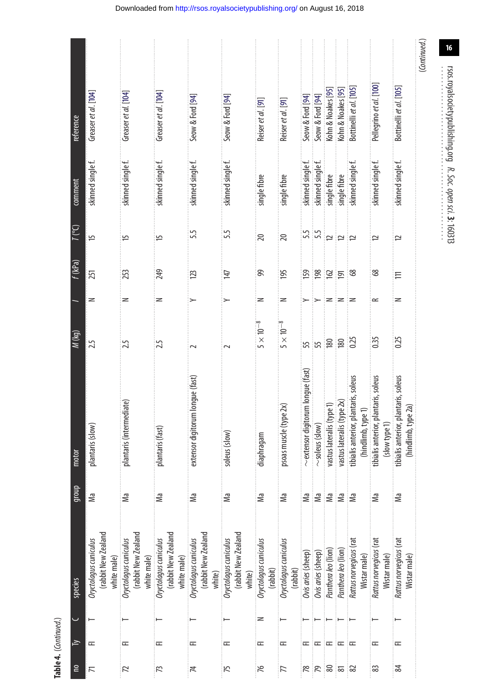|                          |                                                             |                                                             |                                                             |                                                        |                                                        |                                   |                                   |                                         |                           |                           |                            |                                                            |                                                       |                                                               | (Continued.) |
|--------------------------|-------------------------------------------------------------|-------------------------------------------------------------|-------------------------------------------------------------|--------------------------------------------------------|--------------------------------------------------------|-----------------------------------|-----------------------------------|-----------------------------------------|---------------------------|---------------------------|----------------------------|------------------------------------------------------------|-------------------------------------------------------|---------------------------------------------------------------|--------------|
| reference                | Greaser et al. [104]                                        | Greaser et al. [104]                                        | Greaser et al. [104]                                        | Seow & Ford [94]                                       | Seow & Ford [94]                                       | Reiser et al. [91]                | Reiser et al. [91]                | Seow & Ford [94]<br>Seow & Ford [94]    |                           | Kohn & Noakes [95]        | Kohn & Noakes [95]         | Bottinelli et al. [105]                                    | Pellegrino et al. [100]                               | Bottinelli et al. [105]                                       |              |
| comment                  | skinned single f.                                           | skinned single f.                                           | skinned single f.                                           | skinned single f.                                      | skinned single f.                                      | single fibre                      | single fibre                      | skinned single f.                       | skinned single f.         | single fibre              | single fibre               | skinned single f.                                          | skinned single f.                                     | skinned single f.                                             |              |
| $T^{\circ}$ C            | 15                                                          | 15                                                          | 15                                                          | 55                                                     | 55                                                     | 20                                | $\overline{20}$                   | 5.5                                     | $\frac{1}{5}$             | $\bar{p}$                 | $\frac{1}{2}$              | ∶≃                                                         | 12                                                    | 12                                                            |              |
| f(kPa)                   | 251                                                         | 253                                                         | 249                                                         | 123                                                    | 147                                                    | 99                                | 195                               | 159                                     | 198                       | 162                       | $\overline{p}$             | 68                                                         | 89                                                    | TT                                                            |              |
|                          | z                                                           | $\geq$                                                      | z                                                           |                                                        |                                                        | z                                 | z                                 |                                         |                           | z                         | z                          | z                                                          | $\approx$                                             | z                                                             |              |
| M(kq)                    | 2.5                                                         | 2.5                                                         | .<br>25                                                     | $\sim$                                                 | $\overline{\phantom{0}}$                               | $5\times10^{-8}$                  | $5 \times 10^{-8}$                | 55                                      | 55                        | $\frac{180}{2}$           | .<br>180                   | 0.25                                                       | 0.35                                                  | 0.25                                                          |              |
| ē<br>Ē                   | ntaris (slow)<br>plar                                       | ntaris (intermediate)<br>plar                               | ntaris (fast)<br>高                                          | extensor digitorum longue (fast)                       | soleus (slow)                                          | diaphragam                        | psoas muscle (type 2x)            | $\sim$ extensor digitorum longue (fast) | $\sim$ soleus (slow)<br>Ì | vastus lateralis (type 1) | vastus lateralis (type 2x) | tibialis anterior, plantaris, soleus<br>(hindlimb, type 1) | tibialis anterior, plantaris, soleus<br>(slow type 1) | alis anterior, plantaris, soleus<br>(hindlimb, type 2a)<br>ΪĒ |              |
| dioub                    | Ñа                                                          | S                                                           | Ñа                                                          | ÑМ                                                     | Ž                                                      | ÑД                                | уа                                | Мa                                      | is                        | i<br>Ma                   | i√a                        | ່≌                                                         | Шã                                                    | ιŠ                                                            |              |
| species                  | (rabbit New Zealand<br>Oryctolagus cuniculus<br>white male) | (rabbit New Zealand<br>Oryctolagus cuniculus<br>white male) | (rabbit New Zealand<br>Oryctolagus cuniculus<br>white male) | (rabbit New Zealand<br>Oryctolagus cuniculus<br>white) | (rabbit New Zealand<br>Oryctolagus cuniculus<br>white) | Oryctolagus cuniculus<br>(rabbit) | Oryctolagus cuniculus<br>(rabbit) | Ovis aries (sheep)                      | Ovis aries (sheep)        | Panthera leo (lion)       | Panthera leo (lion)        | Rattus norvegicus (rat<br>Wistar male)                     | Rattus norvegicus (rat<br>Wistar male)                | Rattus norvegicus (rat<br>Wistar male)                        |              |
|                          |                                                             |                                                             |                                                             |                                                        |                                                        | z                                 |                                   |                                         |                           |                           |                            |                                                            |                                                       |                                                               |              |
| ⊵                        | ᆮ                                                           | ᆮ                                                           | ᄄ                                                           | ᆮ                                                      | ᄄ                                                      | ᆮ                                 | ᆮ                                 | ᆮ                                       | ᆮ                         | ≔                         | ≔                          | ᄄ                                                          | ᆮ                                                     | ᄄ                                                             |              |
| $\overline{\phantom{a}}$ | π                                                           | $\mathcal{L}$                                               | R                                                           | 74                                                     | 75                                                     | 94                                | $\overline{\pi}$                  | 78                                      | $\overline{p}$            | ္စဥ္က                     | ି ଅ                        | :ಜ                                                         | 83                                                    | 84                                                            |              |

### Downloaded from http://rsos.royalsocietypublishing.org/ on August 16, 2018

 $16$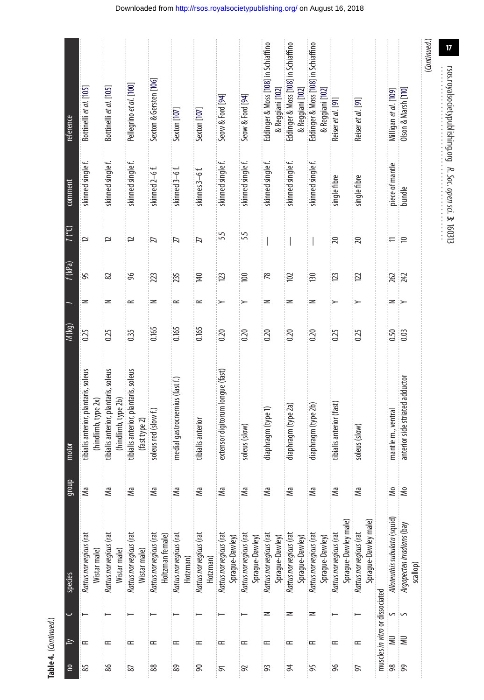| í |  |
|---|--|
|   |  |
|   |  |

| 17<br>rsos.royalsocietypublishing.org                   | R. Soc. open sci. 3: 160313 |                 |                |           |       |                                                               |       |                                           |   |                                 |            |
|---------------------------------------------------------|-----------------------------|-----------------|----------------|-----------|-------|---------------------------------------------------------------|-------|-------------------------------------------|---|---------------------------------|------------|
| (Continued.)                                            |                             |                 |                |           |       |                                                               |       |                                           |   |                                 |            |
| Olson & Marsh [110]                                     | bundle                      | ి≘              | 242            |           | 0.03  | anterior side striated adductor                               | S     | Argopecten irradians (bay<br>scallop      |   | ≣                               | ்ஜ         |
| Milligan et al. [109]                                   | piece of mantle             | IJ              | 262            | z         | 0.50  | mantle m., ventral                                            | ౾     | Alloteuthis subulata (squid)              | ం | $\equiv$                        | ୁ ଅ        |
|                                                         |                             |                 |                |           |       |                                                               |       |                                           |   | muscles in vitro or dissociated |            |
|                                                         |                             |                 |                |           |       |                                                               |       | Sprague-Dawley male)                      |   |                                 |            |
| Reiser et al. [91]                                      | single fibre                | 20              | 122            |           | 0.25  | eus (slow)<br>š                                               | la    | Rattus norvegicus (rat                    |   | ᆮ                               | 50         |
|                                                         |                             |                 |                |           |       |                                                               |       | Sprague-Dawley male)                      |   |                                 |            |
| Reiser et al. [91]                                      | single fibre                | $\overline{20}$ | $\overline{2}$ | ≻         | 0.25  | ialis anterior (fast)<br>€                                    | ŠМ    | Rattus norvegicus (rat                    |   | ᆮ                               | 96         |
| & Reggiani [102]                                        |                             |                 |                |           |       |                                                               |       | Sprague-Dawley)                           |   |                                 |            |
| Eddinger & Moss [108] in Schiaffino                     | skinned single f.           |                 | 130            | z         | 0.20  | phragm (type 2b)<br>dia                                       | S     | Rattus norvegicus (rat                    | z | ᆮ                               | 95         |
| & Reggiani [102]                                        |                             |                 |                |           |       |                                                               |       | Sprague-Dawley)                           |   |                                 |            |
| Eddinger & Moss [108] in Schiaffino                     | skinned single f.           |                 | $\approx$      | z         | 0.20  | phragm (type 2a)<br>∙ä                                        | la    | Rattus norvegicus (rat                    | z | ᆮ                               | 84         |
| Eddinger & Moss [108] in Schiaffino<br>& Reggiani [102] | skinned single f.           |                 | $\approx$      | z         | 0.20  | phragm (type 1)<br>ਰੰਕ                                        | ιŠ    | Rattus norvegicus (rat<br>Sprague-Dawley) | z | ᆮ                               | 93         |
|                                                         |                             |                 |                |           |       |                                                               |       | Sprague-Dawley)                           |   |                                 |            |
| Seow & Ford [94]                                        | skinned single f.           | 55              | $\approx$      |           | 0.20  | soleus (slow)                                                 | la    | Rattus norvegicus (rat                    |   | ᆮ                               | 92         |
|                                                         |                             |                 |                |           |       |                                                               |       | Sprague-Dawley)                           |   |                                 |            |
| Seow & Ford [94]                                        | skinned single f.           | 5.5             | 123            |           | 0.20  | extensor digitorum longue (fast)                              | Ñа    | Rattus norvegicus (rat                    |   | ᆮ                               | 5          |
|                                                         |                             |                 |                |           |       |                                                               |       | Hotzman)                                  |   |                                 |            |
| Sexton [107]                                            | skinnes 3-6 f.              | $\overline{Z}$  | $\frac{40}{2}$ | $\approx$ | 0.165 | tibialis anterior                                             | ιŠ    | Rattus norvegicus (rat                    |   | ᆮ                               | 90         |
| Sexton [107]                                            | skinned 3-6 f.              | Ζ               | 235            | $\approx$ | 0.165 | medial gastrocnemius (fast f.)                                | la    | Rattus norvegicus (rat<br>Hotzman)        |   | ᆮ                               | 89         |
|                                                         |                             |                 |                |           |       |                                                               |       | Holtzman female)                          |   |                                 |            |
| Sexton & Gersten [106]                                  | skinned 2-6 f.              | Σ               | 23             | z         | 0.165 | eus red (slow f.)<br>š                                        | ιŠ    | Rattus norvegicus (rat                    |   | ᆮ                               | 88         |
| Pellegrino et al. [100]                                 | skinned single f.           | 12              | 96             | $\approx$ | 0.35  | tibialis anterior, plantaris, soleus<br>(fast type 2)         | ιŠ    | Rattus norvegicus (rat<br>Wistar male)    |   | ᆮ                               | 29         |
|                                                         |                             |                 |                |           |       | (hindlimb, type 2b)                                           |       | Wistar male)                              |   |                                 |            |
| Bottinelli et al. [105]                                 | skinned single f.           | 12              | 82             | z         | 0.25  | tibialis anterior, plantaris, soleus                          | S     | Rattus norvegicus (rat                    |   | ᆮ                               | 86         |
| Bottinelli et al. [105]                                 | skinned single f.           | 12              | 95             | z         | 0.25  | ialis anterior, plantaris, soleus<br>(hindlimb, type 2x)<br>€ | Δã    | Rattus norvegicus (rat<br>Wistar male)    |   | ᆮ                               | 85         |
| reference                                               | comment                     | $T^{\rm (°)}$   | $f$ (kPa)      |           | M(kg) | lğ<br>$\epsilon$                                              | dhoub | species                                   |   | ≧                               | $\epsilon$ |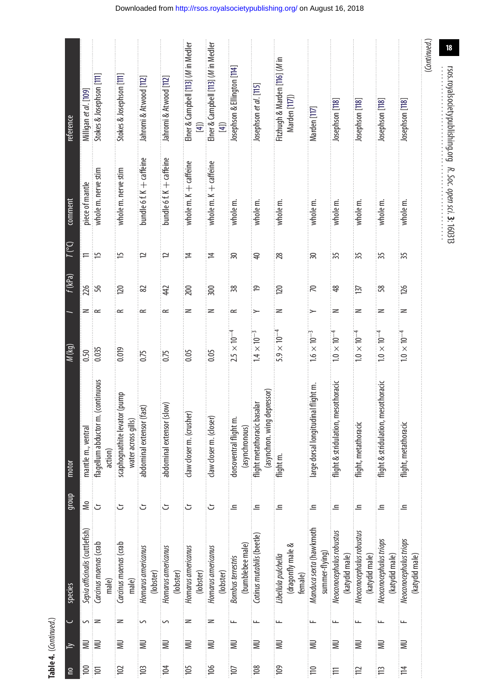| Ξ |
|---|
| г |
|   |
|   |
|   |
|   |

| $\approx$       | $\geq$   |        | species                                             | dhonb    | motor                                                      | M (kg)               |           | f(kPa)        | $T^{\rm (°)}$  | comment                    | reference                                                           |
|-----------------|----------|--------|-----------------------------------------------------|----------|------------------------------------------------------------|----------------------|-----------|---------------|----------------|----------------------------|---------------------------------------------------------------------|
| $\approx$       | ≣        |        | Sepia officinalis (cuttlefish)                      | ౾ౢ       | mantle m., ventral                                         | 0.50                 |           | 226           | H              | piece of mantle            | Willigan et al. [109]                                               |
| igi             | ïΞ       | $\geq$ | Carcinus maenas (crab<br>male)                      |          | flagellum abductor m. (continuous<br>action)               | 0.035                | ∶∝        | 56            | ்ட             | whole m. nerve stim        | Stokes & Josephson [111]                                            |
| 102             | $\equiv$ | z      | Carcinus maenas (crab<br>male)                      | ت        | scaphognathite levator (pump<br>water across gills)        | 0.019                | ≃         | 20            | 15             | whole m. nerve stim        | Stokes & Josephson [111]                                            |
| 103             | W        | S      | Homarus americanus<br>(lobster)                     | ت        | abdominal extensor (fast)                                  | 0.75                 | $\approx$ | 82            | 12             | bundle $6f.K +$ caffeine   | Jahromi & Atwood [112]                                              |
| $\overline{a}$  | $\equiv$ | S      | Homarus americanus<br>(lobster)                     | ت        | abdominal extensor (slow)                                  | 0.75                 | $\approx$ | 42            | ₽              | bundle 6 f. K + caffeine   | Jahromi & Atwood [112]                                              |
| 105             | i₹       | Z      | Homarus americanus<br>(lobster)                     | ٿ        | claw closer m. (crusher)                                   | 0.05                 | z         | 200           | 与              | whole $m$ . $K +$ caffeine | Elner & Campbell [113] (M in Medler<br>$\left( \frac{1}{4} \right)$ |
| 901             | W        | z      | Homarus americanus<br>(lobster)                     | ٹ        | claw closer m. (closer)                                    | 0.05                 | z         | 300           | $\overline{4}$ | whole m. K + caffeine      | Elner & Campbell [113] (M in Medler<br>$[4]$                        |
| 107             | Ξ        | щ      | (bumblebee male)<br><b>Bombus terrestris</b>        | ≘        | dorsoventral flight m.<br>(asynchronous)                   | $2.5 \times 10^{-4}$ | $\approx$ | 38            | న్             | whole m.                   | Josephson & Ellington [114]                                         |
| 108             | W        | щ      | Cotinus mutabilis (beetle)                          | ≘        | (asynchron. wing depressor)<br>flight metathoracic basalar | $1.4\times10^{-3}$   | >         | 61            | $\overline{4}$ | wholem                     | Josephson et al. [115]                                              |
| 109             | $\equiv$ | щ      | (dragonfly male &<br>Libellula pulchella<br>female) | ≘        | flight m.                                                  | $5.9\times10^{-4}$   | z         | 120           | 28             | whole m.                   | Fitzhugh & Marden [116] (Min<br>Marden [117])                       |
| $\approx$       | ≣        |        | Manduca sexta (hawkmoth<br>summer-flying)           | $\equiv$ | large dorsal longitudinal flight m.                        | $1.6 \times 10^{-3}$ | ≻         | $\mathcal{R}$ | $\approx$      | whole m.                   | Marden [117]                                                        |
| 三               | W        | щ      | Neoconocephalus robustus<br>(katydid male)          | ≘        | stridulation, mesothoracic<br>flight &                     | $1.0\times10^{-4}$   | z         | $\frac{8}{3}$ | 35             | wholem.                    | Josephson [118]                                                     |
| 112             | ïΞ       | щ      | Neoconocephalus robustus<br>(katydid male)          | ≘        | flight, metathoracic                                       | $1.0\times10^{-4}$   | z         | 137           | 35             | wholem                     | Josephson [118]                                                     |
| 113             | ≣        | щ      | Neoconocephalus triops<br>(katydid male)            | ≘        | stridulation, mesothoracic<br>flight &                     | $1.0\times10^{-4}$   | z         | 58            | 35             | whole m.                   | Josephson [118]                                                     |
| $\overline{14}$ | $\equiv$ | щ      | Neoconocephalus triops<br>(katydid male)            | $\equiv$ | flight, metathoracic                                       | $1.0\times10^{-4}$   | z         | 126           | 35             | whole m.                   | Josephson [118]                                                     |
|                 |          |        |                                                     |          |                                                            |                      |           |               |                |                            | (Continued.)                                                        |

 $18$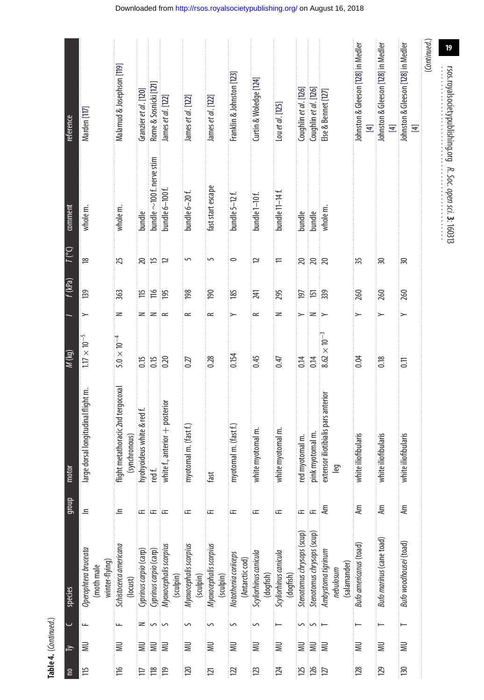| ຂ                |          |                | species                                              | dronb          | motor                                               | (M (kg                |            | f(kPa)           | $\overline{U_0}$ | comment                         | reference                                            |
|------------------|----------|----------------|------------------------------------------------------|----------------|-----------------------------------------------------|-----------------------|------------|------------------|------------------|---------------------------------|------------------------------------------------------|
| 115              | ≣        |                | Operophtera bruceata<br>winter-flying)<br>(moth male | 드              | large dorsal longitudinal flight m.                 | $1.17 \times 10^{-5}$ | >          | 139              | ≌                | whole m.                        | Marden [117]                                         |
| $\approx$        | ≣        | $\mathbf{u}$   | Schistocerca americana<br>(locust)                   | 드              | flight metathoracic 2nd tergocoxal<br>(synchronous) | $5.0\times10^{-4}$    | z          | 363              | 25               | whole m.                        | Malamud & Josephson [119]                            |
| Ξ                | W        | z              | (yprinus carpio (carp)                               | 匞              | hyohyoideus white & red f.                          | 0.15                  | z          |                  | $\approx$        | bundle                          | Granzier et al. [120]                                |
| $\frac{1}{18}$   | ≣        |                | Cyprinus carpio (carp)                               | 江              | red f.                                              | 0.15                  | z          | $\frac{31}{116}$ | ்த               | bundle $\sim$ 100 f. nerve stim | Rome & Sosnicki [121]                                |
| $\mathbb{P}$     | '≋       | ਼∽             | Myoxocephalis scorpius<br>(sculpin)                  | 江              | white f., anterior + posterior                      | 0.20                  | ∶∝         | 195              | ∶≃               | bundle 6-100 f.                 | lames et al. [122]                                   |
| $\overline{120}$ | $\equiv$ | S              | Myoxocephalis scorpius<br>(sculpin)                  | 江              | m. (fast f.)<br>myotomal                            | 0.27                  | $\approx$  | 198              | 5                | bundle $6-20$ f.                | James et al. [122]                                   |
| 121              | ≣        | S              | Myoxocephalis scorpius<br>(sculpin)                  | 匞              | fast                                                | 0.28                  | $\approx$  | 190              | 5                | fast start escape               | James et al. [122]                                   |
| $\overline{2}$   | ≣        | S              | Notothenia coriiceps<br>(Antarctic cod)              | 匞              | m. (fast f.)<br>myotomal ı                          | 0.154                 | >          | 185              | 0                | bundle $5-12$ f.                | Franklin & Johnston [123]                            |
| $\overline{2}$   | ≣        | ం              | Scyliorhinus canicula<br>(dogfish)                   | 江              | tomal m.<br>white myot                              | 0.45                  | $\!\simeq$ | 241              | 12               | bundle 1-10 f.                  | Curtin & Woledge [124]                               |
| $\overline{24}$  | ≣        | $\overline{ }$ | Scyliorhinus canicula<br>(doqfish)                   | 匞              | tomal m.<br>white myot                              | (1, 0)                | z          | 295              | $\equiv$         | bundle 11-14 f.                 | $\lfloor \log \text{et al.} \rfloor$                 |
| 125              | ≣        | S              | Stenotomus chrysops (scup)                           | 匞              | red myotomal m.                                     | 0.14                  |            | 197              | $\overline{20}$  | bundle                          | Coughlin et al. [126]                                |
| $\overline{26}$  | l        | S              | Stenotomus chrysops (scup)                           | 江              | pink myotomal m.                                    | 0.14                  | z          | $\overline{5}$   | $\overline{20}$  | bundle                          | Coughlin et al. [126]                                |
| iZī              | '≣       |                | Ambystoma tigrinum<br>(salamander)<br>nebulosum      | Am             | extensor iliotibialis pars anterior<br>leg          | $8.62\times10^{-3}$   |            | 339              | ୍ଥି              | whole m.                        | Else & Bennet [127]                                  |
| 128              | ≣        | ≔              | Bufo americanus (toad)                               | $\overline{4}$ | bularis<br>white iliofil                            | 0.04                  | ≻          | 260              | 35               |                                 | Johnston & Gleeson [128] in Medler<br>$\overline{4}$ |
| 129              | ₹        | ۳              | Bufo marinus (cane toad)                             | ξ              | bularis<br>white iliofil                            | 0.18                  | >          | 260              | $\overline{30}$  |                                 | Johnston & Gleeson [128] in Medler<br>$\overline{4}$ |
| 130              | $\equiv$ |                | Bufo woodhousei (toad)                               | Am             | bularis<br>white iliofi                             | $\overline{0}$ .      | ≻          | 260              | 50               |                                 | Johnston & Gleeson [128] in Medler<br>$\overline{4}$ |
|                  |          |                |                                                      |                |                                                     |                       |            |                  |                  |                                 | (Continued.)                                         |
|                  |          |                |                                                      |                |                                                     |                       |            |                  |                  | R. Soc. open sci. 3: 160313     | 19<br>rsos.royalsocietypublishing.org                |

### Downloaded from http://rsos.royalsocietypublishing.org/ on August 16, 2018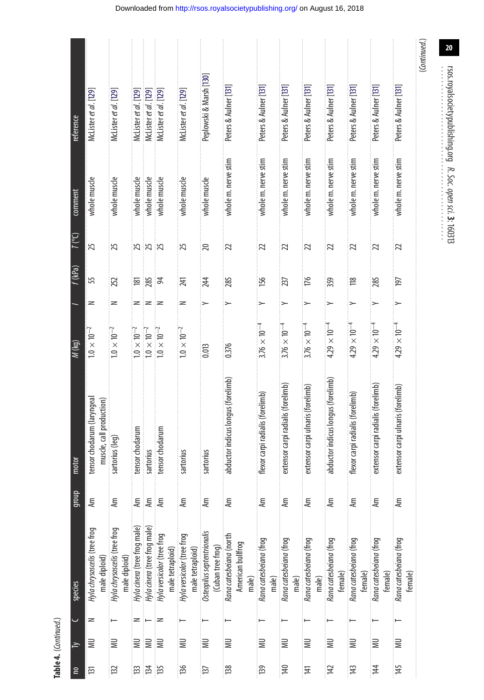|             |                                                        |                                               |                              |                              |                                               |                                                |                                                 |                                                       |                                      |                                    |                                   |                                    |                                      |                                    | (Continued.)                      |  |
|-------------|--------------------------------------------------------|-----------------------------------------------|------------------------------|------------------------------|-----------------------------------------------|------------------------------------------------|-------------------------------------------------|-------------------------------------------------------|--------------------------------------|------------------------------------|-----------------------------------|------------------------------------|--------------------------------------|------------------------------------|-----------------------------------|--|
| reference   | McLister et al. [129]                                  | McLister et al. [129]                         | McLister et al. [129]        | McLister et al. [129]        | McLister et al. [129]                         | McLister et al. [129]                          | Peplowski & Marsh [130]                         | Peters & Aulner [131]                                 | Peters & Aulner [131]                | Peters & Aulner [131]              | Peters & Aulner [131]             | Peters & Aulner [131]              | Peters & Aulner [131]                | Peters & Aulner [131]              | Peters & Aulner [131]             |  |
| comment     | whole muscle                                           | whole muscle                                  | whole muscle                 | whole muscle                 | whole muscle                                  | whole muscle                                   | whole muscle                                    | whole m. nerve stim                                   | whole m. nerve stim                  | whole m. nerve stim                | whole m. nerve stim               | whole m. nerve stim                | whole m. nerve stim                  | whole m. nerve stim                | whole m. nerve stim               |  |
| $T^{\circ}$ | 25                                                     | 25                                            | 25                           | $\bar{z}$                    | ිර                                            | 25                                             | 20                                              | 22                                                    | $\mathbf{z}$                         | 22                                 | 22                                | 22                                 | 22                                   | 22                                 | 22                                |  |
| $f$ (kPa)   | 55                                                     | 252                                           | $\frac{1}{81}$               | 285                          | $\approx$                                     | 241                                            | 24                                              | 285                                                   | 156                                  | 237                                | 176                               | 359                                | $\frac{8}{10}$                       | 285                                | 197                               |  |
|             | z                                                      | z                                             | z                            | z                            | z                                             | z                                              | ≻                                               | ≻                                                     | ≻                                    | ≻                                  | ≻                                 | ≻                                  | ≻                                    | ≻                                  | ≻                                 |  |
| M(kg)       | $1.0\times10^{-2}$                                     | $1.0\times10^{-2}$                            | $1.0\times10^{-2}$           | $1.0 \times 10^{-2}$         | $1.0\times10^{-2}$                            | $1.0\times10^{-2}$                             | 0.013                                           | 0.376                                                 | $3.76 \times 10^{-4}$                | $3.76\times10^{-4}$                | $3.76\times10^{-4}$               | $4.29 \times 10^{-4}$              | $4.29\times10^{-4}$                  | $4.29\times10^{-4}$                | $4.29\times10^{-4}$               |  |
| motor       | tensor chodarum (laryngeal<br>muscle, call production) | sartorius (leg)                               | tensor chodarum              | sartorius                    | tensor chodarum                               | sartorius                                      | sartorius                                       | abductor indicus longus (forelimb)                    | rpi radialis (forelimb)<br>flexor ca | extensor carpi radialis (forelimb) | extensor carpi ulnaris (forelimb) | abductor indicus longus (forelimb) | rpi radialis (forelimb)<br>flexor ca | extensor carpi radialis (forelimb) | extensor carpi ulnaris (forelimb) |  |
| dronb       | ÆΜ                                                     | ξ                                             | $\overline{A}$ m             | i<br>Am                      | Am                                            | ξ                                              | ξ                                               | Am                                                    | $\overline{4}$                       | <b>Am</b>                          | $\overline{A}$ m                  | <b>Am</b>                          | <b>Am</b>                            | ξ                                  | Am                                |  |
| species     | Hyla chrysoscelis (tree frog<br>male diploid)          | Hyla chrysoscelis (tree frog<br>male diploid) | Hyla cinera (tree frog male) | Hyla cinera (tree frog male) | Hyla versicolor (tree frog<br>male tetraploid | Hyla versicolor (tree frog<br>male tetraploid) | Osteopilus septentrionalis<br>(Cuban tree frog) | Rana catesbeiana (north<br>American bullfrog<br>male) | Rana catesbeiana (frog<br>male)      | Rana catesbeiana (froq<br>male)    | Rana catesbeiana (froq<br>male)   | Rana catesbeiana (froq<br>female)  | Rana catesbeiana (froq<br>female)    | Rana catesbeiana (frog<br>female)  | Rana catesbeiana (froq<br>female) |  |
| ب           | z                                                      | ≔                                             | z                            |                              | ≔                                             |                                                | ۳                                               | ⊢                                                     | ⊢                                    | ÷,                                 | ۳                                 |                                    | ⊢                                    | ۳                                  |                                   |  |
| $\geq$      | ≋                                                      | W                                             | $\equiv$                     | <b>IND</b>                   | i₹                                            | W                                              | W                                               | $\equiv$                                              | $\equiv$                             | $\equiv$                           | $\equiv$                          | i₹                                 | W                                    | $\equiv$                           | $\equiv$                          |  |
| $\epsilon$  | 囟                                                      | $\widetilde{\Xi}$                             | 33                           | 134                          | $\frac{1}{25}$                                | $\frac{36}{5}$                                 | 137                                             | 138                                                   | 139                                  | 140                                | 计                                 | 142                                | 143                                  | 14                                 | 145                               |  |

#### Downloaded from http://rsos.royalsocietypublishing.org/ on August 16, 2018

 $\overline{20}$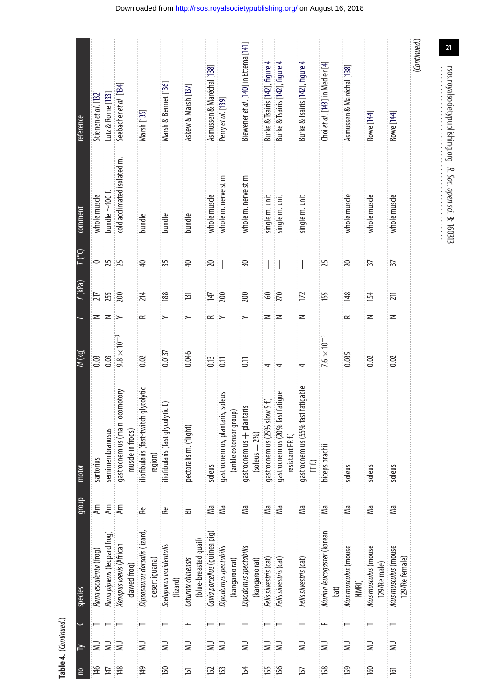|    | ٦ |  |
|----|---|--|
|    |   |  |
|    |   |  |
|    |   |  |
|    |   |  |
| m. |   |  |

| ≧        |    | species                                         | dhonb | motor                                                      | M (kg)               |           | $f$ (kPa)       | $\overline{I}$ <sup>(°C</sup> ) | comment                    | reference                                     |
|----------|----|-------------------------------------------------|-------|------------------------------------------------------------|----------------------|-----------|-----------------|---------------------------------|----------------------------|-----------------------------------------------|
|          |    | Rana esculenta (frog)                           | ξ     | sartorius                                                  | 0.03                 | z         | 217             |                                 | whole muscle               | Stienen et al. [132]                          |
|          |    | Rana pipiens (leopard frog)                     | ĮĘ    | semimembranosus                                            | 0.03                 | z         | $\overline{25}$ | ុង ង                            | $b$ undle $\sim$ 100 f.    | Lutz & Rome [133]                             |
| ≣        |    | Xenopus laevis (African<br>clawed froq)         | ¦ E   | gastrocnemius (main locomotory<br>muscle in frogs)         | $9.8\times10^{-3}$   | :≻        | $\frac{1}{200}$ |                                 | cold acclimated isolated m | Seebacher et al. [134]                        |
|          |    | Dipsosaurus dorsalis (lizard,<br>desert iguana) | ٩è    | iliofibularis (fast-twitch glycolytic<br>region)           | 0.02                 | $\approx$ | 214             | $\overline{4}$                  | bundle                     | Marsh [135]                                   |
|          |    | Sceloporus occidentalis<br>(lizard)             | ڇ     | (fast glycolytic f.)<br>iliofibularis                      | 0.0137               | ≻         | 188             | 35                              | bundle                     | Marsh & Bennet [136]                          |
|          | ╙  | (blue-breasted quail)<br>Coturnix chinensis     | ä     | pectoralis m. (flight)                                     | 0.046                |           | 囟               | $\overline{4}$                  | bundle                     | Askew & Marsh [137]                           |
|          |    | Cavia porcellus (guinea pig)                    | Ńа    | soleus                                                     | 0.13                 | $\approx$ | 147             | R                               | whole muscle               | Asmussen & Maréchal [138]                     |
|          |    | Dipodomys spectabilis<br>(kangaroo rat)         | уа    | gastrocnemius, plantaris, soleus<br>(ankle extensor group) | $\overline{5}$       | ⋗         | ිව              | Ħ                               | whole m. nerve stim        | Perry et al. [139]                            |
|          |    | Dipodomys spectabilis<br>(kangaroo rat)         | Ñа    | gastrocnemius + plantaris<br>$(s$ oleus $= 2\%)$           | $\overline{0}$ .     |           | 200             | $\approx$                       | whole m. nerve stim        | Biewener <i>et al</i> . [140] in Ettema [141] |
|          |    | Felis silvestris (cat)                          | ÑД    | gastrocnemius (25% slow S f.)                              | 4                    | z         | 3               |                                 | single m. unit             | Burke & Tsairis [142], figure 4               |
|          |    | Felis silvestris (cat)                          | уа    | gastrocnemius (20% fast fatigue<br>resistant FR f.)        | $\ddot{\phantom{0}}$ | ≔         | 270             | Ì                               | single m. unit             | Burke & Tsairis [142], figure 4               |
| ₹        |    | Felis silvestris (cat)                          | ÑД    | gastrocnemius (55% fast fatigable<br>FFf.)                 | 4                    | z         | 172             |                                 | single m. unit             | Burke & Tsairis [142], figure 4               |
| $\equiv$ | u. | Murina leucogaster (korean<br>bat)              | S     | biceps brachii                                             | $7.6\times10^{-3}$   |           | 155             | 25                              |                            | Choi <i>et al</i> . [143] in Medler [4]       |
|          |    | Mus musculus (mouse<br>NMRI)                    | Ñа    | soleus                                                     | 0.035                | $\approx$ | $\frac{8}{2}$   | 20                              | whole muscle               | Asmussen & Maréchal [138]                     |
|          |    | Mus musculus (mouse<br>129/Re male)             | уа    | soleus                                                     | 0.02                 | z         | 154             | 57                              | whole muscle               | Rowe [144]                                    |
| ₹        |    | Mus musculus (mouse<br>129/Re female)           | Мa    | soleus                                                     | 0.02                 | z         | 211             | 57                              | whole muscle               | Rowe [144]                                    |
|          |    |                                                 |       |                                                            |                      |           |                 |                                 |                            | (Continued.)                                  |

 $\overline{21}$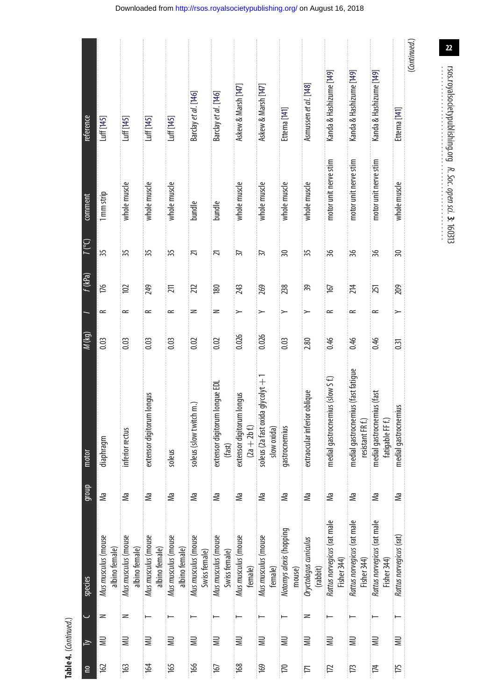| <u>ខ</u>   |          |   | species                                           | dioub | motor                                                       | M (kg) |           | $f$ (kPa)  | $\frac{1}{2}$ | comment               | reference               |
|------------|----------|---|---------------------------------------------------|-------|-------------------------------------------------------------|--------|-----------|------------|---------------|-----------------------|-------------------------|
| 运          | ≣        | z | Mus musculus (mouse<br>albino female)             | Ñа    | diaphragm                                                   | 0.03   | $\approx$ | 176        | 35            | mm strip              | Luff [145]              |
| 163        | $\equiv$ | z | Mus musculus (mouse<br>albino female)             | Ñа    | or rectus<br>inferic                                        | 0.03   | $\approx$ | $\approx$  | 35            | whole muscle          | Luff [145]              |
| 164        | $\equiv$ |   | Mus musculus (mouse<br>albino female)             | Ñа    | extensor digitorum longus                                   | 0.03   | $\approx$ | 249        | 35            | whole muscle          | Luff [145]              |
| 165        | $\equiv$ |   | Mus musculus (mouse<br>albino female)             | Ñа    | soleus                                                      | 0.03   | $\approx$ | <b>ZTT</b> | 35            | whole muscle          | Luff <sup>[145]</sup>   |
| 166        | $\equiv$ |   | Mus musculus (mouse<br>Swiss female)              | Ñа    | soleus (slow twitch m.)                                     | 0.02   | z         | 212        | 21            | bundle                | Barclay et al. [146]    |
| 167        | $\equiv$ |   | Mus musculus (mouse<br>Swiss female)              | Мa    | extensor digitorum longue EDL<br>(fast)                     | 0.02   | z         | 180        | 21            | bundle                | Barclay et al. [146]    |
| 168        | $\equiv$ |   | Mus musculus (mouse<br>female)                    | Ñа    | extensor digitorum longus<br>$a + 2b$ f.)<br>$\mathbb{S}$   | 0.026  | ≻         | 243        | 22            | whole muscle          | Askew & Marsh [147]     |
| 169        | $\equiv$ |   | Mus musculus (mouse<br>temale)                    | Мa    | soleus (2a fast oxida glycolyt +1<br>slow oxida)            | 0.026  | ≻         | 269        | 57            | whole muscle          | Askew & Marsh [147]     |
| $\sqrt{2}$ | $\geq$   |   | Notomys alexis (hopping<br>mouse)                 | Ñа    | gastrocnemius                                               | 0.03   | ≻         | 238        | 50            | whole muscle          | Ettema [141]            |
| N          | $\equiv$ | z | Oryctolagus cuniculus<br>(rabbit)                 | Ñа    | extraocular inferior oblique                                | 2.80   |           | 39         | 35            | whole muscle          | Asmussen et al. [148]   |
| 172        | $\equiv$ |   | Rattus norvegicus (rat male<br>Fisher 344)        | Ñа    | medial gastrocnemius (slow S f.)                            | 0.46   | $\approx$ | 167        | 96            | motor unit nerve stim | Kanda & Hashizume [149] |
| 13         | $\equiv$ |   | <i>Rattus norvegicus</i> (rat male<br>Fisher 344) | Ñа    | Il gastrocnemius (fast fatigue<br>resistant FR f.)<br>media | 0.46   | $\approx$ | 214        | 96            | motor unit nerve stim | Kanda & Hashizume [149] |
| 14         | $\equiv$ |   | Rattus norvegicus (rat male<br>Fisher 344)        | ŠК    | medial gastrocnemius (fast<br>igable FF f.)<br>.<br>Tai     | 0.46   | $\approx$ | 251        | 96            | motor unit nerve stim | Kanda & Hashizume [149] |
| 175        | $\geq$   |   | Rattus norvegicus (rat)                           | Мa    | Il gastrocnemius<br>media                                   | 0.31   | $\geq$    | 209        | 50            | whole muscle          | Ettema [141]            |
|            |          |   |                                                   |       |                                                             |        |           |            |               |                       | (Continued.)            |

### Downloaded from http://rsos.royalsocietypublishing.org/ on August 16, 2018

 $\frac{1}{2}$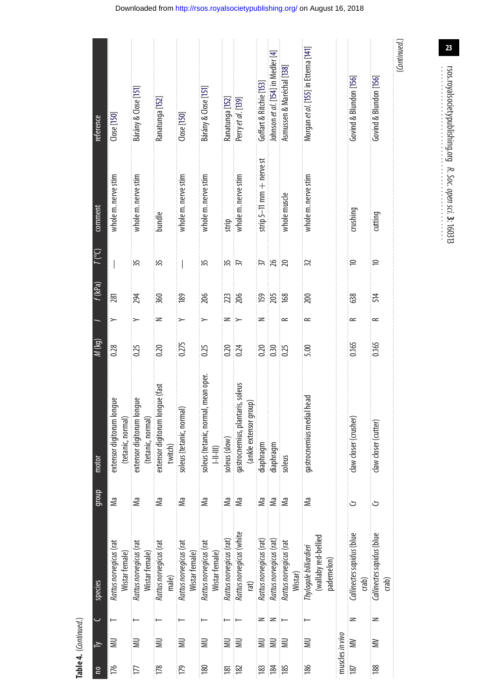| reference   | Close [150]                                       | Bárány & Close [151]                           | Ranatunga [152]                                 | Close [150]                              | Bárány & Close [151]                              | Ranatunga [152]         | Perry et al. [139]                                         | Goffart & Ritchie [153]  | Iohnson <i>et al.</i> [154] in Medler [4] | Asmussen & Maréchal [138]         | Morgan et al. [155] in Ettema [141]                          |                 | Govind & Blundon [156]                     | Govind & Blundon [156]             |
|-------------|---------------------------------------------------|------------------------------------------------|-------------------------------------------------|------------------------------------------|---------------------------------------------------|-------------------------|------------------------------------------------------------|--------------------------|-------------------------------------------|-----------------------------------|--------------------------------------------------------------|-----------------|--------------------------------------------|------------------------------------|
|             |                                                   |                                                |                                                 |                                          |                                                   |                         |                                                            |                          |                                           |                                   |                                                              |                 |                                            |                                    |
| comment     | whole m. nerve stim                               | whole m. nerve stim                            | bundle                                          | whole m. nerve stim                      | whole m. nerve stim                               | strip                   | whole m. nerve stim                                        | strip 5-11 mm + nerve st |                                           | whole muscle                      | whole m. nerve stim                                          |                 | crushing                                   | cutting                            |
| $1^{\circ}$ |                                                   | 35                                             | 35                                              |                                          | 35                                                | 35                      | 37                                                         | 37                       | .<br>వర్                                  | $\overline{20}$                   | 32                                                           |                 | $\approx$                                  | $\cong$                            |
| $f$ (kPa)   | 281                                               | 294                                            | 360                                             | 189                                      | 206                                               | 23                      | 206                                                        | 159                      | 205                                       | 168                               | 200                                                          |                 | 638                                        | 514                                |
|             |                                                   | ≻                                              | z                                               |                                          | ≻                                                 | z                       |                                                            | z                        |                                           | $\approx$                         | $\approx$                                                    |                 | $\approx$                                  | $\approx$                          |
| M (kg)      | 0.28                                              | 0.25                                           | 0.20                                            | 0.275                                    | 0.25                                              | 0.20                    | 0.24                                                       | 0.20                     | 0.30                                      | 0.25                              | 5.00                                                         |                 | 0.165                                      | 0.165                              |
| motor       | digitorum longue<br>(tetanic, normal)<br>extensor | extensor digitorum longue<br>(tetanic, normal) | r digitorum longue (fast<br>twitch)<br>extensor | soleus (tetanic, normal)                 | soleus (tetanic, normal, mean oper.<br>$ -  -   $ | soleus (slow)           | gastrocnemius, plantaris, soleus<br>(ankle extensor group) | diaphragm                | diaphragm                                 | soleus                            | gastrocnemius medial head                                    |                 | claw closer (crusher)                      | claw closer (cutter)               |
| dioub       | Ña                                                | Ñа                                             | Ñа                                              | Ña                                       | Ñа                                                | Ñа                      | Ñа                                                         | ŠК                       | is                                        | Ñа                                | Ñа                                                           |                 | ت                                          | ٹ                                  |
| species     | Rattus norvegicus (rat<br>Wistar female)          | Rattus norvegicus (rat<br>Wistar female)       | Rattus norvegicus (rat<br>male)                 | Rattus norvegicus (rat<br>Wistar female) | Rattus norvegicus (rat<br>Wistar female)          | Rattus norvegicus (rat) | Rattus norvegicus (white<br>rat)                           | Rattus norvegicus (rat)  | Rattus norvegicus (rat)                   | Rattus norvegicus (rat<br>Wistar) | (wallaby red-bellied<br>Thylogale billiardieri<br>pademelon) |                 | Callinectes sapidus (blue<br>$\text{crab}$ | Callinectes sapidus (blue<br>crab) |
|             |                                                   |                                                |                                                 |                                          |                                                   |                         |                                                            | z                        | z                                         |                                   |                                                              |                 | z                                          | z                                  |
| ≥           | ≣                                                 | $\equiv$                                       | $\equiv$                                        | $\equiv$                                 | $\equiv$                                          | ₹                       | $\equiv$                                                   | $\equiv$                 | $\equiv$                                  | ₹                                 | ₹                                                            | muscles in vivo | ≹                                          | W                                  |
| $\approx$   | 176                                               | 177                                            | 178                                             | 179                                      | 180                                               | <u>ist</u>              | $\frac{1}{8}$                                              | $\approx$                | $\frac{1}{84}$                            | 185                               | 186                                                          |                 | 187                                        | 188                                |

 $\overline{\mathbf{23}}$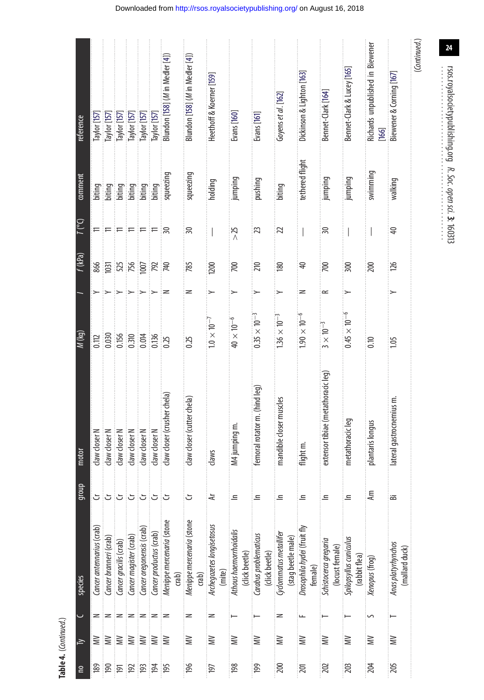| ۰. |
|----|

|        | ≧ |                | species                                      | dhonb        | motor                                  | M (kg)                |           | f(kPa)            | $\overline{I}$ (°C)     | comment         | reference                                 |
|--------|---|----------------|----------------------------------------------|--------------|----------------------------------------|-----------------------|-----------|-------------------|-------------------------|-----------------|-------------------------------------------|
| ≧      |   |                | Cancer antennarius (crab)                    | خ∫ خ         | claw closer N                          | 0.112                 |           | 866               | IJ                      |                 | Taylor [157]                              |
| $\geq$ |   | ∶∠             | Cancer branneri (crab)                       |              | claw closer N                          | 0.030                 |           | $\overline{1031}$ | ¦≔                      |                 | Taylor [157]                              |
| ≋      |   | ≔              | Cancer gracilis (crab)                       | ්ප           | claw closer N                          | 0.156                 |           | 525               | ‡≕                      |                 | Taylor [157]                              |
| $\geq$ |   | ≔              | Cancer magister (crab)                       | ್ರ           | claw closer N                          | 0.310                 |           |                   | $\equiv$                |                 | Taylor [157]                              |
| $\geq$ |   | ≔              | Cancer oregonensis (crab)                    | ಿರ ರ         | claw closer N                          | 0.014                 |           | 1007              | $=$ $=$                 |                 | Taylor [157]                              |
| $\geq$ |   | ≔              | Cancer productus (crab)                      |              | claw closer N                          |                       |           | 792               |                         |                 | Taylor [157]                              |
| $\geq$ |   | ≔              | Menippe mercenaria (stone<br>crab)           | $\mathbf{d}$ | closer (crusher chela)<br>claw         | 0.25                  | z         | Dt/               | ిని                     | squeezing       | Blundon [158] (M in Medler [4])           |
| ≧      |   | z              | Menippe mercenaria (stone<br>$\text{crab}$ ) | ٿ            | closer (cutter chela)<br>$\frac{1}{2}$ | 0.25                  | z         | 785               | 50                      | squeezing       | Blundon [158] (M in Medler [4])           |
| ≧      |   | z              | Archegazetes longisetosus<br>(mite)          | ₹            | claws                                  | $1.0 \times 10^{-7}$  |           | 1200              |                         | holding         | Heethoff & Koerner [159]                  |
| ≧      |   |                | Athous haemorrhoidalis<br>(dick beetle)      | $\equiv$     | umping m.<br>M4 j                      | $40\times10^{-6}$     |           | 700               | $\geqslant$             | jumping         | Evans [160]                               |
| ≧      |   | ۰              | Carabus problematicus<br>(dick beetle)       | ≘            | ral rotator m. (hind leg)<br>femo      | $0.35\times10^{-3}$   |           | 210               | 23                      | pushing         | Evans [161]                               |
| ≧      |   | z              | Cyclommatus metallifer<br>(stag beetle male) | ᆖ            | dible closer muscles<br>man            | $1.36 \times 10^{-3}$ | >         | 180               | $\overline{\mathbf{2}}$ | biting          | Goyens et al. [162]                       |
| ≧      |   | щ              | Drosophila hydei (fruit fly<br>female)       | ≘            | Ë<br>fliqh                             | $1.90\times10^{-6}$   | z         | $\overline{4}$    |                         | tethered flight | Dickinson & Lighton [163]                 |
| $\geq$ |   | ۳              | Schistocerca gregaria<br>(locust female)     | ≘            | extensor tibiae (metathoracic leg)     | $3 \times 10^{-3}$    | $\approx$ | 700               | $\approx$               | jumping         | Bennet-Clark [164]                        |
| ≧      |   |                | Spilopsyllus cuniculus<br>(rabbit flea)      | ≘            | metathoracic leg                       | $0.45\times10^{-6}$   |           | 300               |                         | jumping         | Bennet-Clark & Lucey [165]                |
| ≧      |   | S              | Xenopus (frog)                               | Æ            | taris longus<br>plant                  | 0.10                  |           | 200               |                         | swimming        | Richards unpublished in Biewener<br>[166] |
| $\geq$ |   | $\blacksquare$ | Anas platyrhynchos<br>(mallard duck)         | ä            | al gastrocnemius m.<br>later           | 1.05                  |           | 126               | $\overline{4}$          | walking         | Biewener & Corning [167]                  |
|        |   |                |                                              |              |                                        |                       |           |                   |                         |                 | (Continued.)                              |

 $\frac{1}{24}$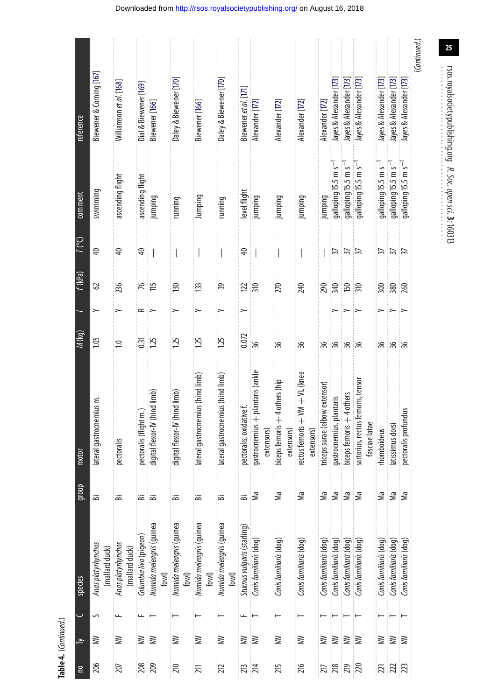| reference     | Biewener & Coming [167]              | Williamson <i>et al</i> . [168]      | Dial & Biewener [169]  | Biewener [166]                    | Daley & Biewener [170]            | Biewener [166]                        | Daley & Biewener [170]            | Biewener et al. [171]         | Alexander [172]                                | Alexander [172]                               | Alexander [172]                              | Alexander [172]                | Jayes & Alexander [173]          | Jayes & Alexander [173]          | Jayes & Alexander [173]           |               | Jayes & Alexander [173]          | Jayes & Alexander [173]          | Jayes & Alexander [173]          |
|---------------|--------------------------------------|--------------------------------------|------------------------|-----------------------------------|-----------------------------------|---------------------------------------|-----------------------------------|-------------------------------|------------------------------------------------|-----------------------------------------------|----------------------------------------------|--------------------------------|----------------------------------|----------------------------------|-----------------------------------|---------------|----------------------------------|----------------------------------|----------------------------------|
| comment       | swimming                             | ascending flight                     | ascending flight       | jumping                           | punning                           | Jumping                               | running                           | evel flight                   | jumping                                        | jumping                                       | jumping                                      | jumping                        | galloping 15.5 m s <sup>-1</sup> | galloping 15.5 m s <sup>-1</sup> | galloping 15.5 m s <sup>-1</sup>  |               | galloping 15.5 m s <sup>-1</sup> | galloping 15.5 m s <sup>-1</sup> | galloping 15.5 m s <sup>-1</sup> |
| $T^{\circ}$ C | $\overline{4}$                       | $\overline{4}$                       | $\overline{4}$         | Î                                 |                                   |                                       |                                   | $\overline{P}$                | I.                                             |                                               |                                              |                                | 57                               | $\frac{1}{2}$                    | $\overline{5}$                    |               | $\mathfrak{L}$                   | $\frac{1}{2}$                    | $\overline{3}$                   |
| $f$ (kPa)     | Q                                    | 236                                  | 76                     | 115                               | 30                                | 33                                    | 39                                | 22                            | $\approx$                                      | 270                                           | 240                                          | 290                            | 340                              | 50                               | ີ່ສາ                              |               | 300                              | 380                              | 260                              |
|               | ≻                                    | ≻                                    | $\approx$              |                                   | >                                 |                                       | >                                 | >                             |                                                |                                               |                                              |                                | >                                | ⇒                                | ⋗                                 |               | >                                |                                  |                                  |
| M (kg)        | 1.05                                 | $\Xi$                                | 0.31                   | 125                               | 1.25                              | 1.25                                  | 1.25                              | 0.072                         | 36                                             | 36                                            | 36                                           | 36                             | ွန္                              | ୍ଥିତ                             | ్లేన                              |               | 36                               | ွန္                              | ్లేన                             |
| moto          | lateral gastrocnemius m              | pectoralis                           | pectoralis (flight m.) | digital flexor-IV (hind limb)     | al flexor-IV (hind limb)<br>digit | al gastrocnemius (hind limb)<br>later | lateral gastrocnemius (hind limb) | oralis, oxidative f.<br>pecto | gastrocnemius + plantaris (ankle<br>extensors) | biceps femoris $+4$ others (hip<br>extensors) | rectus femoris + VM + VL (knee<br>extensors) | triceps surae (elbow extensor) | gastrocnemius, plantaris         | biceps femoris + 4 others        | sartorius, rectus femoris, tensor | fasciae latae | rhomboideus                      | latissimus dorsi                 | pectoralis profundus             |
| dhoub         | äā                                   | ≌                                    | ä                      | ்க                                | ≌                                 | ≔                                     | ä                                 | äā                            | la                                             | уа                                            | la                                           | ÑД                             | ÑМ                               | i₽                               | i€                                |               | Уã                               | ÑМ                               | ÑД                               |
| species       | Anas platyrhynchos<br>(mallard duck) | Anas platyrhynchos<br>(mallard duck) | Columbia liva (pigeon) | Numida meleagris (guinea<br>fowl) | Numida meleagris (guinea<br>fowl) | Numida meleagris (guinea<br>fowl)     | Numida meleagris (guinea<br>fowl) | Sturnus vulgaris (starling)   | Canis familiaris (dog)                         | Canis familiaris (dog)                        | Canis familiaris (dog)                       | Canis familiaris (dog)         | Canis familiaris (dog            | Canis familiaris (doq)           | Canis familiaris (dog)            |               | Canis familiaris (dog)           | Canis familiaris (doq)           | Canis familiaris (dog)           |
|               | S                                    | u.                                   | щ                      |                                   |                                   |                                       |                                   |                               |                                                | ⊢                                             |                                              |                                |                                  |                                  |                                   |               |                                  |                                  | ÷                                |
| ≧             | ≧                                    | ≧                                    | ≧                      | ≋                                 | $\geq$                            | ≧                                     | ≧                                 | ≧                             | '≋                                             | $\geq$                                        | ≧                                            | $\geq$                         | ≋                                | ≋                                | ≋                                 |               | ≧                                | $\geq$                           | $\geq$                           |
| $\approx$     | 206                                  | 207                                  | 208                    | $\frac{1}{2}$                     | $\frac{1}{2}$                     | $\overline{21}$                       | 212                               | 213                           | <sub>214</sub>                                 | 215                                           | 216                                          | <b>Z17</b>                     | $\frac{2}{8}$                    | 219                              | $\overline{220}$                  |               | ដ្ឋ                              |                                  | $\overline{23}$                  |

 $\frac{25}{25}$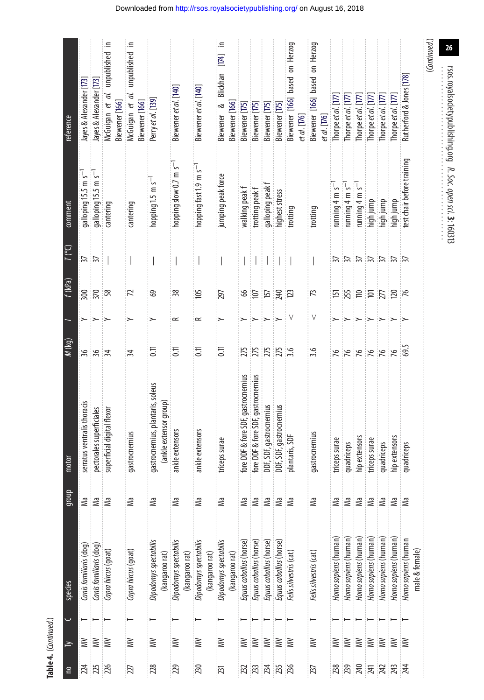| ۰. |
|----|

| (Continued.)                                           |                                     |                         |                  |           |                                              |                                                            |       |                                         |        |                             |
|--------------------------------------------------------|-------------------------------------|-------------------------|------------------|-----------|----------------------------------------------|------------------------------------------------------------|-------|-----------------------------------------|--------|-----------------------------|
| Rutherford & Jones [178]                               | test chair before training          | ूर                      | $\frac{1}{76}$   |           | 69.5                                         | iceps<br>quadri                                            | i₽    | Homo sapiens (human<br>male & female)   | і≷     | ्रेस                        |
| Thorpe et al. [177]                                    | high jump                           | $\frac{1}{2}$           | $\overline{20}$  | ⊱         |                                              | hip extensors                                              | is    | Homo sapiens (human)                    | і≷     |                             |
| Thorpe et al. [177]                                    | high jump                           | ंलि                     | $\overline{27}$  | ⊱         |                                              | quadriceps                                                 | i€    | Homo sapiens (human)                    | $\geq$ | 743<br>243                  |
| Thorpe et al. [177]                                    | high jump                           | $\frac{1}{2}$           | igi              | ⊱         |                                              | triceps surae                                              | ia    | Homo sapiens (human)                    | '≋     | <b>J41</b>                  |
| Thorpe et al. [177                                     | running $4 \text{ m s}^{-1}$        | $\frac{1}{2}$           | i≘               | ⊱         | BRRRRRR                                      | hip extensors                                              | i€    | Homo sapiens (human)                    | Ì      | $\frac{1}{2}$               |
| Thorpe et al. [177                                     | running $4 \text{ m s}^{-1}$        | $\frac{1}{2}$           | 255              | ≔         |                                              | quadriceps                                                 | is    | Homo sapiens (human)                    | Ì      | 239                         |
| Thorpe et al. [177                                     | $\text{unning } 4 \text{ m s}^{-1}$ | ਨ਼                      | 151              | ≻         |                                              | triceps surae                                              | уа    | Homo sapiens (human)                    | ≧      | 238                         |
| et al. [176]                                           |                                     |                         |                  |           |                                              |                                                            |       |                                         |        |                             |
| Biewener [166] based on Herzog                         | trotting                            |                         | ĸ                | V         | 3.6                                          | gastrocnemius                                              | Ñа    | Felis silvestris (cat)                  | ≧      | 237                         |
| et al. [176]                                           |                                     |                         |                  |           |                                              |                                                            |       |                                         |        |                             |
| Biewener [166] based on Herzog                         | trotting                            | Î                       | $\overline{2}$   | V         | $\frac{1}{2}$                                | plantaris, SDF                                             | is    | Felis silvestris (cat                   | і≷     | 236                         |
| Biewener [175]                                         | highest stress                      | $\vdots$                | 240              | ⊧≍        |                                              | DDF, SDF, gastrocnemius                                    | is    | Equus caballus (horse)                  | ≋      |                             |
| Biewener [175]                                         | galloping peak                      | Î                       | i57              | ≔         |                                              | DDF, SDF, gastrocnemius                                    | is    | Equus caballus (horse)                  | İ      | $\frac{1}{2}$ $\frac{1}{2}$ |
| Biewener [175]                                         | trotting peak f                     |                         | $\overline{107}$ | ⊱         | $\frac{1}{25}$ $\frac{1}{25}$ $\frac{1}{25}$ | fore DDF & fore SDF, gastrocnemius                         | i€    | Equus caballus (horse)                  | '≋     | $\overline{23}$             |
| Biewener [175]                                         | walking peak f                      | $\vdots$                | 99               | $\succ$   |                                              | fore DDF & fore SDF, gastrocnemius                         | Мa    | Equus caballus (horse)                  | ≧      | 232                         |
| Biewener [166]                                         |                                     |                         |                  |           |                                              |                                                            |       | (kangaroo rat)                          |        |                             |
| ≘.<br>$[174]$<br>Biewener & Blickhan                   | jumping peak force                  |                         | 297              | ≻         | $\overline{0}$ .                             | s surae<br>triceps                                         | Ñа    | Dipodomys spectabilis                   | ≧      | 231                         |
| Biewener et al. [140]                                  | hopping fast 1.9 m s <sup>-1</sup>  |                         | ios              | $\approx$ | $\overline{0}$ .                             | ankle extensors                                            | S     | Dipodomys spectabilis<br>(kangaroo rat) | ≋      | 230                         |
| Biewener et al. [140]                                  | hopping slow 0.7 m s <sup>-1</sup>  |                         | 38               | $\sim$    | $\overline{0}$                               | ankle extensors                                            | S     | Dipodomys spectabilis<br>(kangaroo rat) | ≧      | 229                         |
| Perry et al. [139]                                     | hopping 1.5 m s <sup>-1</sup>       |                         | S                | ≻         | 0.71                                         | gastrocnemius, plantaris, soleus<br>(ankle extensor group) | ŠЯ    | Dipodomys spectabilis<br>(kangaroo rat) | ≧      | 228                         |
| ≘.<br>unpublished<br>McGuigan et al.<br>Biewener [166] | cantering                           |                         | 72               | ≻         | ≭                                            | gastrocnemius                                              | S     | Capra hircus (goat)                     | ≧      | 227                         |
| Biewener [166]                                         |                                     |                         |                  |           |                                              |                                                            |       |                                         |        |                             |
| ≘.<br>unpublished<br>McGuigan et al.                   | cantering                           | Ħ                       | 58               | ⊱         | ूत्र                                         | superficial digital flexor                                 | ÑМ    | Capra hircus (goat)                     | ≋      | 226                         |
| Jayes & Alexander [173]                                | galloping 15.5 m s <sup>-1</sup>    | $\overline{\mathbf{5}}$ | $\overline{370}$ | ≔         |                                              | pectorales superficiales                                   | is    | Canis familiaris (dog)                  | і≷     | 25                          |
| Jayes & Alexander [173]                                | galloping 15.5 m $s^{-1}$           | 22                      | 300              | ≻         | ಜ಼್ಞ                                         | serratus ventralis thoracis                                | Σã    | Canis familiaris (doq)                  | ≧      | 24                          |
| reference                                              | comment                             | $7^{\circ}$ C           | f(kPa)           |           | M (kg)                                       | motor                                                      | dronb | species                                 | ≧      | $\epsilon$                  |

 $\overline{26}$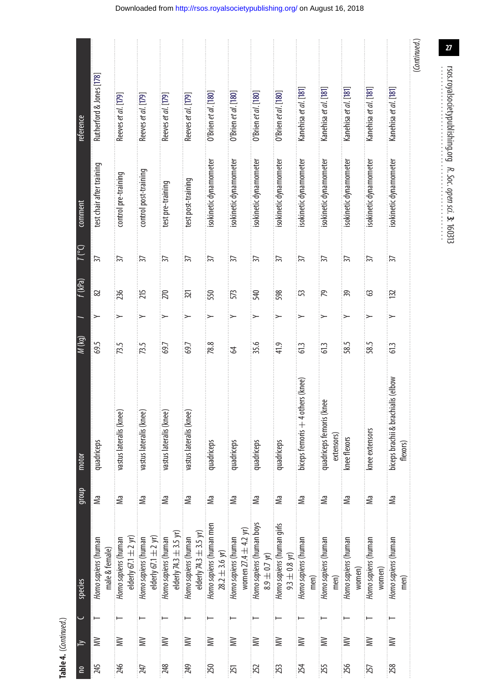| Kanehisa et al. [181]<br>Kanehisa et al. [181]<br>Kanehisa et al. [181]<br>Kanehisa et al. [181]<br>Kanehisa et al. [181]<br>O'Brien et al. [180]<br>O'Brien et al. [180]<br>O'Brien et al. [180]<br>0'Brien et al. [180]<br>Reeves et al. [179]<br>Reeves et al. [179]<br>Reeves et al. [179]<br>Reeves et al. [179]<br>isokinetic dynamometer<br>isokinetic dynamometer<br>isokinetic dynamometer<br>isokinetic dynamometer<br>isokinetic dynamometer<br>isokinetic dynamometer<br>isokinetic dynamometer<br>isokinetic dynamometer<br>isokinetic dynamometer<br>test chair after training<br>control post-training<br>control pre-training<br>test post-training<br>test pre-training<br>37<br>22<br>57<br>$\overline{2}$<br>37<br>57<br>Z<br>22<br>57<br>57<br>22<br>52<br>≅<br>270<br>573<br>236<br>215<br>550<br>540<br>598<br>S<br>39<br>ය<br>132<br>$\overline{321}$<br>R<br>≻<br>$\succ$<br>≻<br>$\succ$<br>➤<br>><br>≻<br>≻<br>≻<br>><br>><br>≻<br>><br>78.8<br>58.5<br>58.5<br>69.7<br>69.7<br>35.6<br>41.9<br>73.5<br>73.5<br>613<br>61.3<br>61.3<br>2<br>biceps brachii & brachialis (elbow<br>biceps femoris + 4 others (knee)<br>eps femoris (knee<br>vastus lateralis (knee)<br>vastus lateralis (knee)<br>vastus lateralis (knee)<br>vastus lateralis (knee)<br>tensors<br>extensors)<br>knee flexors<br>quadriceps<br>quadriceps<br>quadriceps<br>quadriceps<br>flexors)<br>quadrice<br>knee ext<br>Ñа<br>Ñа<br>la<br>la<br>la<br>Ž<br>la<br>la<br>La<br>€<br>€<br>€<br>€<br>Homo sapiens (human boys<br>Homo sapiens (human men<br>Homo sapiens (human girls<br>women $27.4 \pm 4.2$ yr)<br>elderly 74.3 $\pm$ 3.5 yr)<br>elderly 74.3 $\pm$ 3.5 yr)<br>elderly 67.1 $\pm$ 2 yr)<br>Homo sapiens (human<br>elderly 67.1 $\pm$ 2 yr)<br>Homo sapiens (human<br>Homo sapiens (human<br>Homo sapiens (human<br>Homo sapiens (human<br>Homo sapiens (human<br>Homo sapiens (human<br>Homo sapiens (human<br>Homo sapiens (human<br>Homo sapiens (human<br>male & female)<br>$28.2 \pm 3.6$ yr)<br>$8.9 \pm 0.7$ yr)<br>$9.3 \pm 0.8$ yr)<br>women)<br>women)<br>men)<br>men)<br>men) | ≋<br>≧ | species             | dhoub | motor      | M (kg) | $f$ (kPa) | $\overline{I}$ (°C) | comment | reference                |
|-----------------------------------------------------------------------------------------------------------------------------------------------------------------------------------------------------------------------------------------------------------------------------------------------------------------------------------------------------------------------------------------------------------------------------------------------------------------------------------------------------------------------------------------------------------------------------------------------------------------------------------------------------------------------------------------------------------------------------------------------------------------------------------------------------------------------------------------------------------------------------------------------------------------------------------------------------------------------------------------------------------------------------------------------------------------------------------------------------------------------------------------------------------------------------------------------------------------------------------------------------------------------------------------------------------------------------------------------------------------------------------------------------------------------------------------------------------------------------------------------------------------------------------------------------------------------------------------------------------------------------------------------------------------------------------------------------------------------------------------------------------------------------------------------------------------------------------------------------------------------------------------------------------------------------------------------------------------------------------------------------------------------------------------------------------------------------------------------------|--------|---------------------|-------|------------|--------|-----------|---------------------|---------|--------------------------|
|                                                                                                                                                                                                                                                                                                                                                                                                                                                                                                                                                                                                                                                                                                                                                                                                                                                                                                                                                                                                                                                                                                                                                                                                                                                                                                                                                                                                                                                                                                                                                                                                                                                                                                                                                                                                                                                                                                                                                                                                                                                                                                     |        | Homo sapiens (human | S     | quadriceps | 69.5   | 82        | 57                  |         | Rutherford & Jones [178] |
|                                                                                                                                                                                                                                                                                                                                                                                                                                                                                                                                                                                                                                                                                                                                                                                                                                                                                                                                                                                                                                                                                                                                                                                                                                                                                                                                                                                                                                                                                                                                                                                                                                                                                                                                                                                                                                                                                                                                                                                                                                                                                                     |        |                     |       |            |        |           |                     |         |                          |
|                                                                                                                                                                                                                                                                                                                                                                                                                                                                                                                                                                                                                                                                                                                                                                                                                                                                                                                                                                                                                                                                                                                                                                                                                                                                                                                                                                                                                                                                                                                                                                                                                                                                                                                                                                                                                                                                                                                                                                                                                                                                                                     |        |                     |       |            |        |           |                     |         |                          |
|                                                                                                                                                                                                                                                                                                                                                                                                                                                                                                                                                                                                                                                                                                                                                                                                                                                                                                                                                                                                                                                                                                                                                                                                                                                                                                                                                                                                                                                                                                                                                                                                                                                                                                                                                                                                                                                                                                                                                                                                                                                                                                     |        |                     |       |            |        |           |                     |         |                          |
|                                                                                                                                                                                                                                                                                                                                                                                                                                                                                                                                                                                                                                                                                                                                                                                                                                                                                                                                                                                                                                                                                                                                                                                                                                                                                                                                                                                                                                                                                                                                                                                                                                                                                                                                                                                                                                                                                                                                                                                                                                                                                                     |        |                     |       |            |        |           |                     |         |                          |
|                                                                                                                                                                                                                                                                                                                                                                                                                                                                                                                                                                                                                                                                                                                                                                                                                                                                                                                                                                                                                                                                                                                                                                                                                                                                                                                                                                                                                                                                                                                                                                                                                                                                                                                                                                                                                                                                                                                                                                                                                                                                                                     |        |                     |       |            |        |           |                     |         |                          |
|                                                                                                                                                                                                                                                                                                                                                                                                                                                                                                                                                                                                                                                                                                                                                                                                                                                                                                                                                                                                                                                                                                                                                                                                                                                                                                                                                                                                                                                                                                                                                                                                                                                                                                                                                                                                                                                                                                                                                                                                                                                                                                     |        |                     |       |            |        |           |                     |         |                          |
|                                                                                                                                                                                                                                                                                                                                                                                                                                                                                                                                                                                                                                                                                                                                                                                                                                                                                                                                                                                                                                                                                                                                                                                                                                                                                                                                                                                                                                                                                                                                                                                                                                                                                                                                                                                                                                                                                                                                                                                                                                                                                                     |        |                     |       |            |        |           |                     |         |                          |
|                                                                                                                                                                                                                                                                                                                                                                                                                                                                                                                                                                                                                                                                                                                                                                                                                                                                                                                                                                                                                                                                                                                                                                                                                                                                                                                                                                                                                                                                                                                                                                                                                                                                                                                                                                                                                                                                                                                                                                                                                                                                                                     |        |                     |       |            |        |           |                     |         |                          |
|                                                                                                                                                                                                                                                                                                                                                                                                                                                                                                                                                                                                                                                                                                                                                                                                                                                                                                                                                                                                                                                                                                                                                                                                                                                                                                                                                                                                                                                                                                                                                                                                                                                                                                                                                                                                                                                                                                                                                                                                                                                                                                     |        |                     |       |            |        |           |                     |         |                          |
|                                                                                                                                                                                                                                                                                                                                                                                                                                                                                                                                                                                                                                                                                                                                                                                                                                                                                                                                                                                                                                                                                                                                                                                                                                                                                                                                                                                                                                                                                                                                                                                                                                                                                                                                                                                                                                                                                                                                                                                                                                                                                                     |        |                     |       |            |        |           |                     |         |                          |
|                                                                                                                                                                                                                                                                                                                                                                                                                                                                                                                                                                                                                                                                                                                                                                                                                                                                                                                                                                                                                                                                                                                                                                                                                                                                                                                                                                                                                                                                                                                                                                                                                                                                                                                                                                                                                                                                                                                                                                                                                                                                                                     |        |                     |       |            |        |           |                     |         |                          |
|                                                                                                                                                                                                                                                                                                                                                                                                                                                                                                                                                                                                                                                                                                                                                                                                                                                                                                                                                                                                                                                                                                                                                                                                                                                                                                                                                                                                                                                                                                                                                                                                                                                                                                                                                                                                                                                                                                                                                                                                                                                                                                     |        |                     |       |            |        |           |                     |         |                          |
|                                                                                                                                                                                                                                                                                                                                                                                                                                                                                                                                                                                                                                                                                                                                                                                                                                                                                                                                                                                                                                                                                                                                                                                                                                                                                                                                                                                                                                                                                                                                                                                                                                                                                                                                                                                                                                                                                                                                                                                                                                                                                                     |        |                     |       |            |        |           |                     |         |                          |

 $\frac{1}{2}$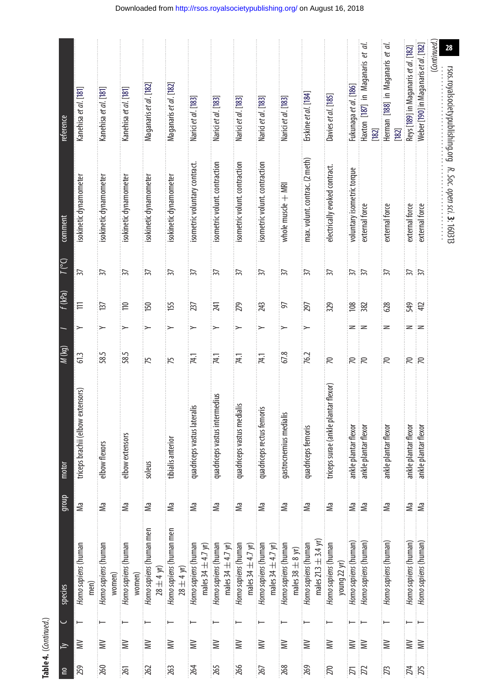| Su         | ≃      |                | species                                         | dionb    | motor                                    | M(kg)          |   | $f$ (kPa)      | $7^{\circ}$     | comment                        | reference                                            |
|------------|--------|----------------|-------------------------------------------------|----------|------------------------------------------|----------------|---|----------------|-----------------|--------------------------------|------------------------------------------------------|
| 259        | ≧      |                | Homo sapiens (human<br>men)                     | Δã       | triceps brachii (elbow extensors)        | 61.3           |   | Ξ              | 57              | isokinetic dynamometer         | Kanehisa et al. [181]                                |
| 260        | $\geq$ | ≔              | Homo sapiens (human<br>women)                   | Ñа       | elbow flexors                            | 58.5           |   | 137            | $\approx$       | isokinetic dynamometer         | Kanehisa et al. [181]                                |
| 261        | ≧      | ۳              | Homo sapiens (human<br>women)                   | Ñа       | censors<br>elbow ext                     | 58.5           | > | $\approx$      | 57              | isokinetic dynamometer         | Kanehisa et al. [181]                                |
| 262        | $\geq$ | ÷              | Homo sapiens (human men<br>$28 \pm 4$ yr)       | S        | soleus                                   | 75             |   | 150            | $\overline{z}$  | isokinetic dynamometer         | Maganaris et al. [182]                               |
| 263        | $\geq$ | ⊢              | Homo sapiens (human men<br>$28 \pm 4$ yr)       | S        | terior<br>tibialis an                    | 75             |   | 155            | $\mathbb{Z}$    | isokinetic dynamometer         | Maganaris et al. [182]                               |
| 264        | $\geq$ | ≔              | Homo sapiens (human<br>males $34 \pm 4.7$ yr)   | ιŠ       | s vastus lateralis<br>quadricep          | 74.1           |   | 237            | 57              | isometric voluntary contract.  | Narici et al. [183]                                  |
| 265        | ≧      | ⊢              | Homo sapiens (human<br>males $34 \pm 4.7$ yr)   | ιŠ       | quadriceps vastus intermedius            | 74.1           | ≻ | 241            | $\approx$       | isometric volunt. contraction  | Narici et al. [183]                                  |
| 266        | $\geq$ | ⊱              | Homo sapiens (human<br>males $34 \pm 4.7$ yr,   | la       | quadriceps vastus medialis               | 74.1           |   | 279            | 57              | isometric volunt. contraction  | Narici <i>et al.</i> [183]                           |
| 267        | $\geq$ | $\overline{ }$ | Homo sapiens (human<br>males $34 \pm 4.7$ yr    | S        | s rectus femoris<br>quadricep            | 74.1           | ≻ | 243            | 57              | isometric volunt. contraction  | Narici et al. [183]                                  |
| 268        | ≧      |                | Homo sapiens (human<br>males $38 \pm 8$ yr)     | la       | gastrocnemius medialis                   | 67.8           | > | 57             | 57              | whole muscle + MRI             | Narici et al. [183]                                  |
| 269        | $\geq$ | ۳              | males $21.3 \pm 3.4$ yr)<br>Homo sapiens (human | S        | s femoris<br>quadricep                   | 76.2           |   | 297            | $\overline{3}$  | max. volunt. contrac. (2 meth) | Erskine et al. [184]                                 |
| 270        | ≧      |                | Homo sapiens (human<br>young 22 yr)             | €        | ae (ankle plantar flexor)<br>triceps sur | $\approx$      |   | 329            | ਨ਼              | electrically evoked contract.  | Davies et al. [185]                                  |
| 271        | $\geq$ |                | Homo sapiens (human)                            | №а       | ntar flexor<br>ankle plar                | 70             | z | $\approx$      | $\approx$       | voluntary isometric torque     | Fukunaga et al. [186]                                |
| $\bar{z}$  | $\geq$ |                | Homo sapiens (human)                            | S        | itar flexor<br>ankle plan                | $\overline{R}$ | ≔ | 382            | $\frac{1}{2}$   | external force                 | Haxton [187] in Maganaris <i>et al.</i><br>[182]     |
| 273        | $\geq$ | $\overline{ }$ | Homo sapiens (human)                            | ÑМ       | ntar flexor<br>ankle plar                | $\approx$      | z | 628            | 57              | external force                 | Herman [188] in Maganaris <i>et al.</i><br>$[182]$   |
| 274<br>275 | $\geq$ |                | Homo sapiens (human)                            | уа       | ankle plantar flexor                     | 8.8            | Z | 549            | $\frac{27}{37}$ | external force                 | Reys [189] in Maganaris et al. [182]                 |
|            | $\geq$ | (H             | Homo sapiens (human)                            | la<br>∕⊠ | itar flexor<br>ankle plan                |                | ≔ | $\frac{1}{41}$ |                 | external force                 | Weber [190] in Maganaris <i>et al.</i> [182]         |
|            |        |                |                                                 |          |                                          |                |   |                |                 | R. Soc. open sci. 3: 160313    | (Continued.<br>28<br>rsos.royalsocietypublishing.org |

### Downloaded from http://rsos.royalsocietypublishing.org/ on August 16, 2018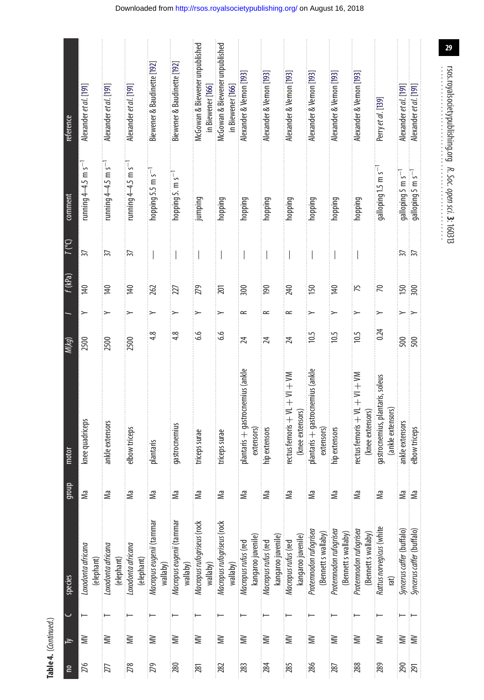| $\overline{\phantom{a}}$ | ≧      | species                                       | dronb | ਠ<br>moto                                                  | M(kq) |           | f(kPa)         | $T^{\circ}$ C) | comment                             | reference                                           |
|--------------------------|--------|-----------------------------------------------|-------|------------------------------------------------------------|-------|-----------|----------------|----------------|-------------------------------------|-----------------------------------------------------|
| 276                      | ≧      | Loxodonta africana<br>(elephant)              | Δã    | quadriceps<br>knee                                         | 2500  |           | $\frac{40}{5}$ | 57             | running $4-4.5$ m s <sup>-1</sup>   | Alexander et al. [191]                              |
| 277                      | $\geq$ | Loxodonta africana<br>(elephant)              | Δã    | extensors<br>$\mathbf \omega$<br>mki<br>T                  | 2500  | ≻         | 140            | $\approx$      | running $4 - 4.5$ m s <sup>-1</sup> | Alexander et al. [191]                              |
| 278                      | ≧      | Loxodonta africana<br>(elephant)              | S     | elbow triceps                                              | 2500  | ≻         | $\frac{40}{5}$ | 57             | running $4-4.5$ m s <sup>-1</sup>   | Alexander et al. [191]                              |
| 279                      | ≧      | Macropus eugenii (tammar<br>wallaby)          | Δã    | plantaris                                                  | 4.8   |           | 262            |                | hopping 5.5 m s <sup>-1</sup>       | Biewener & Baudinette [192]                         |
| 280                      | $\geq$ | Macropus eugenii (tammar<br>wallaby)          | Ñа    | rocnemius<br>gasti                                         | 4.8   |           | 27             |                | hopping 5. m s <sup>-1</sup>        | Biewener & Baudinette [192]                         |
| 281                      | $\geq$ | Macropus rufogriseus (rock<br>wallaby)        | la    | triceps surae                                              | 6.6   |           | 279            |                | jumping                             | McGowan & Biewener unpublished<br>in Biewener [166] |
| 282                      | $\geq$ | Macropus rufogriseus (rock<br>wallaby)        | Ñа    | triceps surae                                              | 9.9   |           | 201            |                | hopping                             | McGowan & Biewener unpublished<br>in Biewener [166] |
| 283                      | $\geq$ | kangaroo juvenile)<br>Macropus rufus (red     | Δã    | plantaris + gastrocnemius (ankle<br>extensors              | 24    | $\approx$ | 300            |                | hopping                             | Alexander & Vernon [193]                            |
| 284                      | ≧      | kangaroo juvenile)<br>Macropus rufus (red     | Žа    | hip extensors                                              | 24    | $\approx$ | 190            |                | hopping                             | Alexander & Vernon [193]                            |
| 285                      | $\geq$ | kangaroo juvenile)<br>Macropus rufus (red     | S     | rectus femoris $+$ VL $+$ VI $+$ VM<br>knee extensors)     | Z4    | $\approx$ | 940            |                | hopping                             | Alexander & Vernon [193]                            |
| 286                      | ≧      | Protemnodon rufogrisea<br>(Bennett s wallaby) | la    | plantaris + gastrocnemius (ankle<br>extensors)             | 10.5  |           | 150            |                | hopping                             | Alexander & Vernon [193]                            |
| 287                      | ≧      | Protemnodon rufogrisea<br>(Bennett s wallaby) | la    | hip extensors                                              | 10.5  |           | 140            |                | hopping                             | Alexander & Vernon [193]                            |
| 288                      | ≧      | Protemnodon rufogrisea<br>(Bennett s wallaby) | la    | rectus femoris $+$ VL $+$ VI $+$ VM<br>knee extensors)     | 10.5  |           | 55             |                | hopping                             | Alexander & Vernon [193]                            |
| 289                      | ≧      | Rattus norvegicus (white<br>rat)              | Ñа    | rocnemius, plantaris, soleus<br>(ankle extensors)<br>gastr | 0.24  |           | $\approx$      |                | galloping 1.5 m s <sup>-1</sup>     | Perry et al. [139]                                  |
| 290                      | $\geq$ | Syncerus caffer (buffalo)                     | ιδ    | ankle extensors                                            | 500   |           | 150            | 22             | galloping 5 m s <sup>-1</sup>       | Alexander et al. [191]                              |
| $\frac{1}{2}$            | $\geq$ | Syncerus caffer (buffalo)                     | i€    | elbow triceps                                              | 500   |           | ີ່ສ            | $\overline{5}$ | galloping 5 m s <sup>-1</sup>       | Alexander et al. [191]                              |

Downloaded from http://rsos.royalsocietypublishing.org/ on August 16, 2018

rsos.royalsocietypublishing.org  $R$ . Soc. open sci. 3: 160313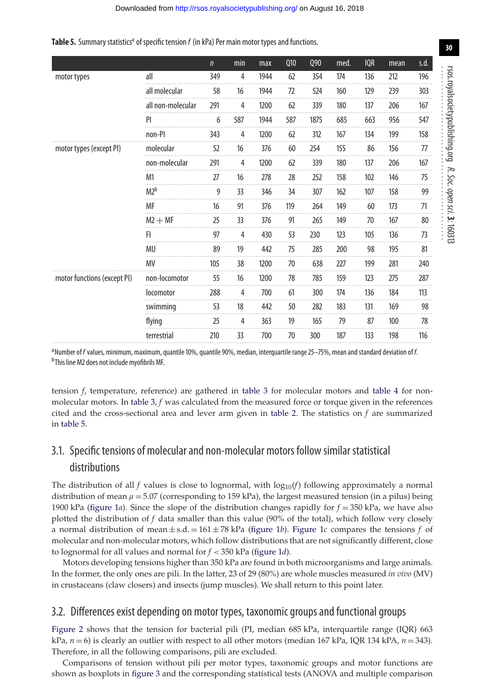<span id="page-29-0"></span>

|  |  | Table 5. Summary statistics <sup>a</sup> of specific tension f (in kPa) Per main motor types and functions. |  |
|--|--|-------------------------------------------------------------------------------------------------------------|--|
|--|--|-------------------------------------------------------------------------------------------------------------|--|

|                             |                   | $\boldsymbol{n}$ | min | max  | Q10 | Q90  | med. | <b>IQR</b> | mean | s.d. |
|-----------------------------|-------------------|------------------|-----|------|-----|------|------|------------|------|------|
| motor types                 | all               | 349              | 4   | 1944 | 62  | 354  | 174  | 136        | 212  | 196  |
|                             | all molecular     | 58               | 16  | 1944 | 72  | 524  | 160  | 129        | 239  | 303  |
|                             | all non-molecular | 291              | 4   | 1200 | 62  | 339  | 180  | 137        | 206  | 167  |
|                             | PI                | 6                | 587 | 1944 | 587 | 1875 | 685  | 663        | 956  | 547  |
|                             | non-PI            | 343              | 4   | 1200 | 62  | 312  | 167  | 134        | 199  | 158  |
| motor types (except PI)     | molecular         | 52               | 16  | 376  | 60  | 254  | 155  | 86         | 156  | 77   |
|                             | non-molecular     | 291              | 4   | 1200 | 62  | 339  | 180  | 137        | 206  | 167  |
|                             | M1                | 27               | 16  | 278  | 28  | 252  | 158  | 102        | 146  | 75   |
|                             | M2 <sup>b</sup>   | 9                | 33  | 346  | 34  | 307  | 162  | 107        | 158  | 99   |
|                             | MF                | 16               | 91  | 376  | 119 | 264  | 149  | 60         | 173  | 71   |
|                             | $M2 + MF$         | 25               | 33  | 376  | 91  | 265  | 149  | 70         | 167  | 80   |
|                             | FI                | 97               | 4   | 430  | 53  | 230  | 123  | 105        | 136  | 73   |
|                             | MU                | 89               | 19  | 442  | 75  | 285  | 200  | 98         | 195  | 81   |
|                             | <b>MV</b>         | 105              | 38  | 1200 | 70  | 638  | 227  | 199        | 281  | 240  |
| motor functions (except PI) | non-locomotor     | 55               | 16  | 1200 | 78  | 785  | 159  | 123        | 275  | 287  |
|                             | <i>locomotor</i>  | 288              | 4   | 700  | 61  | 300  | 174  | 136        | 184  | 113  |
|                             | swimming          | 53               | 18  | 442  | 50  | 282  | 183  | 131        | 169  | 98   |
|                             | flying            | 25               | 4   | 363  | 19  | 165  | 79   | 87         | 100  | 78   |
|                             | terrestrial       | 210              | 33  | 700  | 70  | 300  | 187  | 133        | 198  | 116  |

<sup>a</sup>Number of f values, minimum, maximum, quantile 10%, quantile 90%, median, interquartile range 25–75%, mean and standard deviation of f. bThis line M2 does not include myofibrils MF.

tension *f*, temperature, reference) are gathered in [table 3](#page-5-0) for molecular motors and [table 4](#page-10-0) for nonmolecular motors. In [table 3,](#page-5-0) *f* was calculated from the measured force or torque given in the references cited and the cross-sectional area and lever arm given in [table 2.](#page-4-0) The statistics on *f* are summarized in [table 5.](#page-29-0)

# 3.1. Specific tensions of molecular and non-molecular motors follow similar statistical distributions

The distribution of all  $f$  values is close to lognormal, with  $log_{10}(f)$  following approximately a normal distribution of mean  $\mu = 5.07$  (corresponding to 159 kPa), the largest measured tension (in a pilus) being 1900 kPa [\(figure 1](#page-30-0)*a*). Since the slope of the distribution changes rapidly for *f* = 350 kPa, we have also plotted the distribution of *f* data smaller than this value (90% of the total), which follow very closely a normal distribution of mean  $\pm$  s.d.  $=$  161  $\pm$  78 kPa [\(figure 1](#page-30-0)*b*). [Figure 1](#page-30-0)*c* compares the tensions *f* of molecular and non-molecular motors, which follow distributions that are not significantly different, close to lognormal for all values and normal for *f* < 350 kPa [\(figure 1](#page-30-0)*d*).

Motors developing tensions higher than 350 kPa are found in both microorganisms and large animals. In the former, the only ones are pili. In the latter, 23 of 29 (80%) are whole muscles measured *in vivo* (MV) in crustaceans (claw closers) and insects (jump muscles). We shall return to this point later.

#### 3.2. Differences exist depending on motor types, taxonomic groups and functional groups

[Figure 2](#page-30-1) shows that the tension for bacterial pili (PI, median 685 kPa, interquartile range (IQR) 663 kPa,  $n = 6$ ) is clearly an outlier with respect to all other motors (median 167 kPa, IQR 134 kPA,  $n = 343$ ). Therefore, in all the following comparisons, pili are excluded.

Comparisons of tension without pili per motor types, taxonomic groups and motor functions are shown as boxplots in [figure 3](#page-31-0) and the corresponding statistical tests (ANOVA and multiple comparison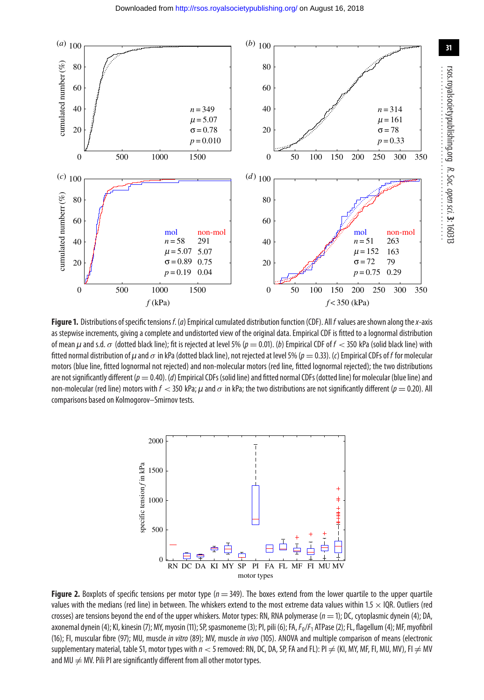

<span id="page-30-0"></span>**Figure 1.** Distributions of specific tensions f. (a) Empirical cumulated distribution function (CDF). All f values are shown along the x-axis as stepwise increments, giving a complete and undistorted view of the original data. Empirical CDF is fitted to a lognormal distribution of mean  $\mu$  and s.d.  $\sigma$  (dotted black line); fit is rejected at level 5% ( $p = 0.01$ ). (b) Empirical CDF of  $f < 350$  kPa (solid black line) with fitted normal distribution of *μ* and σ in kPa (dotted black line), not rejected at level 5% ( $p = 0.33$ ). (c) Empirical CDFs of f for molecular motors (blue line, fitted lognormal not rejected) and non-molecular motors (red line, fitted lognormal rejected); the two distributions are not significantly different ( $p = 0.40$ ). (d) Empirical CDFs (solid line) and fitted normal CDFs (dotted line) for molecular (blue line) and non-molecular (red line) motors with  $f < 350$  kPa;  $\mu$  and  $\sigma$  in kPa; the two distributions are not significantly different ( $p = 0.20$ ). All comparisons based on Kolmogorov–Smirnov tests.



<span id="page-30-1"></span>**Figure 2.** Boxplots of specific tensions per motor type  $(n = 349)$ . The boxes extend from the lower quartile to the upper quartile values with the medians (red line) in between. The whiskers extend to the most extreme data values within 1.5  $\times$  IQR. Outliers (red crosses) are tensions beyond the end of the upper whiskers. Motor types: RN, RNA polymerase  $(n = 1)$ ; DC, cytoplasmic dynein (4); DA, axonemal dynein (4); KI, kinesin (7); MY, myosin (11); SP, spasmoneme (3); PI, pili (6); FA,  $F_0/F_1$  ATPase (2); FL, flagellum (4); MF, myofibril (16); FI, muscular fibre (97); MU, muscle in vitro (89); MV, muscle in vivo (105). ANOVA and multiple comparison of means (electronic supplementary material, table S1, motor types with  $n < 5$  removed: RN, DC, DA, SP, FA and FL): PI  $\neq$  (KI, MY, MF, FI, MU, MV), FI  $\neq$  MV and MU  $\neq$  MV. Pili PI are significantly different from all other motor types.

rsos.royalsocietypublishing.org

R. Soc.

open

sci. **3**: 160313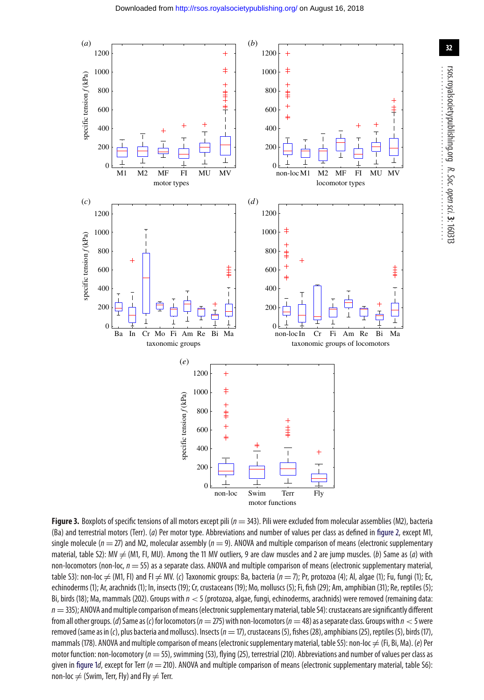

<span id="page-31-0"></span>**Figure 3.** Boxplots of specific tensions of all motors except pili  $(n = 343)$ . Pili were excluded from molecular assemblies (M2), bacteria (Ba) and terrestrial motors (Terr). (a) Per motor type. Abbreviations and number of values per class as defined in [figure 2,](#page-30-1) except M1, single molecule ( $n = 27$ ) and M2, molecular assembly ( $n = 9$ ). ANOVA and multiple comparison of means (electronic supplementary material, table S2): MV  $\neq$  (M1, Fl, MU). Among the 11 MV outliers, 9 are claw muscles and 2 are jump muscles. (b) Same as (a) with non-locomotors (non-loc,  $n = 55$ ) as a separate class. ANOVA and multiple comparison of means (electronic supplementary material, table S3): non-loc  $\neq$  (M1, FI) and FI  $\neq$  MV. (c) Taxonomic groups: Ba, bacteria ( $n=7$ ); Pr, protozoa (4); Al, algae (1); Fu, fungi (1); Ec, echinoderms (1); Ar, arachnids (1); In, insects (19); Cr, crustaceans (19); Mo, molluscs (5); Fi, fish (29); Am, amphibian (31); Re, reptiles (5); Bi, birds (18); Ma, mammals (202). Groups with  $n < 5$  (protozoa, algae, fungi, echinoderms, arachnids) were removed (remaining data:  $n = 335$ ); ANOVA and multiple comparison of means (electronic supplementary material, table S4): crustaceans are significantly different from all other groups. (d) Same as (c) for locomotors ( $n = 275$ ) with non-locomotors ( $n = 48$ ) as a separate class. Groups with  $n < 5$  were removed (same as in (c), plus bacteria and molluscs). Insects ( $n = 17$ ), crustaceans (5), fishes (28), amphibians (25), reptiles (5), birds (17), mammals (178). ANOVA and multiple comparison of means (electronic supplementary material, table S5): non-loc  $\neq$  (Fi, Bi, Ma). (e) Per motor function: non-locomotory ( $n = 55$ ), swimming (53), flying (25), terrestrial (210). Abbreviations and number of values per class as given in [figure 1](#page-30-0)d, except for Terr ( $n = 210$ ). ANOVA and multiple comparison of means (electronic supplementary material, table S6): non-loc  $\neq$  (Swim, Terr, Fly) and Fly  $\neq$  Terr.

rsos.royalsocietypublishing.org

R. Soc.

................................................

open

sci. **3**: 160313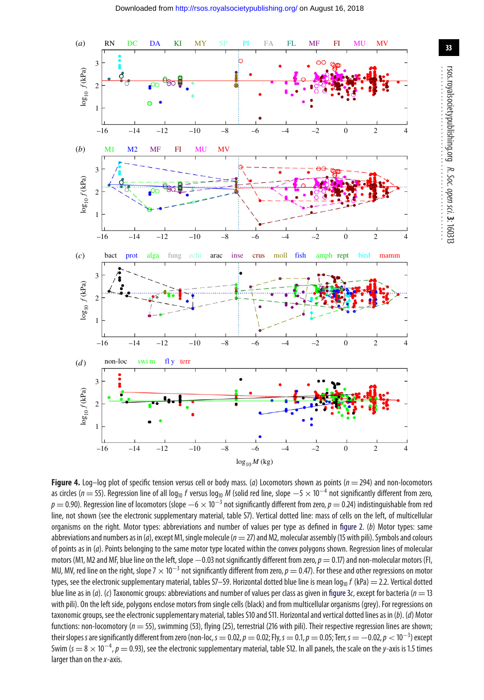

<span id="page-32-0"></span>**Figure 4.** Log–log plot of specific tension versus cell or body mass. (a) Locomotors shown as points ( $n = 294$ ) and non-locomotors as circles ( $n = 55$ ). Regression line of all log<sub>10</sub> f versus log<sub>10</sub> M (solid red line, slope  $-5 \times 10^{-4}$  not significantly different from zero,  $p = 0.90$ ). Regression line of locomotors (slope  $-6 \times 10^{-3}$  not significantly different from zero,  $p = 0.24$ ) indistinguishable from red line, not shown (see the electronic supplementary material, table S7). Vertical dotted line: mass of cells on the left, of multicellular organisms on the right. Motor types: abbreviations and number of values per type as defined in [figure 2.](#page-30-1) (b) Motor types: same abbreviations and numbers as in (a), except M1, single molecule ( $n = 27$ ) and M2, molecular assembly (15 with pili). Symbols and colours of points as in (a). Points belonging to the same motor type located within the convex polygons shown. Regression lines of molecular motors (M1, M2 and MF, blue line on the left, slope  $-0.03$  not significantly different from zero,  $p = 0.17$ ) and non-molecular motors (FI, MU, MV, red line on the right, slope 7  $\times$  10<sup>-3</sup> not significantly different from zero,  $p=0.47$ ). For these and other regressions on motor types, see the electronic supplementary material, tables S7–S9. Horizontal dotted blue line is mean  $log_{10} f$  (kPa) = 2.2. Vertical dotted blue line as in (a). (c) Taxonomic groups: abbreviations and number of values per class as given in [figure 3](#page-31-0)c, except for bacteria ( $n = 13$ with pili). On the left side, polygons enclose motors from single cells (black) and from multicellular organisms (grey). For regressions on taxonomic groups, see the electronic supplementary material, tables S10 and S11. Horizontal and vertical dotted lines as in (b). (d) Motor functions: non-locomotory ( $n = 55$ ), swimming (53), flying (25), terrestrial (216 with pili). Their respective regression lines are shown; their slopes s are significantly different from zero (non-loc, s = 0.02,  $p = 0.02$ ; Fly, s = 0.1,  $p = 0.05$ ; Terr, s =  $-0.02$ ,  $p < 10^{-3}$ ) except Swim (s = 8  $\times$  10<sup>-4</sup>, p = 0.93), see the electronic supplementary material, table S12. In all panels, the scale on the y-axis is 1.5 times larger than on the  $x$ -axis.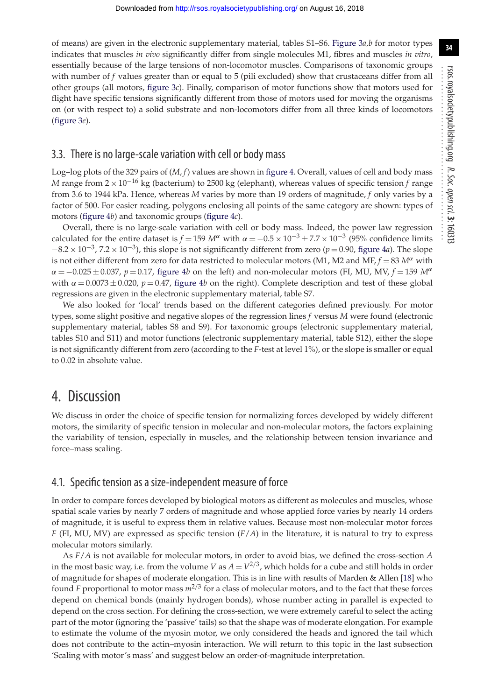of means) are given in the electronic supplementary material, tables S1–S6. [Figure 3](#page-31-0)*a,b* for motor types indicates that muscles *in vivo* significantly differ from single molecules M1, fibres and muscles *in vitro*, essentially because of the large tensions of non-locomotor muscles. Comparisons of taxonomic groups with number of *f* values greater than or equal to 5 (pili excluded) show that crustaceans differ from all other groups (all motors, [figure 3](#page-31-0)*c*). Finally, comparison of motor functions show that motors used for flight have specific tensions significantly different from those of motors used for moving the organisms on (or with respect to) a solid substrate and non-locomotors differ from all three kinds of locomotors [\(figure 3](#page-31-0)*e*).

#### 3.3. There is no large-scale variation with cell or body mass

Log–log plots of the 329 pairs of (*M*, *f*) values are shown in [figure 4.](#page-32-0) Overall, values of cell and body mass *M* range from 2 × 10<sup>−16</sup> kg (bacterium) to 2500 kg (elephant), whereas values of specific tension *f* range from 3.6 to 1944 kPa. Hence, whereas *M* varies by more than 19 orders of magnitude, *f* only varies by a factor of 500. For easier reading, polygons enclosing all points of the same category are shown: types of motors [\(figure 4](#page-32-0)*b*) and taxonomic groups [\(figure 4](#page-32-0)*c*).

Overall, there is no large-scale variation with cell or body mass. Indeed, the power law regression calculated for the entire dataset is  $f = 159 M^{\alpha}$  with  $\alpha = -0.5 \times 10^{-3} \pm 7.7 \times 10^{-3}$  (95% confidence limits <sup>−</sup>8.2 <sup>×</sup> <sup>10</sup>−3, 7.2 <sup>×</sup> <sup>10</sup>−3), this slope is not significantly different from zero (*<sup>p</sup>* <sup>=</sup> 0.90, [figure 4](#page-32-0)*a*). The slope is not either different from zero for data restricted to molecular motors (M1, M2 and MF,  $f = 83 M^{\alpha}$  with  $\alpha = -0.025 \pm 0.037$ ,  $p = 0.17$ , [figure 4](#page-32-0)*b* on the left) and non-molecular motors (FI, MU, MV,  $f = 159$   $M^{\alpha}$ with  $\alpha = 0.0073 \pm 0.020$ ,  $p = 0.47$ , [figure 4](#page-32-0)*b* on the right). Complete description and test of these global regressions are given in the electronic supplementary material, table S7.

We also looked for 'local' trends based on the different categories defined previously. For motor types, some slight positive and negative slopes of the regression lines *f* versus *M* were found (electronic supplementary material, tables S8 and S9). For taxonomic groups (electronic supplementary material, tables S10 and S11) and motor functions (electronic supplementary material, table S12), either the slope is not significantly different from zero (according to the *F*-test at level 1%), or the slope is smaller or equal to 0.02 in absolute value.

# 4. Discussion

We discuss in order the choice of specific tension for normalizing forces developed by widely different motors, the similarity of specific tension in molecular and non-molecular motors, the factors explaining the variability of tension, especially in muscles, and the relationship between tension invariance and force–mass scaling.

#### 4.1. Specific tension as a size-independent measure of force

In order to compare forces developed by biological motors as different as molecules and muscles, whose spatial scale varies by nearly 7 orders of magnitude and whose applied force varies by nearly 14 orders of magnitude, it is useful to express them in relative values. Because most non-molecular motor forces *F* (FI, MU, MV) are expressed as specific tension  $(F/A)$  in the literature, it is natural to try to express molecular motors similarly.

As *F*/*A* is not available for molecular motors, in order to avoid bias, we defined the cross-section *A* in the most basic way, i.e. from the volume *V* as  $A = V^{2/3}$ , which holds for a cube and still holds in order of magnitude for shapes of moderate elongation. This is in line with results of Marden & Allen [\[18\]](#page-38-17) who found *F* proportional to motor mass  $m^{2/3}$  for a class of molecular motors, and to the fact that these forces depend on chemical bonds (mainly hydrogen bonds), whose number acting in parallel is expected to depend on the cross section. For defining the cross-section, we were extremely careful to select the acting part of the motor (ignoring the 'passive' tails) so that the shape was of moderate elongation. For example to estimate the volume of the myosin motor, we only considered the heads and ignored the tail which does not contribute to the actin–myosin interaction. We will return to this topic in the last subsection 'Scaling with motor's mass' and suggest below an order-of-magnitude interpretation.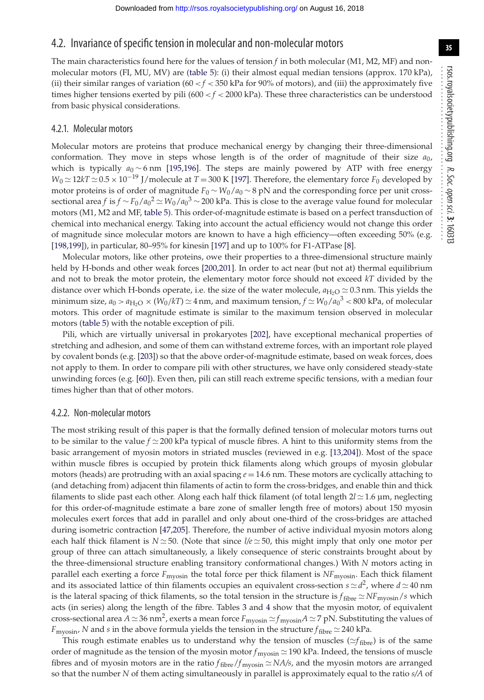### 4.2. Invariance of specific tension in molecular and non-molecular motors

The main characteristics found here for the values of tension *f* in both molecular (M1, M2, MF) and nonmolecular motors (FI, MU, MV) are [\(table 5\)](#page-29-0): (i) their almost equal median tensions (approx. 170 kPa), (ii) their similar ranges of variation  $(60 < f < 350$  kPa for 90% of motors), and (iii) the approximately five times higher tensions exerted by pili (600 < *f* < 2000 kPa). These three characteristics can be understood from basic physical considerations.

#### 4.2.1. Molecular motors

Molecular motors are proteins that produce mechanical energy by changing their three-dimensional conformation. They move in steps whose length is of the order of magnitude of their size  $a_0$ , which is typically  $a_0 \sim 6$  nm [\[195](#page-42-3)[,196\]](#page-42-4). The steps are mainly powered by ATP with free energy  $W_0 \approx 12kT \approx 0.5 \times 10^{-19}$  J/molecule at *T* = 300 K [\[197\]](#page-42-5). Therefore, the elementary force *F*<sub>0</sub> developed by motor proteins is of order of magnitude  $F_0 \sim W_0/a_0 \sim 8$  pN and the corresponding force per unit crosssectional area *f* is  $f \sim F_0/a_0^2 \simeq W_0/a_0^3 \sim 200$  kPa. This is close to the average value found for molecular motors (M1, M2 and MF, [table 5\)](#page-29-0). This order-of-magnitude estimate is based on a perfect transduction of chemical into mechanical energy. Taking into account the actual efficiency would not change this order of magnitude since molecular motors are known to have a high efficiency—often exceeding 50% (e.g. [\[198](#page-42-6)[,199\]](#page-42-7)), in particular, 80–95% for kinesin [\[197\]](#page-42-5) and up to 100% for F1-ATPase [\[8\]](#page-38-7).

Molecular motors, like other proteins, owe their properties to a three-dimensional structure mainly held by H-bonds and other weak forces [\[200](#page-42-8)[,201\]](#page-42-9). In order to act near (but not at) thermal equilibrium and not to break the motor protein, the elementary motor force should not exceed *kT* divided by the distance over which H-bonds operate, i.e. the size of the water molecule,  $a_{H_2O} \simeq 0.3$  nm. This yields the minimum size,  $a_0 > a_{H_2O} \times (W_0/kT) \simeq 4$  nm, and maximum tension,  $f \simeq W_0/a_0^3 < 800$  kPa, of molecular motors. This order of magnitude estimate is similar to the maximum tension observed in molecular motors [\(table 5\)](#page-29-0) with the notable exception of pili.

Pili, which are virtually universal in prokaryotes [\[202\]](#page-42-10), have exceptional mechanical properties of stretching and adhesion, and some of them can withstand extreme forces, with an important role played by covalent bonds (e.g. [\[203\]](#page-42-11)) so that the above order-of-magnitude estimate, based on weak forces, does not apply to them. In order to compare pili with other structures, we have only considered steady-state unwinding forces (e.g. [\[60\]](#page-39-10)). Even then, pili can still reach extreme specific tensions, with a median four times higher than that of other motors.

#### 4.2.2. Non-molecular motors

The most striking result of this paper is that the formally defined tension of molecular motors turns out to be similar to the value  $f \approx 200$  kPa typical of muscle fibres. A hint to this uniformity stems from the basic arrangement of myosin motors in striated muscles (reviewed in e.g. [\[13](#page-38-12)[,204\]](#page-42-12)). Most of the space within muscle fibres is occupied by protein thick filaments along which groups of myosin globular motors (heads) are protruding with an axial spacing *e* = 14.6 nm. These motors are cyclically attaching to (and detaching from) adjacent thin filaments of actin to form the cross-bridges, and enable thin and thick filaments to slide past each other. Along each half thick filament (of total length  $2l \approx 1.6 \,\mu m$ , neglecting for this order-of-magnitude estimate a bare zone of smaller length free of motors) about 150 myosin molecules exert forces that add in parallel and only about one-third of the cross-bridges are attached during isometric contraction [\[47](#page-38-46)[,205\]](#page-42-13). Therefore, the number of active individual myosin motors along each half thick filament is  $N \simeq 50$ . (Note that since  $l/e \simeq 50$ , this might imply that only one motor per group of three can attach simultaneously, a likely consequence of steric constraints brought about by the three-dimensional structure enabling transitory conformational changes.) With *N* motors acting in parallel each exerting a force *F*myosin the total force per thick filament is *NF*myosin. Each thick filament and its associated lattice of thin filaments occupies an equivalent cross-section  $s \simeq d^2$ , where  $d \simeq 40$  nm is the lateral spacing of thick filaments, so the total tension in the structure is  $f_{\text{fibre}} \simeq NF_{\text{myosin}}/s$  which acts (in series) along the length of the fibre. Tables [3](#page-5-0) and [4](#page-10-0) show that the myosin motor, of equivalent cross-sectional area  $A \simeq 36$  nm<sup>2</sup>, exerts a mean force  $F_{\rm myosin} \simeq f_{\rm myosin}A \simeq 7$  pN. Substituting the values of  $F_{\text{myosin}}$ , *N* and *s* in the above formula yields the tension in the structure  $f_{\text{fiber}} \simeq 240$  kPa.

This rough estimate enables us to understand why the tension of muscles ( $\leq f_{\text{fiber}}$ ) is of the same order of magnitude as the tension of the myosin motor  $f_{\text{mvosin}} \approx 190$  kPa. Indeed, the tensions of muscle fibres and of myosin motors are in the ratio  $f_{\text{fibre}}/f_{\text{myosin}} \simeq N A/s$ , and the myosin motors are arranged so that the number *N* of them acting simultaneously in parallel is approximately equal to the ratio *s/A* of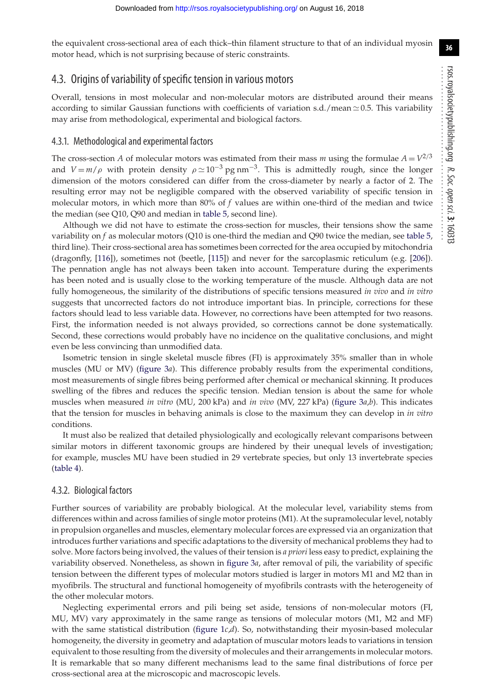the equivalent cross-sectional area of each thick–thin filament structure to that of an individual myosin motor head, which is not surprising because of steric constraints.

## 4.3. Origins of variability of specific tension in various motors

Overall, tensions in most molecular and non-molecular motors are distributed around their means according to similar Gaussian functions with coefficients of variation s.d./mean  $\simeq 0.5$ . This variability may arise from methodological, experimental and biological factors.

#### 4.3.1. Methodological and experimental factors

The cross-section *A* of molecular motors was estimated from their mass *m* using the formulae  $A = V^{2/3}$ and  $V = m/\rho$  with protein density  $\rho \approx 10^{-3}$  pg nm<sup>-3</sup>. This is admittedly rough, since the longer dimension of the motors considered can differ from the cross-diameter by nearly a factor of 2. The resulting error may not be negligible compared with the observed variability of specific tension in molecular motors, in which more than 80% of *f* values are within one-third of the median and twice the median (see Q10, Q90 and median in [table 5,](#page-29-0) second line).

Although we did not have to estimate the cross-section for muscles, their tensions show the same variability on *f* as molecular motors (Q10 is one-third the median and Q90 twice the median, see [table 5,](#page-29-0) third line). Their cross-sectional area has sometimes been corrected for the area occupied by mitochondria (dragonfly, [\[116\]](#page-40-22)), sometimes not (beetle, [\[115\]](#page-40-21)) and never for the sarcoplasmic reticulum (e.g. [\[206\]](#page-42-14)). The pennation angle has not always been taken into account. Temperature during the experiments has been noted and is usually close to the working temperature of the muscle. Although data are not fully homogeneous, the similarity of the distributions of specific tensions measured *in vivo* and *in vitro* suggests that uncorrected factors do not introduce important bias. In principle, corrections for these factors should lead to less variable data. However, no corrections have been attempted for two reasons. First, the information needed is not always provided, so corrections cannot be done systematically. Second, these corrections would probably have no incidence on the qualitative conclusions, and might even be less convincing than unmodified data.

Isometric tension in single skeletal muscle fibres (FI) is approximately 35% smaller than in whole muscles (MU or MV) [\(figure 3](#page-31-0)*a*). This difference probably results from the experimental conditions, most measurements of single fibres being performed after chemical or mechanical skinning. It produces swelling of the fibres and reduces the specific tension. Median tension is about the same for whole muscles when measured *in vitro* (MU, 200 kPa) and *in vivo* (MV, 227 kPa) [\(figure 3](#page-31-0)*a*,*b*). This indicates that the tension for muscles in behaving animals is close to the maximum they can develop in *in vitro* conditions.

It must also be realized that detailed physiologically and ecologically relevant comparisons between similar motors in different taxonomic groups are hindered by their unequal levels of investigation; for example, muscles MU have been studied in 29 vertebrate species, but only 13 invertebrate species [\(table 4\)](#page-10-0).

#### 4.3.2. Biological factors

Further sources of variability are probably biological. At the molecular level, variability stems from differences within and across families of single motor proteins (M1). At the supramolecular level, notably in propulsion organelles and muscles, elementary molecular forces are expressed via an organization that introduces further variations and specific adaptations to the diversity of mechanical problems they had to solve. More factors being involved, the values of their tension is *a priori* less easy to predict, explaining the variability observed. Nonetheless, as shown in [figure 3](#page-31-0)*a*, after removal of pili, the variability of specific tension between the different types of molecular motors studied is larger in motors M1 and M2 than in myofibrils. The structural and functional homogeneity of myofibrils contrasts with the heterogeneity of the other molecular motors.

Neglecting experimental errors and pili being set aside, tensions of non-molecular motors (FI, MU, MV) vary approximately in the same range as tensions of molecular motors (M1, M2 and MF) with the same statistical distribution [\(figure 1](#page-30-0)*c*,*d*). So, notwithstanding their myosin-based molecular homogeneity, the diversity in geometry and adaptation of muscular motors leads to variations in tension equivalent to those resulting from the diversity of molecules and their arrangements in molecular motors. It is remarkable that so many different mechanisms lead to the same final distributions of force per cross-sectional area at the microscopic and macroscopic levels.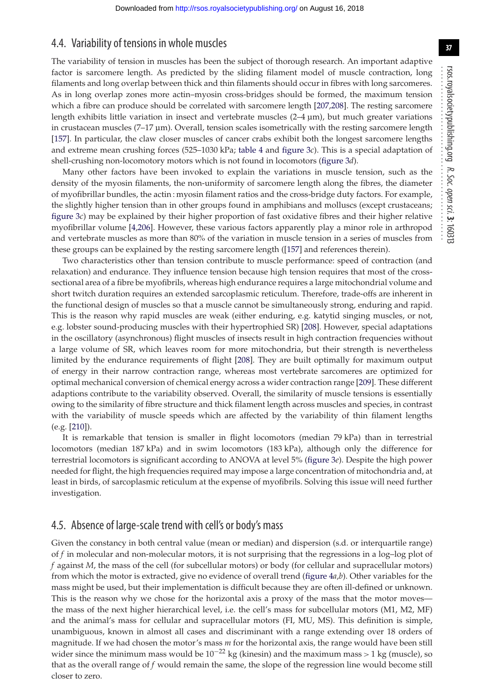#### 4.4. Variability of tensions in whole muscles

The variability of tension in muscles has been the subject of thorough research. An important adaptive factor is sarcomere length. As predicted by the sliding filament model of muscle contraction, long filaments and long overlap between thick and thin filaments should occur in fibres with long sarcomeres. As in long overlap zones more actin–myosin cross-bridges should be formed, the maximum tension which a fibre can produce should be correlated with sarcomere length [\[207](#page-42-15)[,208\]](#page-42-16). The resting sarcomere length exhibits little variation in insect and vertebrate muscles (2–4 µm), but much greater variations in crustacean muscles (7–17 µm). Overall, tension scales isometrically with the resting sarcomere length [\[157\]](#page-41-16). In particular, the claw closer muscles of cancer crabs exhibit both the longest sarcomere lengths and extreme mean crushing forces (525–1030 kPa; [table 4](#page-10-0) and [figure 3](#page-31-0)*c*). This is a special adaptation of shell-crushing non-locomotory motors which is not found in locomotors [\(figure 3](#page-31-0)*d*).

Many other factors have been invoked to explain the variations in muscle tension, such as the density of the myosin filaments, the non-uniformity of sarcomere length along the fibres, the diameter of myofibrillar bundles, the actin : myosin filament ratios and the cross-bridge duty factors. For example, the slightly higher tension than in other groups found in amphibians and molluscs (except crustaceans; [figure 3](#page-31-0)*c*) may be explained by their higher proportion of fast oxidative fibres and their higher relative myofibrillar volume [\[4](#page-38-3)[,206\]](#page-42-14). However, these various factors apparently play a minor role in arthropod and vertebrate muscles as more than 80% of the variation in muscle tension in a series of muscles from these groups can be explained by the resting sarcomere length ([\[157\]](#page-41-16) and references therein).

Two characteristics other than tension contribute to muscle performance: speed of contraction (and relaxation) and endurance. They influence tension because high tension requires that most of the crosssectional area of a fibre be myofibrils, whereas high endurance requires a large mitochondrial volume and short twitch duration requires an extended sarcoplasmic reticulum. Therefore, trade-offs are inherent in the functional design of muscles so that a muscle cannot be simultaneously strong, enduring and rapid. This is the reason why rapid muscles are weak (either enduring, e.g. katytid singing muscles, or not, e.g. lobster sound-producing muscles with their hypertrophied SR) [\[208\]](#page-42-16). However, special adaptations in the oscillatory (asynchronous) flight muscles of insects result in high contraction frequencies without a large volume of SR, which leaves room for more mitochondria, but their strength is nevertheless limited by the endurance requirements of flight [\[208\]](#page-42-16). They are built optimally for maximum output of energy in their narrow contraction range, whereas most vertebrate sarcomeres are optimized for optimal mechanical conversion of chemical energy across a wider contraction range [\[209\]](#page-42-17). These different adaptions contribute to the variability observed. Overall, the similarity of muscle tensions is essentially owing to the similarity of fibre structure and thick filament length across muscles and species, in contrast with the variability of muscle speeds which are affected by the variability of thin filament lengths (e.g. [\[210\]](#page-42-18)).

It is remarkable that tension is smaller in flight locomotors (median 79 kPa) than in terrestrial locomotors (median 187 kPa) and in swim locomotors (183 kPa), although only the difference for terrestrial locomotors is significant according to ANOVA at level 5% [\(figure 3](#page-31-0)*e*). Despite the high power needed for flight, the high frequencies required may impose a large concentration of mitochondria and, at least in birds, of sarcoplasmic reticulum at the expense of myofibrils. Solving this issue will need further investigation.

#### 4.5. Absence of large-scale trend with cell's or body's mass

Given the constancy in both central value (mean or median) and dispersion (s.d. or interquartile range) of *f* in molecular and non-molecular motors, it is not surprising that the regressions in a log–log plot of *f* against *M*, the mass of the cell (for subcellular motors) or body (for cellular and supracellular motors) from which the motor is extracted, give no evidence of overall trend [\(figure 4](#page-32-0)*a*,*b*). Other variables for the mass might be used, but their implementation is difficult because they are often ill-defined or unknown. This is the reason why we chose for the horizontal axis a proxy of the mass that the motor moves the mass of the next higher hierarchical level, i.e. the cell's mass for subcellular motors (M1, M2, MF) and the animal's mass for cellular and supracellular motors (FI, MU, MS). This definition is simple, unambiguous, known in almost all cases and discriminant with a range extending over 18 orders of magnitude. If we had chosen the motor's mass *m* for the horizontal axis, the range would have been still wider since the minimum mass would be  $10^{-22}$  kg (kinesin) and the maximum mass > 1 kg (muscle), so that as the overall range of *f* would remain the same, the slope of the regression line would become still closer to zero.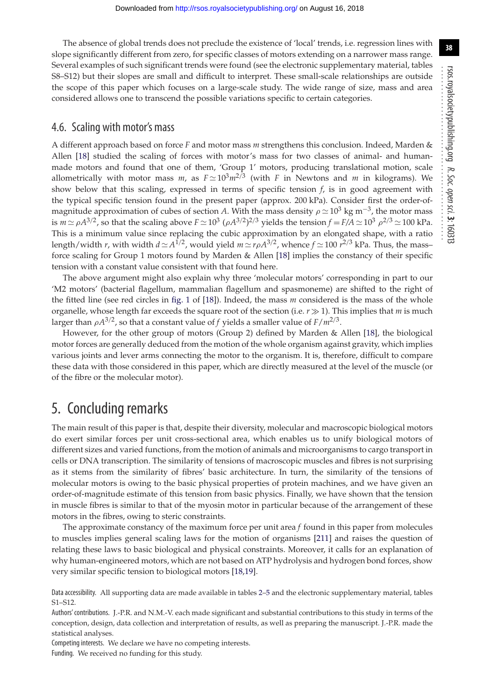The absence of global trends does not preclude the existence of 'local' trends, i.e. regression lines with slope significantly different from zero, for specific classes of motors extending on a narrower mass range. Several examples of such significant trends were found (see the electronic supplementary material, tables S8–S12) but their slopes are small and difficult to interpret. These small-scale relationships are outside the scope of this paper which focuses on a large-scale study. The wide range of size, mass and area considered allows one to transcend the possible variations specific to certain categories.

#### 4.6. Scaling with motor's mass

A different approach based on force *F* and motor mass *m* strengthens this conclusion. Indeed, Marden & Allen [\[18\]](#page-38-17) studied the scaling of forces with motor's mass for two classes of animal- and humanmade motors and found that one of them, 'Group 1' motors, producing translational motion, scale allometrically with motor mass *m*, as  $F \approx 10^3 m^{2/3}$  (with *F* in Newtons and *m* in kilograms). We show below that this scaling, expressed in terms of specific tension *f*, is in good agreement with the typical specific tension found in the present paper (approx. 200 kPa). Consider first the order-ofmagnitude approximation of cubes of section *A*. With the mass density  $\rho \simeq 10^3$  kg m<sup>-3</sup>, the motor mass is  $m \simeq \rho A^{3/2}$ , so that the scaling above  $F \simeq 10^3$   $(\rho A^{3/2})^{2/3}$  yields the tension  $f = F/A \simeq 10^3$   $\rho^{2/3} \simeq 100$  kPa. This is a minimum value since replacing the cubic approximation by an elongated shape, with a ratio length/width *r*, with width  $d \simeq A^{1/2}$ , would yield  $m \simeq r \rho A^{3/2}$ , whence  $f \simeq 100 r^{2/3}$  kPa. Thus, the mass– force scaling for Group 1 motors found by Marden & Allen [\[18\]](#page-38-17) implies the constancy of their specific tension with a constant value consistent with that found here.

The above argument might also explain why three 'molecular motors' corresponding in part to our 'M2 motors' (bacterial flagellum, mammalian flagellum and spasmoneme) are shifted to the right of the fitted line (see red circles in [fig. 1](#page-30-0) of [\[18\]](#page-38-17)). Indeed, the mass *m* considered is the mass of the whole organelle, whose length far exceeds the square root of the section (i.e. *r* 1). This implies that *m* is much larger than  $\rho A^{3/2}$ , so that a constant value of *f* yields a smaller value of *F*/ $m^{2/3}$ .

However, for the other group of motors (Group 2) defined by Marden & Allen [\[18\]](#page-38-17), the biological motor forces are generally deduced from the motion of the whole organism against gravity, which implies various joints and lever arms connecting the motor to the organism. It is, therefore, difficult to compare these data with those considered in this paper, which are directly measured at the level of the muscle (or of the fibre or the molecular motor).

# 5. Concluding remarks

The main result of this paper is that, despite their diversity, molecular and macroscopic biological motors do exert similar forces per unit cross-sectional area, which enables us to unify biological motors of different sizes and varied functions, from the motion of animals and microorganisms to cargo transport in cells or DNA transcription. The similarity of tensions of macroscopic muscles and fibres is not surprising as it stems from the similarity of fibres' basic architecture. In turn, the similarity of the tensions of molecular motors is owing to the basic physical properties of protein machines, and we have given an order-of-magnitude estimate of this tension from basic physics. Finally, we have shown that the tension in muscle fibres is similar to that of the myosin motor in particular because of the arrangement of these motors in the fibres, owing to steric constraints.

The approximate constancy of the maximum force per unit area *f* found in this paper from molecules to muscles implies general scaling laws for the motion of organisms [\[211\]](#page-42-19) and raises the question of relating these laws to basic biological and physical constraints. Moreover, it calls for an explanation of why human-engineered motors, which are not based on ATP hydrolysis and hydrogen bond forces, show very similar specific tension to biological motors [\[18,](#page-38-17)[19\]](#page-38-18).

Data accessibility. All supporting data are made available in tables [2](#page-4-0)[–5](#page-29-0) and the electronic supplementary material, tables S1–S12.

Authors' contributions. J.-P.R. and N.M.-V. each made significant and substantial contributions to this study in terms of the conception, design, data collection and interpretation of results, as well as preparing the manuscript. J.-P.R. made the statistical analyses.

Competing interests. We declare we have no competing interests. Funding. We received no funding for this study.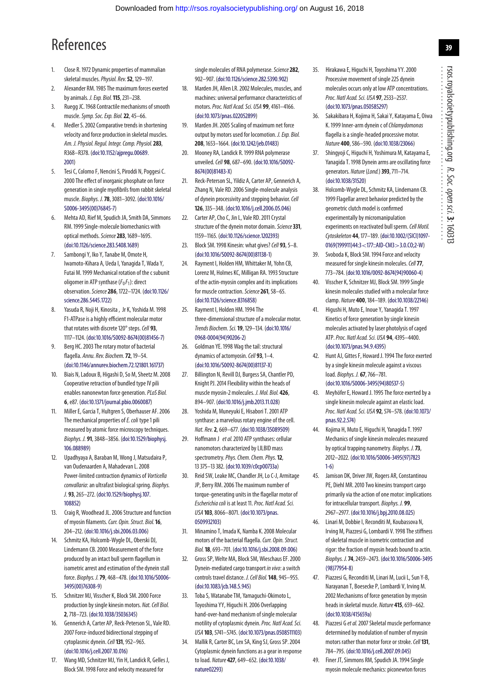# References

- <span id="page-38-0"></span>1. Close R. 1972 Dynamic properties of mammalian skeletal muscles.Physiol. Rev.**52**, 129–197.
- <span id="page-38-1"></span>2. Alexander RM. 1985 The maximum forces exerted by animals. J. Exp. Biol.**115**, 231–238.
- <span id="page-38-2"></span>3. Ruegg JC. 1968 Contractile mechanisms of smooth muscle.Symp. Soc. Exp. Biol.**22**, 45–66.
- <span id="page-38-3"></span>Medler S. 2002 Comparative trends in shortening velocity and force production in skeletal muscles. Am. J. Physiol. Regul. Integr. Comp. Physiol.**283**, R368–R378. [\(doi:10.1152/ajpregu.00689.](http://dx.doi.org/10.1152/ajpregu.00689.2001) [2001\)](http://dx.doi.org/10.1152/ajpregu.00689.2001)
- <span id="page-38-4"></span>5. Tesi C, Colomo F, Nencini S, Piroddi N, Poggesi C. 2000 The effect of inorganic phosphate on force generation in single myofibrils from rabbit skeletal muscle. Biophys. J.**78**, 3081–3092. [\(doi:10.1016/](http://dx.doi.org/10.1016/S0006-3495(00)76845-7) [S0006-3495\(00\)76845-7\)](http://dx.doi.org/10.1016/S0006-3495(00)76845-7)
- <span id="page-38-5"></span>6. Mehta AD, Rief M, Spudich JA, Smith DA, Simmons RM. 1999 Single-molecule biomechanics with optical methods. Science 283, 1689-1695. [\(doi:10.1126/science.283.5408.1689\)](http://dx.doi.org/10.1126/science.283.5408.1689)
- <span id="page-38-6"></span>7. Sambongi Y, Iko Y, Tanabe M, Omote H, Iwamoto-Kihara A, Ueda I, Yanagida T, Wada Y, Futai M. 1999 Mechanical rotation of the c subunit oligomer in ATP synthase  $(F_0F_1)$ : direct observation.Science**286**, 1722–1724. [\(doi:10.1126/](http://dx.doi.org/10.1126/science.286.5445.1722) [science.286.5445.1722\)](http://dx.doi.org/10.1126/science.286.5445.1722)
- <span id="page-38-7"></span>8. Yasuda R, Noji H, Kinosita , Jr K, Yoshida M. 1998 F1-ATPase is a highly efficient molecular motor that rotates with discrete 120° steps. Cell 93, 1117–1124. [\(doi:10.1016/S0092-8674\(00\)81456-7\)](http://dx.doi.org/10.1016/S0092-8674(00)81456-7)
- <span id="page-38-8"></span>9. Berg HC. 2003 The rotary motor of bacterial flagella. Annu. Rev. Biochem.**72**, 19–54. [\(doi:10.1146/annurev.biochem.72.121801.161737\)](http://dx.doi.org/10.1146/annurev.biochem.72.121801.161737)
- <span id="page-38-9"></span>10. Biais N, Ladoux B, Higashi D, So M, Sheetz M. 2008 Cooperative retraction of bundled type IV pili enables nanonewton force generation. PLoS Biol. **6**, e87. [\(doi:10.1371/journal.pbio.0060087\)](http://dx.doi.org/10.1371/journal.pbio.0060087)
- <span id="page-38-10"></span>11. Miller E, Garcia T, Hultgren S, Oberhauser AF. 2006 The mechanical properties of E. coli type 1 pili measured by atomic force microscopy techniques. Biophys. J. **91**, 3848–3856. [\(doi:10.1529/biophysj.](http://dx.doi.org/10.1529/biophysj.106.088989) [106.088989\)](http://dx.doi.org/10.1529/biophysj.106.088989)
- <span id="page-38-11"></span>12. Upadhyaya A, Baraban M, Wong J, Matsudaira P, van Oudenaarden A, Mahadevan L. 2008 Power-limited contraction dynamics of Vorticella convallaria: an ultrafast biological spring. Biophys. J. **93**, 265–272. [\(doi:10.1529/biophysj.107.](http://dx.doi.org/10.1529/biophysj.107.108852) [108852\)](http://dx.doi.org/10.1529/biophysj.107.108852)
- <span id="page-38-12"></span>13. Craig R, Woodhead JL. 2006 Structure and function of myosin filaments. Curr. Opin. Struct. Biol. 16, 204–212. [\(doi:10.1016/j.sbi.2006.03.006\)](http://dx.doi.org/10.1016/j.sbi.2006.03.006)
- <span id="page-38-13"></span>14. Schmitz KA, Holcomb-Wygle DL, Oberski DJ, Lindemann CB. 2000 Measurement of the force produced by an intact bull sperm flagellum in isometric arrest and estimation of the dynein stall force. Biophys. J.**79**, 468–478. [\(doi:10.1016/S0006-](http://dx.doi.org/10.1016/S0006-3495(00)76308-9) [3495\(00\)76308-9\)](http://dx.doi.org/10.1016/S0006-3495(00)76308-9)
- <span id="page-38-14"></span>15. Schnitzer MJ, Visscher K, Block SM. 2000 Force production by single kinesin motors. Nat. Cell Biol. **2**, 718–723. [\(doi:10.1038/35036345\)](http://dx.doi.org/10.1038/35036345)
- <span id="page-38-15"></span>16. Gennerich A, Carter AP, Reck-Peterson SL, Vale RD. 2007 Force-induced bidirectional stepping of cytoplasmic dynein. Cell **131**, 952-965. [\(doi:10.1016/j.cell.2007.10.016\)](http://dx.doi.org/10.1016/j.cell.2007.10.016)
- <span id="page-38-16"></span>Wang MD, Schnitzer MJ, Yin H, Landick R, Gelles J, Block SM. 1998 Force and velocity measured for

single molecules of RNA polymerase. Science 282, 902–907. [\(doi:10.1126/science.282.5390.902\)](http://dx.doi.org/10.1126/science.282.5390.902)

- <span id="page-38-17"></span>18. Marden JH, Allen LR. 2002 Molecules, muscles, and machines: universal performance characteristics of motors.Proc. Natl Acad. Sci. USA **99**, 4161–4166. [\(doi:10.1073/pnas.022052899\)](http://dx.doi.org/10.1073/pnas.022052899)
- <span id="page-38-18"></span>19. Marden JH. 2005 Scaling of maximum net force output by motors used for locomotion. J. Exp. Biol. **208**, 1653–1664. [\(doi:10.1242/jeb.01483\)](http://dx.doi.org/10.1242/jeb.01483)
- <span id="page-38-19"></span>20. Mooney RA, Landick R. 1999 RNA polymerase unveiled.Cell **98**, 687–690. [\(doi:10.1016/S0092-](http://dx.doi.org/10.1016/S0092-8674(00)81483-X) [8674\(00\)81483-X\)](http://dx.doi.org/10.1016/S0092-8674(00)81483-X)
- <span id="page-38-20"></span>21. Reck-Peterson SL, Yildiz A, Carter AP, Gennerich A, Zhang N, Vale RD. 2006 Single-molecule analysis of dynein processivity and stepping behavior. Cell **126**, 335–348. [\(doi:10.1016/j.cell.2006.05.046\)](http://dx.doi.org/10.1016/j.cell.2006.05.046)
- <span id="page-38-21"></span>22. Carter AP, Cho C, Jin L, Vale RD. 2011 Crystal structure of the dynein motor domain. Science 331, 1159–1165. [\(doi:10.1126/science.1202393\)](http://dx.doi.org/10.1126/science.1202393)
- <span id="page-38-22"></span>23. Block SM. 1998 Kinesin: what gives? Cell **93**, 5-8. [\(doi:10.1016/S0092-8674\(00\)81138-1\)](http://dx.doi.org/10.1016/S0092-8674(00)81138-1)
- <span id="page-38-23"></span>24. Rayment I, Holden HM, Whittaker M, Yohn CB, Lorenz M, Holmes KC, Milligan RA. 1993 Structure of the actin-myosin complex and its implications for muscle contraction. Science 261, 58-65. [\(doi:10.1126/science.8316858\)](http://dx.doi.org/10.1126/science.8316858)
- <span id="page-38-24"></span>25. Rayment I, Holden HM. 1994 The three-dimensional structure of a molecular motor. Trends Biochem. Sci.**19**, 129–134. [\(doi:10.1016/](http://dx.doi.org/10.1016/0968-0004(94)90206-2) [0968-0004\(94\)90206-2\)](http://dx.doi.org/10.1016/0968-0004(94)90206-2)
- <span id="page-38-25"></span>26. Goldman YE. 1998 Wag the tail: structural dynamics of actomyosin. Cell 93, 1-4. [\(doi:10.1016/S0092-8674\(00\)81137-X\)](http://dx.doi.org/10.1016/S0092-8674(00)81137-X)
- <span id="page-38-26"></span>27. Billington N, Revill DJ, Burgess SA, Chantler PD, Knight PJ. 2014 Flexibility within the heads of muscle myosin-2 molecules. J. Mol. Biol. **426**, 894–907. [\(doi:10.1016/j.jmb.2013.11.028\)](http://dx.doi.org/10.1016/j.jmb.2013.11.028)
- <span id="page-38-27"></span>28. Yoshida M, Muneyuki E, Hisabori T. 2001 ATP synthase: a marvelous rotary engine of the cell. Nat. Rev.**2**, 669–677. [\(doi:10.1038/35089509\)](http://dx.doi.org/10.1038/35089509)
- <span id="page-38-28"></span>29. Hoffmann J et al. 2010 ATP synthases: cellular nanomotors characterized by LILBID mass spectrometry.Phys. Chem. Chem. Phys.**12**, 13 375–13 382. [\(doi:10.1039/c0cp00733a\)](http://dx.doi.org/10.1039/c0cp00733a)
- <span id="page-38-29"></span>30. Reid SW, Leake MC, Chandler JH, Lo C-J, Armitage JP, Berry RM. 2006 The maximum number of torque-generating units in the flagellar motor of Escherichia coli is at least 11.Proc. Natl Acad. Sci. USA **103**, 8066–8071. [\(doi:10.1073/pnas.](http://dx.doi.org/10.1073/pnas.0509932103) [0509932103\)](http://dx.doi.org/10.1073/pnas.0509932103)
- <span id="page-38-30"></span>31. Minamino T, Imada K, Namba K. 2008 Molecular motors of the bacterial flagella. Curr. Opin. Struct. Biol.**18**, 693–701. [\(doi:10.1016/j.sbi.2008.09.006\)](http://dx.doi.org/10.1016/j.sbi.2008.09.006)
- <span id="page-38-31"></span>32. Gross SP, Welte MA, Block SM, Wieschaus EF. 2000 Dynein-mediated cargo transport in vivo: a switch controls travel distance. J. Cell Biol.**148**, 945–955. [\(doi:10.1083/jcb.148.5.945\)](http://dx.doi.org/10.1083/jcb.148.5.945)
- <span id="page-38-32"></span>33. Toba S, Watanabe TM, Yamaguchi-Okimoto L, Toyoshima YY, Higuchi H. 2006 Overlapping hand-over-hand mechanism of single molecular motility of cytoplasmic dynein. Proc. Natl Acad. Sci. USA **103**, 5741–5745. [\(doi:10.1073/pnas.0508511103\)](http://dx.doi.org/10.1073/pnas.0508511103)
- <span id="page-38-33"></span>34. Mallik R, Carter BC, Lex SA, King SJ, Gross SP. 2004 Cytoplasmic dynein functions as a gear in response to load. Nature **427**, 649–652. [\(doi:10.1038/](http://dx.doi.org/10.1038/nature02293) [nature02293\)](http://dx.doi.org/10.1038/nature02293)
- <span id="page-38-34"></span>35. Hirakawa E, Higuchi H, Toyoshima YY. 2000 Processive movement of single 22S dynein molecules occurs only at low ATP concentrations. Proc. Natl Acad. Sci. USA **97**, 2533–2537. [\(doi:10.1073/pnas.050585297\)](http://dx.doi.org/10.1073/pnas.050585297)
- <span id="page-38-35"></span>36. Sakakibara H, Kojima H, Sakai Y, Katayama E, Oiwa K. 1999 Inner-arm dynein c of Chlamydomonas flagella is a single-headed processive motor. Nature **400**, 586–590. [\(doi:10.1038/23066\)](http://dx.doi.org/10.1038/23066)
- <span id="page-38-36"></span>37. Shingyoji C, Higuchi H, Yoshimura M, Katayama E, Yanagida T. 1998 Dynein arms are oscillating force generators. Nature(Lond.)**393**, 711–714. [\(doi:10.1038/31520\)](http://dx.doi.org/10.1038/31520)
- <span id="page-38-37"></span>38. Holcomb-Wygle DL, Schmitz KA, Lindemann CB. 1999 Flagellar arrest behavior predicted by the geometric clutch model is confirmed experimentally by micromanipulation experiments on reactivated bull sperm. Cell Motil. Cytoskeleton **44**, 177–189. [\(doi:10.1002/\(SICI\)1097-](http://dx.doi.org/10.1002/(SICI)1097-0169(199911)44:3%3C177::AID-CM3%3E3.0.CO;2-W) [0169\(199911\)44:3](http://dx.doi.org/10.1002/(SICI)1097-0169(199911)44:3%3C177::AID-CM3%3E3.0.CO;2-W)<177::AID-CM3>3.0.CO;2-W)
- <span id="page-38-38"></span>39. Svoboda K, Block SM. 1994 Force and velocity measured for single kinesin molecules. Cell 77, 773–784. [\(doi:10.1016/0092-8674\(94\)90060-4\)](http://dx.doi.org/10.1016/0092-8674(94)90060-4)
- <span id="page-38-39"></span>40. Visscher K, Schnitzer MJ, Block SM. 1999 Single kinesin molecules studied with a molecular force clamp. Nature **400**, 184–189. [\(doi:10.1038/22146\)](http://dx.doi.org/10.1038/22146)
- <span id="page-38-40"></span>41. Higushi H, Muto E, Inoue Y, Yanagida T. 1997 Kinetics of force generation by single kinesin molecules activated by laser photolysis of caged ATP.Proc. Natl Acad. Sci. USA **94**, 4395–4400. [\(doi:10.1073/pnas.94.9.4395\)](http://dx.doi.org/10.1073/pnas.94.9.4395)
- <span id="page-38-41"></span>42. Hunt AJ, Gittes F, Howard J. 1994 The force exerted by a single kinesin molecule against a viscous load. Biophys. J. **67**, 766–781.

<span id="page-38-42"></span>[\(doi:10.1016/S0006-3495\(94\)80537-5\)](http://dx.doi.org/10.1016/S0006-3495(94)80537-5)

- 43. Meyhöfer E, Howard J. 1995 The force exerted by a single kinesin molecule against an elastic load. Proc. Natl Acad. Sci. USA **92**, 574–578. [\(doi:10.1073/](http://dx.doi.org/10.1073/pnas.92.2.574) [pnas.92.2.574\)](http://dx.doi.org/10.1073/pnas.92.2.574)
- <span id="page-38-43"></span>44. Kojima H, Muto E, Higuchi H, Yanagida T. 1997 Mechanics of single kinesin molecules measured by optical trapping nanometry. Biophys. J.**73**, 2012–2022. [\(doi:10.1016/S0006-3495\(97\)7823](http://dx.doi.org/10.1016/S0006-3495(97)78231-6) [1-6\)](http://dx.doi.org/10.1016/S0006-3495(97)78231-6)
- <span id="page-38-44"></span>45. Jamison DK, Driver JW, Rogers AR, Constantinou PE, Diehl MR. 2010 Two kinesins transport cargo primarily via the action of one motor: implications for intracellular transport. Biophys. J. **99**, 2967–2977. [\(doi:10.1016/j.bpj.2010.08.025\)](http://dx.doi.org/10.1016/j.bpj.2010.08.025)
- <span id="page-38-45"></span>46. Linari M, Dobbie I, Reconditi M, Koubassova N, Irving M, Piazzesi G, Lombardi V. 1998 The stiffness of skeletal muscle in isometric contraction and rigor: the fraction of myosin heads bound to actin. Biophys. J.**74**, 2459–2473. [\(doi:10.1016/S0006-3495](http://dx.doi.org/10.1016/S0006-3495(98)77954-8) [\(98\)77954-8\)](http://dx.doi.org/10.1016/S0006-3495(98)77954-8)
- <span id="page-38-46"></span>47. Piazzesi G, Reconditi M, Linari M, Lucii L, Sun Y-B, Narayanan T, Boesecke P, Lombardi V, Irving M. 2002 Mechanisms of force generation by myosin heads in skeletal muscle. Nature **415**, 659–662. [\(doi:10.1038/415659a\)](http://dx.doi.org/10.1038/415659a)
- <span id="page-38-47"></span>48. Piazzesi G et al. 2007 Skeletal muscle performance determined by modulation of number of myosin motors rather than motor force or stroke. Cell 131, 784–795. [\(doi:10.1016/j.cell.2007.09.045\)](http://dx.doi.org/10.1016/j.cell.2007.09.045)
- <span id="page-38-48"></span>49. Finer JT, Simmons RM, Spudich JA. 1994 Single myosin molecule mechanics: piconewton forces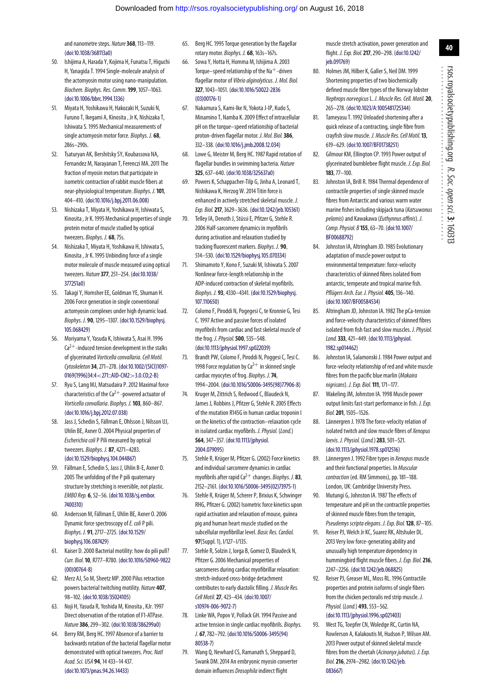and nanometre steps. Nature**368**, 113–119. [\(doi:10.1038/368113a0\)](http://dx.doi.org/10.1038/368113a0)

- <span id="page-39-0"></span>50. Ishijima A, Harada Y, Kojima H, Funatsu T, Higuchi H, Yanagida T. 1994 Single-molecule analysis of the actomyosin motor using nano-manipulation. Biochem. Biophys. Res. Comm.**199**, 1057–1063. [\(doi:10.1006/bbrc.1994.1336\)](http://dx.doi.org/10.1006/bbrc.1994.1336)
- <span id="page-39-1"></span>51. Miyata H, Yoshikawa H, Hakozaki H, Suzuki N, Furuno T, Ikegami A, Kinosita , Jr K, Nishizaka T, Ishiwata S. 1995 Mechanical measurements of single actomyosin motor force. Biophys. J. **68**, 286s–290s.
- <span id="page-39-2"></span>52. Tsaturyan AK, Bershitsky SY, Koubassova NA, Fernandez M, Narayanan T, Ferenczi MA. 2011 The fraction of myosin motors that participate in isometric contraction of rabbit muscle fibers at near-physiological temperature. Biophys. J.**101**, 404–410. [\(doi:10.1016/j.bpj.2011.06.008\)](http://dx.doi.org/10.1016/j.bpj.2011.06.008)
- <span id="page-39-3"></span>53. Nishizaka T, Miyata H, Yoshikawa H, Ishiwata S, Kinosita , Jr K. 1995 Mechanical properties of single protein motor of muscle studied by optical tweezers. Biophys. J. **68**, 75s.
- <span id="page-39-4"></span>54. Nishizaka T, Miyata H, Yoshikawa H, Ishiwata S, Kinosita , Jr K. 1995 Unbinding force of a single motor molecule of muscle measured using optical tweezers. Nature**377**, 251–254. [\(doi:10.1038/](http://dx.doi.org/10.1038/377251a0) [377251a0\)](http://dx.doi.org/10.1038/377251a0)
- <span id="page-39-5"></span>55. Takagi Y, Homsher EE, Goldman YE, Shuman H. 2006 Force generation in single conventional actomyosin complexes under high dynamic load. Biophys. J. **90**, 1295–1307. [\(doi:10.1529/biophysj.](http://dx.doi.org/10.1529/biophysj.105.068429) [105.068429\)](http://dx.doi.org/10.1529/biophysj.105.068429)
- <span id="page-39-6"></span>56. Moriyama Y, Yasuda K, Ishiwata S, Asai H. 1996  $Ca<sup>2+</sup>$ -induced tension development in the stalks of glycerinated Vorticella convallaria. Cell Motil. Cytoskeleton**34**, 271–278. [\(doi:10.1002/\(SICI\)1097-](http://dx.doi.org/10.1002/(SICI)1097-0169(1996)34:4%3C271::AID-CM2%3E3.0.CO;2-B) [0169\(1996\)34:4](http://dx.doi.org/10.1002/(SICI)1097-0169(1996)34:4%3C271::AID-CM2%3E3.0.CO;2-B)<271::AID-CM2>3.0.CO;2-B)
- <span id="page-39-7"></span>57. Ryu S, Lang MJ, Matsudaira P. 2012 Maximal force characteristics of the  $Ca^{2+}$ -powered actuator of Vorticella convallaria. Biophys. J.**103**, 860–867. [\(doi:10.1016/j.bpj.2012.07.038\)](http://dx.doi.org/10.1016/j.bpj.2012.07.038)
- <span id="page-39-8"></span>58. Jass J, Schedin S, Fällman E, Ohlsson J, Nilsson UJ, Uhlin BE, Axner O. 2004 Physical properties of Escherichia coli P Pili measured by optical tweezers. Biophys. J. **87**, 4271–4283. [\(doi:10.1529/biophysj.104.044867\)](http://dx.doi.org/10.1529/biophysj.104.044867)
- <span id="page-39-9"></span>59. Fällman E, Schedin S, Jass J, Uhlin B-E, Axner O. 2005 The unfolding of the P pili quaternary structure by stretching is reversible, not plastic. EMBO Rep. **6**, 52–56. [\(doi:10.1038/sj.embor.](http://dx.doi.org/10.1038/sj.embor.7400310) [7400310\)](http://dx.doi.org/10.1038/sj.embor.7400310)
- <span id="page-39-10"></span>60. Andersson M, Fällman E, Uhlin BE, Axner O. 2006 Dynamic force spectroscopy of E. coli P pili. Biophys. J. **91**, 2717–2725. [\(doi:10.1529/](http://dx.doi.org/10.1529/biophysj.106.087429) [biophysj.106.087429\)](http://dx.doi.org/10.1529/biophysj.106.087429)
- <span id="page-39-11"></span>61. Kaiser D. 2000 Bacterial motility: how do pili pull? Curr. Biol.**10**, R777–R780. [\(doi:10.1016/S0960-9822](http://dx.doi.org/10.1016/S0960-9822(00)00764-8) [\(00\)00764-8\)](http://dx.doi.org/10.1016/S0960-9822(00)00764-8)
- <span id="page-39-12"></span>62. Merz AJ, So M, Sheetz MP. 2000 Pilus retraction powers bacterial twitching motility. Nature **407**, 98–102. [\(doi:10.1038/35024105\)](http://dx.doi.org/10.1038/35024105)
- <span id="page-39-13"></span>63. Noji H, Yasuda R, Yoshida M, Kinosita , KJr. 1997 Direct observation of the rotation of F1-ATPase. Nature**386**, 299–302. [\(doi:10.1038/386299a0\)](http://dx.doi.org/10.1038/386299a0)
- <span id="page-39-14"></span>64. Berry RM, Berg HC. 1997 Absence of a barrier to backwards rotation of the bacterial flagellar motor demonstrated with optical tweezers. Proc. Natl Acad. Sci. USA **94**, 14 433–14 437. [\(doi:10.1073/pnas.94.26.14433\)](http://dx.doi.org/10.1073/pnas.94.26.14433)
- <span id="page-39-15"></span>65. Berg HC. 1995 Torque generation by the flagellar rotary motor. Biophys. J. **68**, 163s–167s.
- <span id="page-39-16"></span>66. Sowa Y, Hotta H, Homma M, Ishijima A. 2003 Torque–speed relationship of the Na $^+$ -driven flagellar motor of Vibrio alginolyticus. J. Mol. Biol. **327**, 1043–1051. [\(doi:10.1016/S0022-2836](http://dx.doi.org/10.1016/S0022-2836(03)00176-1) [\(03\)00176-1\)](http://dx.doi.org/10.1016/S0022-2836(03)00176-1)
- <span id="page-39-17"></span>67. Nakamura S, Kami-Ike N, Yokota J-IP, Kudo S, Minamino T, Namba K. 2009 Effect of intracellular pH on the torque–speed relationship of bacterial proton-driven flagellar motor. J. Mol. Biol.**386**, 332–338. [\(doi:10.1016/j.jmb.2008.12.034\)](http://dx.doi.org/10.1016/j.jmb.2008.12.034)
- <span id="page-39-18"></span>68. Lowe G, Meister M, Berg HC. 1987 Rapid rotation of flagellar bundles in swimming bacteria. Nature **325**, 637–640. [\(doi:10.1038/325637a0\)](http://dx.doi.org/10.1038/325637a0)
- <span id="page-39-19"></span>69. Powers K, Schappacher-Tilp G, Jinha A, Leonard T, Nishikawa K, Herzog W. 2014 Titin force is enhanced in actively stretched skeletal muscle. J. Exp. Biol.**217**, 3629–3636. [\(doi:10.1242/jeb.105361\)](http://dx.doi.org/10.1242/jeb.105361)
- <span id="page-39-20"></span>70. Telley IA, Denoth J, Stüssi E, Pfitzer G, Stehle R. 2006 Half-sarcomere dynamics in myofibrils during activation and relaxation studied by tracking fluorescent markers. Biophys. J. **90**, 514–530. [\(doi:10.1529/biophysj.105.070334\)](http://dx.doi.org/10.1529/biophysj.105.070334)
- <span id="page-39-21"></span>71. Shimamoto Y, Kono F, Suzuki M, Ishiwata S. 2007 Nonlinear force-length relationship in the ADP-induced contraction of skeletal myofibrils. Biophys. J. **93**, 4330–4341. [\(doi:10.1529/biophysj.](http://dx.doi.org/10.1529/biophysj.107.110650) [107.110650\)](http://dx.doi.org/10.1529/biophysj.107.110650)
- <span id="page-39-22"></span>72. Colomo F, Piroddi N, Pogegesi C, te Kronnie G, Tesi C. 1997 Active and passive forces of isolated myofibrils from cardiac and fast skeletal muscle of the frog. J. Physiol.**500**, 535–548. [\(doi:10.1113/jphysiol.1997.sp022039\)](http://dx.doi.org/10.1113/jphysiol.1997.sp022039)
- <span id="page-39-23"></span>73. Brandt PW, Colomo F, Piroddi N, Poggesi C, Tesi C. 1998 Force regulation by  $Ca^{2+}$  in skinned single cardiac myocytes of frog. Biophys. J.**74**, 1994–2004. [\(doi:10.1016/S0006-3495\(98\)77906-8\)](http://dx.doi.org/10.1016/S0006-3495(98)77906-8)
- <span id="page-39-24"></span>74. Kruger M, Zittrich S, Redwood C, Blaudeck N, James J, Robbins J, Pfitzer G, Stehle R. 2005 Effects of the mutation R145G in human cardiac troponin I on the kinetics of the contraction–relaxation cycle in isolated cardiac myofibrils. J. Physiol. (Lond.) **564**, 347–357. [\(doi:10.1113/jphysiol.](http://dx.doi.org/10.1113/jphysiol.2004.079095) [2004.079095\)](http://dx.doi.org/10.1113/jphysiol.2004.079095)
- <span id="page-39-25"></span>75. Stehle R, Krüger M, Pfitzer G. (2002) Force kinetics and individual sarcomere dynamics in cardiac myofibrils after rapid Ca2<sup>+</sup> changes. Biophys. J. **83**, 2152–2161. [\(doi:10.1016/S0006-3495\(02\)73975-1\)](http://dx.doi.org/10.1016/S0006-3495(02)73975-1)
- <span id="page-39-26"></span>76. Stehle R, Krüger M, Scherer P, Brixius K, Schwinger RHG, Pfitzer G. (2002) Isometric force kinetics upon rapid activation and relaxation of mouse, guinea pig and human heart muscle studied on the subcellular myofibrillar level. Basic Res. Cardiol. **97**(Suppl. 1), I/127–I/135.
- <span id="page-39-27"></span>77. Stehle R, Solzin J, Iorga B, Gomez D, Blaudeck N, Pfitzer G. 2006 Mechanical properties of sarcomeres during cardiac myofibrillar relaxation: stretch-induced cross-bridge detachment contributes to early diastolic filling. J. Muscle Res. Cell Motil.**27**, 423–434. [\(doi:10.1007/](http://dx.doi.org/10.1007/s10974-006-9072-7) [s10974-006-9072-7\)](http://dx.doi.org/10.1007/s10974-006-9072-7)
- <span id="page-39-28"></span>78. Linke WA, Popov V, Pollack GH. 1994 Passive and active tension in single cardiac myofibrils. Biophys. J. **67**, 782–792. [\(doi:10.1016/S0006-3495\(94\)](http://dx.doi.org/10.1016/S0006-3495(94)80538-7) [80538-7\)](http://dx.doi.org/10.1016/S0006-3495(94)80538-7)
- <span id="page-39-29"></span>79. Wang Q, Newhard CS, Ramanath S, Sheppard D, Swank DM. 2014 An embryonic myosin converter domain influences Drosophila indirect flight

muscle stretch activation, power generation and flight. J. Exp. Biol.**217**, 290–298. [\(doi:10.1242/](http://dx.doi.org/10.1242/jeb.091769) [jeb.091769\)](http://dx.doi.org/10.1242/jeb.091769)

- <span id="page-39-30"></span>80. Holmes JM, Hilber K, Galler S, Neil DM. 1999 Shortening properties of two biochemically defined muscle fibre types of the Norway lobster Nephrops norvegicusL. J. Muscle Res. Cell. Motil.**20**, 265–278. [\(doi:10.1023/A:1005481725344\)](http://dx.doi.org/10.1023/A:1005481725344)
- <span id="page-39-31"></span>81. Tameyasu T. 1992 Unloaded shortening after a quick release of a contracting, single fibre from crayfish slow muscle. J. Muscle Res. Cell Motil.**13**, 619–629. [\(doi:10.1007/BF01738251\)](http://dx.doi.org/10.1007/BF01738251)
- <span id="page-39-32"></span>82. Gilmour KM, Ellington CP. 1993 Power output of glycerinated bumblebee flight muscle. J. Exp. Biol. **183**, 77–100.
- <span id="page-39-33"></span>83. Johnston IA, Brill R. 1984 Thermal dependence of contractile properties of single skinned muscle fibres from Antarctic and various warm water marine fishes including skipjack tuna (Katsuwonus pelamis) and Kawakawa (Euthynnus affinis). J. Comp. Physiol. B **155**, 63–70. [\(doi:10.1007/](http://dx.doi.org/10.1007/BF00688792) [BF00688792\)](http://dx.doi.org/10.1007/BF00688792)
- <span id="page-39-34"></span>84. Johnston IA, Altringham JD. 1985 Evolutionary adaptation of muscle power output to environmental temperature: force-velocity characteristics of skinned fibres isolated from antarctic, temperate and tropical marine fish. Pflügers Arch. Eur. J. Physiol. **405**, 136–140. [\(doi:10.1007/BF00584534\)](http://dx.doi.org/10.1007/BF00584534)
- <span id="page-39-35"></span>85. Altringham JD, Johnston IA. 1982 The pCa-tension and force-velocity characteristics of skinned fibres isolated from fish fast and slow muscles. J. Physiol. Lond.**333**, 421–449. [\(doi:10.1113/jphysiol.](http://dx.doi.org/10.1113/jphysiol.1982.sp014462) [1982.sp014462\)](http://dx.doi.org/10.1113/jphysiol.1982.sp014462)
- <span id="page-39-36"></span>86. Johnston IA, Salamonski J. 1984 Power output and force-velocity relationship of red and white muscle fibres from the pacific blue marlin (Makaira nigricans). J. Exp. Biol.**111**, 171–177.
- <span id="page-39-37"></span>87. Wakeling JM, Johnston IA. 1998 Muscle power output limits fast-start performance in fish. J. Exp. Biol.**201**, 1505–1526.
- <span id="page-39-38"></span>88. Lännergren J. 1978 The force-velocity relation of isolated twitch and slow muscle fibres of Xenopus laevis. J. Physiol. (Lond.)**283**, 501–521. [\(doi:10.1113/jphysiol.1978.sp012516\)](http://dx.doi.org/10.1113/jphysiol.1978.sp012516)
- <span id="page-39-39"></span>89. Lännergren J. 1992 Fibre types in Xenopus muscle and their functional properties. In Muscular contraction (ed. RM Simmons), pp. 181-188. London, UK: Cambridge University Press.
- <span id="page-39-40"></span>90. Mutungi G, Johnston IA. 1987 The effects of temperature and pH on the contractile properties of skinned muscle fibres from the terrapin, Pseudemysscripta elegans. J. Exp. Biol.**128**, 87–105.
- <span id="page-39-41"></span>91. Reiser PJ, Welch Jr KC, Suarez RK, Altshuler DL. 2013 Very low force-generating ability and unusually high temperature dependency in hummingbird flight muscle fibers. J. Exp. Biol.**216**, 2247–2256. [\(doi:10.1242/jeb.068825\)](http://dx.doi.org/10.1242/jeb.068825)
- <span id="page-39-42"></span>92. Reiser PJ, Greaser ML, Moss RL. 1996 Contractile properties and protein isoforms of single fibers from the chicken pectoralis red strip muscle. J. Physiol. (Lond.) **493**, 553–562.

#### [\(doi:10.1113/jphysiol.1996.sp021403\)](http://dx.doi.org/10.1113/jphysiol.1996.sp021403)

<span id="page-39-43"></span>93. West TG, Toepfer CN, Woledge RC, Curtin NA, Rowlerson A, Kalakoutis M, Hudson P, Wilson AM. 2013 Power output of skinned skeletal muscle fibres from the cheetah (Acinonyx jubatus). J. Exp. Biol.**216**, 2974–2982. [\(doi:10.1242/jeb.](http://dx.doi.org/10.1242/jeb.083667) [083667\)](http://dx.doi.org/10.1242/jeb.083667)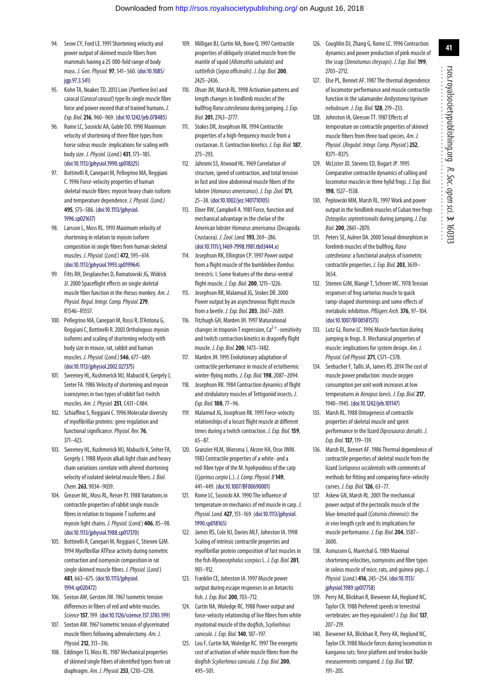- <span id="page-40-0"></span>94. Seow CY, Ford LE. 1991 Shortening velocity and power output of skinned muscle fibers from mammals having a 25 000-fold range of body mass. J. Gen. Physiol. **97**, 541–560. [\(doi:10.1085/](http://dx.doi.org/10.1085/jgp.97.3.541) igp.97.3.541)
- <span id="page-40-1"></span>95. Kohn TA, Noakes TD, 2013 Lion (Panthera leo) and caracal (Caracal caracal) type IIx single muscle fibre force and power exceed that of trained humans. J. Exp. Biol.**216**, 960–969. [\(doi:10.1242/jeb.078485\)](http://dx.doi.org/10.1242/jeb.078485)
- <span id="page-40-2"></span>96. Rome LC, Sosnicki AA, Goble DO. 1990 Maximum velocity of shortening of three fibre types from horse soleus muscle: implications for scaling with body size. J. Physiol. (Lond.) **431**, 173–185. [\(doi:10.1113/jphysiol.1990.sp018325\)](http://dx.doi.org/10.1113/jphysiol.1990.sp018325)
- <span id="page-40-3"></span>97. Bottinelli R, Canepari M, Pellegrino MA, Reggiani C. 1996 Force-velocity properties of human skeletal muscle fibres: myosin heavy chain isoform and temperature dependence. J. Physiol. (Lond.) **495**, 573–586. [\(doi:10.1113/jphysiol.](http://dx.doi.org/10.1113/jphysiol.1996.sp021617) [1996.sp021617\)](http://dx.doi.org/10.1113/jphysiol.1996.sp021617)
- <span id="page-40-4"></span>98. Larsson L, Moss RL. 1993 Maximum velocity of shortening in relation to myosin isoform composition in single fibres from human skeletal muscles. J. Physiol. (Lond.) **472**, 595–614. [\(doi:10.1113/jphysiol.1993.sp019964\)](http://dx.doi.org/10.1113/jphysiol.1993.sp019964)
- <span id="page-40-5"></span>99. Fitts RH, Desplanches D, Romatowski JG, Widrick JJ. 2000 Spaceflight effects on single skeletal muscle fiber function in the rhesus monkey. Am. J. Physiol. Regul. Integr. Comp. Physiol.**279**, R1546–R1557.
- <span id="page-40-6"></span>100. Pellegrino MA, Canepari M, Rossi R, D'Antona G, Reggiani C, Bottinelli R. 2003 Orthologous myosin isoforms and scaling of shortening velocity with body size in mouse, rat, rabbit and human muscles. J. Physiol. (Lond.)**546**, 677–689. [\(doi:10.1113/jphysiol.2002.027375\)](http://dx.doi.org/10.1113/jphysiol.2002.027375)
- <span id="page-40-7"></span>101. Sweeney HL, Kushmerick MJ, Mabucid K, Gergely J, Sreter FA. 1986 Velocity of shortening and myosin isoenzymes in two types of rabbit fast-twitch muscles. Am. J. Physiol.**251**, C431–C484.
- <span id="page-40-8"></span>102. Schiaffino S, Reggiani C. 1996 Molecular diversity of myofibrillar proteins: gene regulation and functional significance.Physiol. Rev.**76**, 371–423.
- <span id="page-40-9"></span>103. Sweeney HL, Kushmerick MJ, Mabuchi K, Sréter FA, Gergely J. 1988 Myosin alkali light chain and heavy chain variations correlate with altered shortening velocity of isolated skeletal muscle fibers. J. Biol. Chem.**263**, 9034–9039.
- <span id="page-40-10"></span>104. Greaser ML, Moss RL, Reiser PJ. 1988 Variations in contractile properties of rabbit single muscle fibres in relation to troponin T isoforms and myosin light chains. J. Physiol. (Lond.) **406**, 85–98. [\(doi:10.1113/jphysiol.1988.sp017370\)](http://dx.doi.org/10.1113/jphysiol.1988.sp017370)
- <span id="page-40-11"></span>105. Bottinelli R, Canepari M, Reggiani C, Stienen GJM. 1994 Myofibrillar ATPase activity during isometric contraction and isomyosin composition in rat single skinned muscle fibres. J. Physiol. (Lond.) **481**, 663–675. [\(doi:10.1113/jphysiol.](http://dx.doi.org/10.1113/jphysiol.1994.sp020472) [1994.sp020472\)](http://dx.doi.org/10.1113/jphysiol.1994.sp020472)
- <span id="page-40-12"></span>106. Sexton AW, Gersten JW. 1967 Isometric tension differences in fibers of red and white muscles. Science**157**, 199. [\(doi:10.1126/science.157.3785.199\)](http://dx.doi.org/10.1126/science.157.3785.199)
- <span id="page-40-13"></span>107. Sexton AW. 1967 Isometric tension of glycerinated muscle fibers following adrenalectomy. Am. J. Physiol.**212**, 313–316.
- <span id="page-40-14"></span>108. Eddinger TJ, Moss RL. 1987 Mechanical properties of skinned single fibers of identified types from rat diaphragm. Am. J. Physiol.**253**, C210–C218.
- <span id="page-40-15"></span>109. Milligan BJ, Curtin NA, Bone Q. 1997 Contractile properties of obliquely striated muscle from the mantle of squid (Alloteuthis subulata) and cuttlefish (Sepia officinalis). J. Exp. Biol.**200**, 2425–2436.
- <span id="page-40-16"></span>110. Olson JM, Marsh RL. 1998 Activation patterns and length changes in hindlimb muscles of the bullfrog Rana catesbeiana during jumping. J. Exp. Biol.**201**, 2763–2777.
- <span id="page-40-17"></span>111. Stokes DR, Josephson RK. 1994 Contractile properties of a high-frequency muscle from a crustacean. II. Contraction kinetics. J. Exp. Biol.**187**, 275–293.
- <span id="page-40-18"></span>112. Jahromi SS, Atwood HL. 1969 Correlation of structure, speed of contraction, and total tension in fast and slow abdominal muscle fibers of the lobster (Homarus americanus). J. Exp. Zool.**171**, 25–38. [\(doi:10.1002/jez.1401710105\)](http://dx.doi.org/10.1002/jez.1401710105)
- <span id="page-40-19"></span>113. Elner RW, Campbell A. 1981 Force, function and mechanical advantage in the chelae of the American lobster Homarus americanus (Decapoda: Crustacea). J. Zool. Lond.**193**, 269–286. [\(doi:10.1111/j.1469-7998.1981.tb03444.x\)](http://dx.doi.org/10.1111/j.1469-7998.1981.tb03444.x)
- <span id="page-40-20"></span>114. Josephson RK, Ellington CP. 1997 Power output from a flight muscle of the bumblebee Bombus terrestris. I. Some features of the dorso-ventral flight muscle. J. Exp. Biol.**200**, 1215–1226.
- <span id="page-40-21"></span>115. Josephson RK, Malamud JG, Stokes DR. 2000 Power output by an asynchronous flight muscle from a beetle. J. Exp. Biol.**203**, 2667–2689.
- <span id="page-40-22"></span>116. Fitzhugh GH, Marden JH. 1997 Maturational changes in troponin T expression,  $Ca^{2+}$ -sensitivity and twitch contraction kinetics in dragonfly flight muscle. J. Exp. Biol.**200**, 1473–1482.
- <span id="page-40-23"></span>117. Marden JH. 1995 Evolutionary adaptation of contractile performance in muscle of ectothermic winter-flying moths. J. Exp. Biol.**198**, 2087–2094.
- <span id="page-40-24"></span>118. Josephson RK. 1984 Contraction dynamics of flight and stridulatory muscles of Tettigoniid insects. J. Exp. Biol.**108**, 77–96.
- <span id="page-40-25"></span>119. Malamud JG, Josephson RK. 1991 Force-velocity relationships of a locust flight muscle at different times during a twitch contraction. J. Exp. Biol.**159**, 65–87.
- <span id="page-40-26"></span>120. Granzier HLM, Wiersma J, Akster HA, Osse JWM. 1983 Contractile properties of a white- and a red-fibre type of the M. hyohyoideus of the carp (Cyprinus carpioL.). J. Comp. Physiol. B **149**, 441–449. [\(doi:10.1007/BF00690001\)](http://dx.doi.org/10.1007/BF00690001)
- <span id="page-40-27"></span>121. Rome LC, Sosnicki AA. 1990 The influence of temperature on mechanics of red muscle in carp. J. Physiol. Lond. **427**, 151–169. [\(doi:10.1113/jphysiol.](http://dx.doi.org/10.1113/jphysiol.1990.sp018165) [1990.sp018165\)](http://dx.doi.org/10.1113/jphysiol.1990.sp018165)
- <span id="page-40-28"></span>122. James RS, Cole NJ, Davies MLF, Johnston IA. 1998 Scaling of intrinsic contractile properties and myofibrillar protein composition of fast muscles in the fish Myoxocephalus scorpiusL. J. Exp. Biol.**201**, 901–912.
- <span id="page-40-29"></span>123. Franklin CE, Johnston IA. 1997 Muscle power output during escape responses in an Antarctic fish. J. Exp. Biol.**200**, 703–712.
- <span id="page-40-30"></span>124. Curtin NA, Woledge RC. 1988 Power output and force-velocity relationship of live fibres from white myotomal muscle of the dogfish, Scyliorhinus canicula. J. Exp. Biol.**140**, 187–197.
- <span id="page-40-31"></span>125. Lou F, Curtin NA, Woledge RC. 1997 The energetic cost of activation of white muscle fibres from the dogfish Scyliorhinus canicula. J. Exp. Biol.**200**, 495–501.
- <span id="page-40-32"></span>126. Coughlin DJ, Zhang G, Rome LC. 1996 Contraction dynamics and power production of pink muscle of the scup (Stenotumus chrysops). J. Exp. Biol.**199**, 2703–2712.
- <span id="page-40-33"></span>127. Else PL, Bennet AF. 1987 The thermal dependence of locomotor performance and muscle contractile function in the salamander Ambystoma tigrinum nebulosum. J. Exp. Biol.**128**, 219–233.
- <span id="page-40-34"></span>128. Johnston IA, Gleeson TT. 1987 Effects of temperature on contractile properties of skinned muscle fibers from three toad species. Am. J. Physiol. (Regulat. Integr. Comp. Physiol.)**252**, R371–R375.
- <span id="page-40-35"></span>129. McLister JD, Stevens ED, Bogart JP. 1995 Comparative contractile dynamics of calling and locomotor muscles in three hylid frogs. J. Exp. Biol. **198**, 1527–1538.
- <span id="page-40-36"></span>130. Peplowski MM, Marsh RL. 1997 Work and power output in the hindlimb muscles of Cuban tree frogs Osteopilus septentrionalis during jumping. J. Exp. Biol.**200**, 2861–2870.
- <span id="page-40-37"></span>131. Peters SE, Aulner DA. 2000 Sexual dimorphism in forelimb muscles of the bullfrog, Rana catesbeiana: a functional analysis of isometric contractile properties. J. Exp. Biol.**203**, 3639– 3654.
- <span id="page-40-38"></span>132. Stienen GJM, Blangé T, Schnerr MC. 1978 Tension responses of frog sartorius muscle to quick ramp-shaped shortenings and some effects of metabolic inhibition.Pflügers Arch.**376**, 97–104. [\(doi:10.1007/BF00581573\)](http://dx.doi.org/10.1007/BF00581573)
- <span id="page-40-39"></span>133. Lutz GJ, Rome LC. 1996 Muscle function during jumping in frogs. II. Mechanical properties of muscle: implications for system design. Am. J. Physiol. Cell Physiol.**271**, C571–C578.
- <span id="page-40-40"></span>134. Seebacher F, Tallis JA, James RS. 2014 The cost of muscle power production: muscle oxygen consumption per unit work increases at low temperatures in Xenopus laevis. J. Exp. Biol.**217**, 1940–1945. [\(doi:10.1242/jeb.101147\)](http://dx.doi.org/10.1242/jeb.101147)
- <span id="page-40-41"></span>135. Marsh RL. 1988 Ontogenesis of contractile properties of skeletal muscle and sprint performance in the lizard Dipsosaurus dorsalis. J. Exp. Biol.**137**, 119–139.
- <span id="page-40-42"></span>136. Marsh RL, Bennet AF. 1986 Thermal dependence of contractile properties of skeletal muscle from the lizard Sceloporus occidentalis with comments of methods for fitting and comparing force-velocity curves. J. Exp. Biol.**126**, 63–77.
- <span id="page-40-43"></span>137. Askew GN, Marsh RL. 2001 The mechanical power output of the pectoralis muscle of the blue-breasted quail (Coturnix chinensis): the in vivo length cycle and its implications for muscle performance. J. Exp. Biol.**204**, 3587– 3600.
- <span id="page-40-44"></span>138. Asmussen G, Maréchal G. 1989 Maximal shortening velocities, isomyosins and fibre types in soleus muscle of mice, rats, and guinea-pigs. J. Physiol. (Lond.) **416**, 245–254. [\(doi:10.1113/](http://dx.doi.org/10.1113/jphysiol.1989.sp017758) [jphysiol.1989.sp017758\)](http://dx.doi.org/10.1113/jphysiol.1989.sp017758)
- <span id="page-40-45"></span>139. Perry AK, Blickhan R, Biewener AA, Heglund NC, Taylor CR. 1988 Preferred speeds in terrestrial vertebrates: are they equivalent? J. Exp. Biol.**137**, 207–219.
- <span id="page-40-46"></span>140. Biewener AA, Blickhan R, Perry AK, Heglund NC, Taylor CR. 1988 Muscle forces during locomotion in kangaroo rats: force platform and tendon buckle measurements compared. J. Exp. Biol.**137**, 191–205.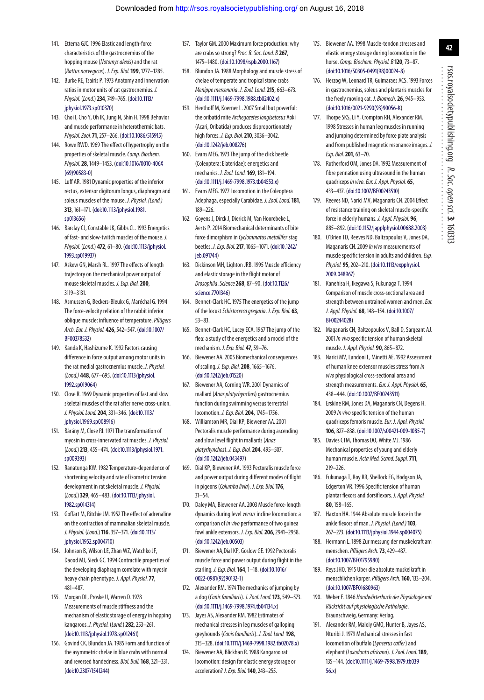- <span id="page-41-0"></span>141. Ettema GJC. 1996 Elastic and length-force characteristics of the gastrocnemius of the hopping mouse (Notomys alexis) and the rat (Rattus norvegicus). J. Exp. Biol.**199**, 1277–1285.
- <span id="page-41-1"></span>142. Burke RE, Tsairis P. 1973 Anatomy and innervation ratios in motor units of cat gastrocnemius. J. Physiol. (Lond.)**234**, 749–765. [\(doi:10.1113/](http://dx.doi.org/10.1113/jphysiol.1973.sp010370) [jphysiol.1973.sp010370\)](http://dx.doi.org/10.1113/jphysiol.1973.sp010370)
- <span id="page-41-2"></span>143. Choi I, Cho Y, Oh IK, Jung N, Shin H. 1998 Behavior and muscle performance in heterothermic bats. Physiol. Zool.**71**, 257–266. [\(doi:10.1086/515915\)](http://dx.doi.org/10.1086/515915)
- <span id="page-41-3"></span>144. Rowe RWD. 1969 The effect of hypertrophy on the properties of skeletal muscle. Comp. Biochem. Physiol.**28**, 1449–1453. [\(doi:10.1016/0010-406X](http://dx.doi.org/10.1016/0010-406X(69)90583-0) [\(69\)90583-0\)](http://dx.doi.org/10.1016/0010-406X(69)90583-0)
- <span id="page-41-4"></span>145. Luff AR. 1981 Dynamic properties of the inferior rectus, extensor digitorum longus, diaphragm and soleus muscles of the mouse. J. Physiol. (Lond.) **313**, 161–171. [\(doi:10.1113/jphysiol.1981.](http://dx.doi.org/10.1113/jphysiol.1981.sp013656) [sp013656\)](http://dx.doi.org/10.1113/jphysiol.1981.sp013656)
- <span id="page-41-5"></span>146. Barclay CJ, Constable JK, Gibbs CL. 1993 Energetics of fast- and slow-twitch muscles of the mouse. J. Physiol. (Lond.) **472**, 61–80. [\(doi:10.1113/jphysiol.](http://dx.doi.org/10.1113/jphysiol.1993.sp019937) [1993.sp019937\)](http://dx.doi.org/10.1113/jphysiol.1993.sp019937)
- <span id="page-41-6"></span>147. Askew GN, Marsh RL. 1997 The effects of length trajectory on the mechanical power output of mouse skeletal muscles. J. Exp. Biol.**200**, 3119–3131.
- <span id="page-41-7"></span>148. Asmussen G, Beckers-Bleukx G, Maréchal G. 1994 The force-velocity relation of the rabbit inferior oblique muscle: influence of temperature. Pflügers Arch. Eur. J. Physiol. **426**, 542–547. [\(doi:10.1007/](http://dx.doi.org/10.1007/BF00378532) [BF00378532\)](http://dx.doi.org/10.1007/BF00378532)
- <span id="page-41-8"></span>149. Kanda K, Hashizume K. 1992 Factors causing difference in force output among motor units in the rat medial gastrocnemius muscle. J. Physiol. (Lond.) **448**, 677–695. [\(doi:10.1113/jphysiol.](http://dx.doi.org/10.1113/jphysiol.1992.sp019064) [1992.sp019064\)](http://dx.doi.org/10.1113/jphysiol.1992.sp019064)
- <span id="page-41-9"></span>150. Close R. 1969 Dynamic properties of fast and slow skeletal muscles of the rat after nerve cross-union. J. Physiol. Lond.**204**, 331–346. [\(doi:10.1113/](http://dx.doi.org/10.1113/jphysiol.1969.sp008916) [jphysiol.1969.sp008916\)](http://dx.doi.org/10.1113/jphysiol.1969.sp008916)
- <span id="page-41-10"></span>151. Bárány M, Close RI. 1971 The transformation of myosin in cross-innervated rat muscles. J. Physiol. (Lond.)**213**, 455–474. [\(doi:10.1113/jphysiol.1971.](http://dx.doi.org/10.1113/jphysiol.1971.sp009393) [sp009393\)](http://dx.doi.org/10.1113/jphysiol.1971.sp009393)
- <span id="page-41-11"></span>152. Ranatunga KW. 1982 Temperature-dependence of shortening velocity and rate of isometric tension development in rat skeletal muscle. J. Physiol. (Lond.)**329**, 465–483. [\(doi:10.1113/jphysiol.](http://dx.doi.org/10.1113/jphysiol.1982.sp014314) [1982.sp014314\)](http://dx.doi.org/10.1113/jphysiol.1982.sp014314)
- <span id="page-41-12"></span>153. Goffart M, Ritchie JM. 1952 The effect of adrenaline on the contraction of mammalian skeletal muscle. J. Physiol. (Lond.)**116**, 357–371. [\(doi:10.1113/](http://dx.doi.org/10.1113/jphysiol.1952.sp004710) [jphysiol.1952.sp004710\)](http://dx.doi.org/10.1113/jphysiol.1952.sp004710)
- <span id="page-41-13"></span>154. Johnson B, Wilson LE, Zhan WZ, Watchko JF, Daood MJ, Sieck GC. 1994 Contractile properties of the developing diaphragm correlate with myosin heavy chain phenotype. J. Appl. Physiol.**77**, 481–487.
- <span id="page-41-14"></span>155. Morgan DL, Proske U, Warren D. 1978 Measurements of muscle stiffness and the mechanism of elastic storage of energy in hopping kangaroos. J. Physiol. (Lond.)**282**, 253–261. [\(doi:10.1113/jphysiol.1978.sp012461\)](http://dx.doi.org/10.1113/jphysiol.1978.sp012461)
- <span id="page-41-15"></span>156. Govind CK, Blundon JA. 1985 Form and function of the asymmetric chelae in blue crabs with normal and reversed handedness. Biol. Bull.**168**, 321–331. [\(doi:10.2307/1541244\)](http://dx.doi.org/10.2307/1541244)
- <span id="page-41-16"></span>157. Taylor GM. 2000 Maximum force production: why are crabs so strong?Proc. R. Soc. Lond. B **267**, 1475–1480. [\(doi:10.1098/rspb.2000.1167\)](http://dx.doi.org/10.1098/rspb.2000.1167)
- <span id="page-41-17"></span>158. Blundon JA. 1988 Morphology and muscle stress of chelae of temperate and tropical stone crabs Menippe mercenaria. J. Zool. Lond.**215**, 663–673. [\(doi:10.1111/j.1469-7998.1988.tb02402.x\)](http://dx.doi.org/10.1111/j.1469-7998.1988.tb02402.x)
- <span id="page-41-18"></span>159. Heethoff M, Koerner L. 2007 Small but powerful: the oribatid mite Archegozetes longisetosus Aoki (Acari, Oribatida) produces disproportionately high forces. J. Exp. Biol.**210**, 3036–3042. [\(doi:10.1242/jeb.008276\)](http://dx.doi.org/10.1242/jeb.008276)
- <span id="page-41-19"></span>160. Evans MEG. 1973 The jump of the click beetle (Coleoptera: Elateridae): energetics and mechanics. J. Zool. Lond.**169**, 181–194. [\(doi:10.1111/j.1469-7998.1973.tb04553.x\)](http://dx.doi.org/10.1111/j.1469-7998.1973.tb04553.x)
- <span id="page-41-20"></span>161. Evans MEG. 1977 Locomotion in the Coleoptera Adephaga, especially Carabidae. J. Zool. Lond.**181**, 189–226.
- <span id="page-41-21"></span>162. Goyens J, Dirck J, Dierick M, Van Hoorebeke L, Aerts P. 2014 Biomechanical determinants of bite force dimorphism in Cyclommatus metallifer stag beetles. J. Exp. Biol.**217**, 1065–1071. [\(doi:10.1242/](http://dx.doi.org/10.1242/jeb.091744) [jeb.091744\)](http://dx.doi.org/10.1242/jeb.091744)
- <span id="page-41-22"></span>163. Dickinson MH, Lighton JRB. 1995 Muscle efficiency and elastic storage in the flight motor of Drosophila.Science**268**, 87–90. [\(doi:10.1126/](http://dx.doi.org/10.1126/science.7701346) [science.7701346\)](http://dx.doi.org/10.1126/science.7701346)
- <span id="page-41-23"></span>164. Bennet-Clark HC. 1975 The energetics of the jump of the locust Schistocerca gregaria. J. Exp. Biol. 63, 53–83.
- <span id="page-41-24"></span>165. Bennet-Clark HC, Lucey ECA. 1967 The jump of the flea: a study of the energetics and a model of the mechanism. J. Exp. Biol. **47**, 59–76.
- <span id="page-41-25"></span>166. Biewener AA. 2005 Biomechanical consequences of scaling. J. Exp. Biol.**208**, 1665–1676. [\(doi:10.1242/jeb.01520\)](http://dx.doi.org/10.1242/jeb.01520)
- <span id="page-41-26"></span>167. Biewener AA, Corning WR. 2001 Dynamics of mallard (Anas platyrhynchos) gastrocnemius function during swimming versus terrestrial locomotion. J. Exp. Biol.**204**, 1745–1756.
- <span id="page-41-27"></span>168. Williamson MR, Dial KP, Biewener AA. 2001 Pectoralis muscle performance during ascending and slow level flight in mallards (Anas platyrhynchos). J. Exp. Biol.**204**, 495–507. [\(doi:10.1242/jeb.043497\)](http://dx.doi.org/10.1242/jeb.043497)
- <span id="page-41-28"></span>169. Dial KP, Biewener AA. 1993 Pectoralis muscle force and power output during different modes of flight in pigeons (Columba livia). J. Exp. Biol.**176**, 31–54.
- <span id="page-41-29"></span>170. Daley MA, Biewener AA. 2003 Muscle force-length dynamics during level versus incline locomotion: a comparison of in vivo performance of two guinea fowl ankle extensors. J. Exp. Biol.**206**, 2941–2958. [\(doi:10.1242/jeb.00503\)](http://dx.doi.org/10.1242/jeb.00503)
- <span id="page-41-30"></span>171. Biewener AA,Dial KP, Goslow GE. 1992 Pectoralis muscle force and power output during flight in the starling. J. Exp. Biol.**164**, 1–18. [\(doi:10.1016/](http://dx.doi.org/10.1016/0022-0981(92)90132-T) [0022-0981\(92\)90132-T\)](http://dx.doi.org/10.1016/0022-0981(92)90132-T)
- <span id="page-41-31"></span>172. Alexander RM. 1974 The mechanics of jumping by a dog (Canis familiaris). J. Zool. Lond.**173**, 549–573. [\(doi:10.1111/j.1469-7998.1974.tb04134.x\)](http://dx.doi.org/10.1111/j.1469-7998.1974.tb04134.x)
- <span id="page-41-32"></span>173. Jayes AS, Alexander RM. 1982 Estimates of mechanical stresses in leg muscles of galloping greyhounds (Canis familiaris). J. Zool. Lond.**198**, 315–328. [\(doi:10.1111/j.1469-7998.1982.tb02078.x\)](http://dx.doi.org/10.1111/j.1469-7998.1982.tb02078.x)
- <span id="page-41-33"></span>174. Biewener AA, Blickhan R. 1988 Kangaroo rat locomotion: design for elastic energy storage or acceleration? J. Exp. Biol.**140**,243–255.
- <span id="page-41-34"></span>175. Biewener AA. 1998 Muscle-tendon stresses and elastic energy storage during locomotion in the horse. Comp. Biochem. Physiol. B 120, 73-87. [\(doi:10.1016/S0305-0491\(98\)00024-8\)](http://dx.doi.org/10.1016/S0305-0491(98)00024-8)
- <span id="page-41-35"></span>176. Herzog W, Leonard TR, Guimaraes ACS. 1993 Forces in gastrocnemius, soleus and plantaris muscles for the freely moving cat. J. Biomech.**26**, 945–953. [\(doi:10.1016/0021-9290\(93\)90056-K\)](http://dx.doi.org/10.1016/0021-9290(93)90056-K)
- <span id="page-41-36"></span>177. Thorpe SKS, Li Y, Crompton RH, Alexander RM. 1998 Stresses in human leg muscles in running and jumping determined by force plate analysis and from published magnetic resonance images. J. Exp. Biol.**201**, 63–70.
- <span id="page-41-37"></span>178. Rutherford OM, Jones DA. 1992 Measurement of fibre pennation using ultrasound in the human quadriceps in vivo.Eur. J. Appl. Physiol. **65**, 433–437. [\(doi:10.1007/BF00243510\)](http://dx.doi.org/10.1007/BF00243510)
- <span id="page-41-38"></span>179. Reeves ND, Narici MV, Maganaris CN. 2004 Effect of resistance training on skeletal muscle-specific force in elderly humans. J. Appl. Physiol. **96**, 885–892. [\(doi:10.1152/japplphysiol.00688.2003\)](http://dx.doi.org/10.1152/japplphysiol.00688.2003)
- <span id="page-41-39"></span>180. O'Brien TD, Reeves ND, Baltzopoulos V, Jones DA, Maganaris CN. 2009 In vivo measurements of muscle specific tension in adults and children. Exp. Physiol. **95**, 202–210. [\(doi:10.1113/expphysiol.](http://dx.doi.org/10.1113/expphysiol.2009.048967) [2009.048967\)](http://dx.doi.org/10.1113/expphysiol.2009.048967)
- <span id="page-41-40"></span>181. Kanehisa H, Ikegawa S, Fukunaga T. 1994 Comparison of muscle cross-sectional area and strength between untrained women and men. Eur. J. Appl. Physiol. **68**, 148–154. [\(doi:10.1007/](http://dx.doi.org/10.1007/BF00244028) [BF00244028\)](http://dx.doi.org/10.1007/BF00244028)
- <span id="page-41-41"></span>182. Maganaris CN, Baltzopoulos V, Ball D, Sargeant AJ. 2001 In vivo specific tension of human skeletal muscle. J. Appl. Physiol. **90**, 865–872.
- <span id="page-41-42"></span>183. Narici MV, Landoni L, Minetti AE. 1992 Assessment of human knee extensor muscles stress from in vivo physiological cross-sectional area and strength measurements.Eur. J. Appl. Physiol. **65**, 438–444. [\(doi:10.1007/BF00243511\)](http://dx.doi.org/10.1007/BF00243511)
- <span id="page-41-43"></span>184. Erskine RM, Jones DA, Maganaris CN, Degens H. 2009 In vivo specific tension of the human quadriceps femoris muscle. Eur. J. Appl. Physiol. **106**, 827–838. [\(doi:10.1007/s00421-009-1085-7\)](http://dx.doi.org/10.1007/s00421-009-1085-7)
- <span id="page-41-44"></span>185. Davies CTM, Thomas DO, White MJ. 1986 Mechanical properties of young and elderly human muscle. Acta Med. Scand. Suppl.**711**, 219–226.
- <span id="page-41-45"></span>186. Fukunaga T, Roy RR, Shellock FG, Hodgson JA, Edgerton VR. 1996 Specific tension of human plantar flexors and dorsiflexors. J. Appl. Physiol. **80**, 158–165.
- <span id="page-41-46"></span>187. Haxton HA. 1944 Absolute muscle force in the ankle flexors of man. J. Physiol. (Lond.)**103**, 267–273. [\(doi:10.1113/jphysiol.1944.sp004075\)](http://dx.doi.org/10.1113/jphysiol.1944.sp004075)
- <span id="page-41-47"></span>188. Hermann L. 1898 Zur messung der muskelcraft am menschen.Pflügers Arch.**73**, 429–437. [\(doi:10.1007/BF01795980\)](http://dx.doi.org/10.1007/BF01795980)
- <span id="page-41-48"></span>189. Reys JHO. 1915 Uber die absolute muskelkraft in menschlichen korper.Pflügers Arch.**160**, 133–204. [\(doi:10.1007/BF01680963\)](http://dx.doi.org/10.1007/BF01680963)
- <span id="page-41-49"></span>190. Weber E. 1846 Handwörterbuch der Physiologie mit Rücksicht auf physiologische Pathologie. Braunschweig, Germany: Verlag.
- <span id="page-41-50"></span>191. Alexander RM, Maloiy GMO, Hunter B, Jayes AS, Nturibi J. 1979 Mechanical stresses in fast locomotion of buffalo (Syncerus caffer) and elephant (Loxodonta africana). J. Zool. Lond.**189**, 135–144. [\(doi:10.1111/j.1469-7998.1979.tb039](http://dx.doi.org/10.1111/j.1469-7998.1979.tb03956.x) [56.x\)](http://dx.doi.org/10.1111/j.1469-7998.1979.tb03956.x)